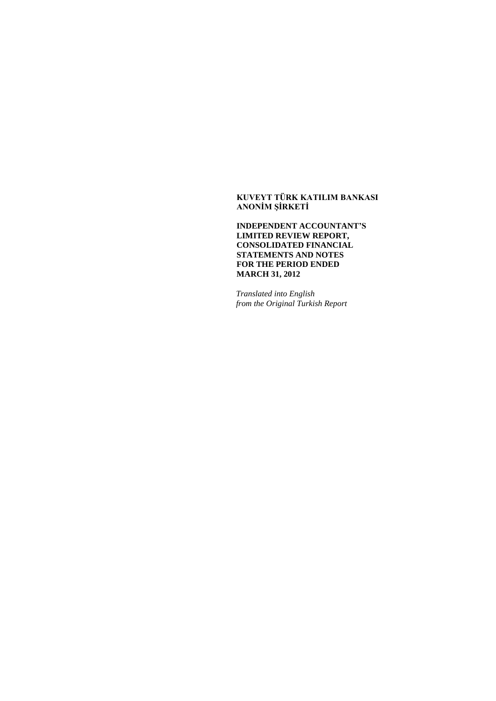# **KUVEYT TÜRK KATILIM BANKASI ANONİM ŞİRKETİ**

**INDEPENDENT ACCOUNTANT'S LIMITED REVIEW REPORT, CONSOLIDATED FINANCIAL STATEMENTS AND NOTES FOR THE PERIOD ENDED MARCH 31, 2012**

*Translated into English from the Original Turkish Report*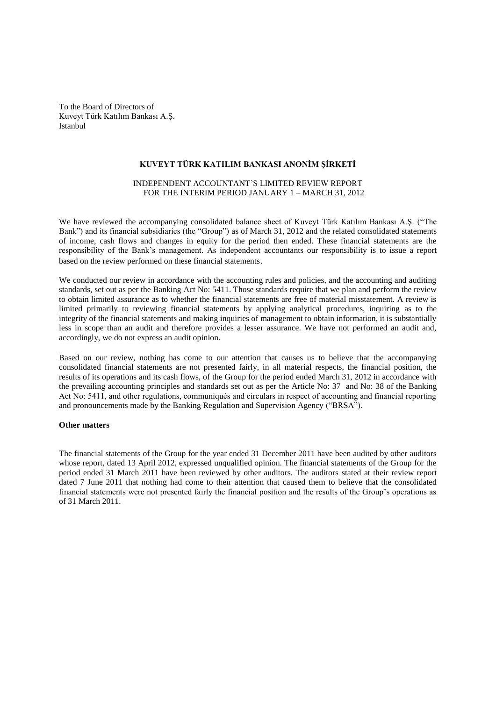To the Board of Directors of Kuveyt Türk Katılım Bankası A.Ş. Istanbul

# **KUVEYT TÜRK KATILIM BANKASI ANONİM ŞİRKETİ**

# INDEPENDENT ACCOUNTANT'S LIMITED REVIEW REPORT FOR THE INTERIM PERIOD JANUARY 1 – MARCH 31, 2012

We have reviewed the accompanying consolidated balance sheet of Kuveyt Türk Katılım Bankası A.Ş. ("The Bank") and its financial subsidiaries (the "Group") as of March 31, 2012 and the related consolidated statements of income, cash flows and changes in equity for the period then ended. These financial statements are the responsibility of the Bank's management. As independent accountants our responsibility is to issue a report based on the review performed on these financial statements.

We conducted our review in accordance with the accounting rules and policies, and the accounting and auditing standards, set out as per the Banking Act No: 5411. Those standards require that we plan and perform the review to obtain limited assurance as to whether the financial statements are free of material misstatement. A review is limited primarily to reviewing financial statements by applying analytical procedures, inquiring as to the integrity of the financial statements and making inquiries of management to obtain information, it is substantially less in scope than an audit and therefore provides a lesser assurance. We have not performed an audit and, accordingly, we do not express an audit opinion.

Based on our review, nothing has come to our attention that causes us to believe that the accompanying consolidated financial statements are not presented fairly, in all material respects, the financial position, the results of its operations and its cash flows, of the Group for the period ended March 31, 2012 in accordance with the prevailing accounting principles and standards set out as per the Article No: 37 and No: 38 of the Banking Act No: 5411, and other regulations, communiqués and circulars in respect of accounting and financial reporting and pronouncements made by the Banking Regulation and Supervision Agency ("BRSA").

#### **Other matters**

The financial statements of the Group for the year ended 31 December 2011 have been audited by other auditors whose report, dated 13 April 2012, expressed unqualified opinion. The financial statements of the Group for the period ended 31 March 2011 have been reviewed by other auditors. The auditors stated at their review report dated 7 June 2011 that nothing had come to their attention that caused them to believe that the consolidated financial statements were not presented fairly the financial position and the results of the Group's operations as of 31 March 2011.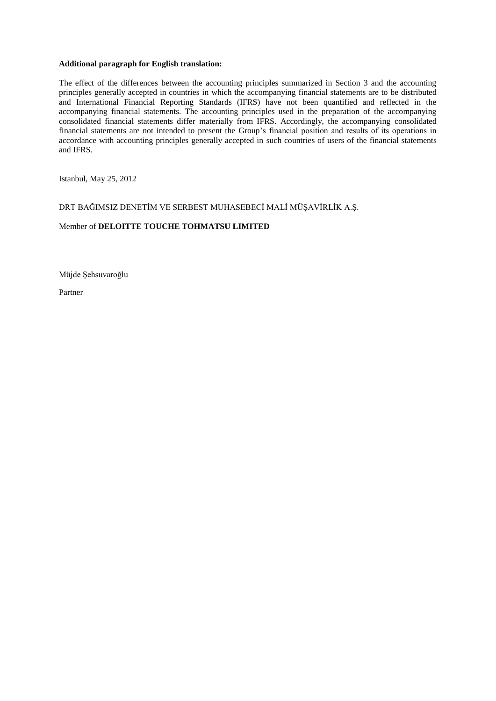## **Additional paragraph for English translation:**

The effect of the differences between the accounting principles summarized in Section 3 and the accounting principles generally accepted in countries in which the accompanying financial statements are to be distributed and International Financial Reporting Standards (IFRS) have not been quantified and reflected in the accompanying financial statements. The accounting principles used in the preparation of the accompanying consolidated financial statements differ materially from IFRS. Accordingly, the accompanying consolidated financial statements are not intended to present the Group's financial position and results of its operations in accordance with accounting principles generally accepted in such countries of users of the financial statements and IFRS.

Istanbul, May 25, 2012

DRT BAĞIMSIZ DENETİM VE SERBEST MUHASEBECİ MALİ MÜŞAVİRLİK A.Ş.

# Member of **DELOITTE TOUCHE TOHMATSU LIMITED**

Müjde Şehsuvaroğlu

Partner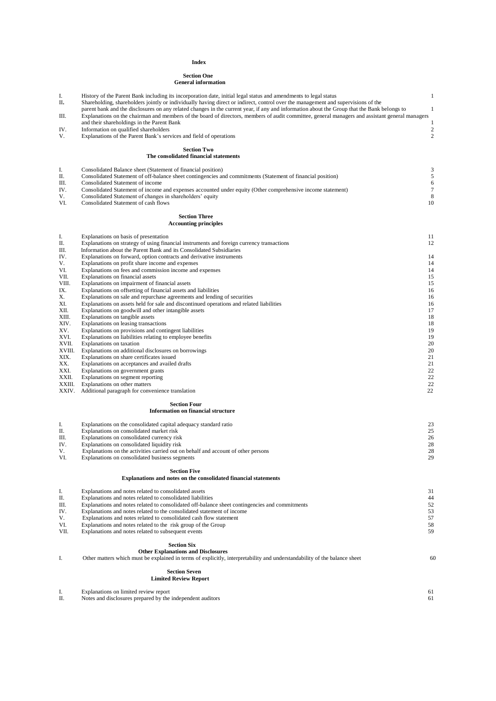#### **Index**

#### **Section One General information**

| I.            | History of the Parent Bank including its incorporation date, initial legal status and amendments to legal status                                                                              | $\mathbf{1}$   |
|---------------|-----------------------------------------------------------------------------------------------------------------------------------------------------------------------------------------------|----------------|
| П.            | Shareholding, shareholders jointly or individually having direct or indirect, control over the management and supervisions of the                                                             |                |
|               | parent bank and the disclosures on any related changes in the current year, if any and information about the Group that the Bank belongs to                                                   | $\mathbf{1}$   |
| Ш.            | Explanations on the chairman and members of the board of directors, members of audit committee, general managers and assistant general managers<br>and their shareholdings in the Parent Bank | $\mathbf{1}$   |
| IV.           | Information on qualified shareholders                                                                                                                                                         | $\overline{2}$ |
| V.            | Explanations of the Parent Bank's services and field of operations                                                                                                                            | $\overline{2}$ |
|               |                                                                                                                                                                                               |                |
|               | <b>Section Two</b>                                                                                                                                                                            |                |
|               | The consolidated financial statements                                                                                                                                                         |                |
|               |                                                                                                                                                                                               |                |
| I.<br>П.      | Consolidated Balance sheet (Statement of financial position)<br>Consolidated Statement of off-balance sheet contingencies and commitments (Statement of financial position)                   | 3<br>5         |
| Ш.            | Consolidated Statement of income                                                                                                                                                              | 6              |
| IV.           | Consolidated Statement of income and expenses accounted under equity (Other comprehensive income statement)                                                                                   | $\tau$         |
| V.            | Consolidated Statement of changes in shareholders' equity                                                                                                                                     | 8              |
| VI.           | Consolidated Statement of cash flows                                                                                                                                                          | 10             |
|               |                                                                                                                                                                                               |                |
|               | <b>Section Three</b>                                                                                                                                                                          |                |
|               | <b>Accounting principles</b>                                                                                                                                                                  |                |
| I.            | Explanations on basis of presentation                                                                                                                                                         | 11             |
| П.            | Explanations on strategy of using financial instruments and foreign currency transactions                                                                                                     | 12             |
| Ш.            | Information about the Parent Bank and its Consolidated Subsidiaries                                                                                                                           |                |
| IV.           | Explanations on forward, option contracts and derivative instruments                                                                                                                          | 14             |
| V.            | Explanations on profit share income and expenses                                                                                                                                              | 14             |
| VI.           | Explanations on fees and commission income and expenses                                                                                                                                       | 14             |
| VII.          | Explanations on financial assets                                                                                                                                                              | 15             |
| VIII.<br>IX.  | Explanations on impairment of financial assets<br>Explanations on offsetting of financial assets and liabilities                                                                              | 15<br>16       |
| Х.            | Explanations on sale and repurchase agreements and lending of securities                                                                                                                      | 16             |
| XI.           | Explanations on assets held for sale and discontinued operations and related liabilities                                                                                                      | 16             |
| XII.          | Explanations on goodwill and other intangible assets                                                                                                                                          | 17             |
| XIII.         | Explanations on tangible assets                                                                                                                                                               | 18             |
| XIV.          | Explanations on leasing transactions                                                                                                                                                          | 18             |
| XV.           | Explanations on provisions and contingent liabilities                                                                                                                                         | 19             |
| XVI.<br>XVII. | Explanations on liabilities relating to employee benefits<br>Explanations on taxation                                                                                                         | 19<br>20       |
| XVIII.        | Explanations on additional disclosures on borrowings                                                                                                                                          | 20             |
| XIX.          | Explanations on share certificates issued                                                                                                                                                     | 21             |
| XX.           | Explanations on acceptances and availed drafts                                                                                                                                                | 21             |
| XXI.          | Explanations on government grants                                                                                                                                                             | 22             |
| XXII.         | Explanations on segment reporting                                                                                                                                                             | 22             |
| XXIII.        | Explanations on other matters                                                                                                                                                                 | 22             |
| XXIV.         | Additional paragraph for convenience translation                                                                                                                                              | 22             |
|               | <b>Section Four</b>                                                                                                                                                                           |                |
|               | <b>Information on financial structure</b>                                                                                                                                                     |                |
|               |                                                                                                                                                                                               |                |
| I.            | Explanations on the consolidated capital adequacy standard ratio                                                                                                                              | 23             |
| П.            | Explanations on consolidated market risk                                                                                                                                                      | 25             |
| Ш.            | Explanations on consolidated currency risk                                                                                                                                                    | 26             |
| IV.           | Explanations on consolidated liquidity risk                                                                                                                                                   | 28             |
| V.<br>VI.     | Explanations on the activities carried out on behalf and account of other persons<br>Explanations on consolidated business segments                                                           | 28<br>29       |
|               |                                                                                                                                                                                               |                |
|               | <b>Section Five</b>                                                                                                                                                                           |                |
|               | Explanations and notes on the consolidated financial statements                                                                                                                               |                |
|               |                                                                                                                                                                                               |                |
| I.            | Explanations and notes related to consolidated assets                                                                                                                                         | 31             |
| Π.            | Explanations and notes related to consolidated liabilities                                                                                                                                    | 44             |
| Ш.<br>IV.     | Explanations and notes related to consolidated off-balance sheet contingencies and commitments<br>Explanations and notes related to the consolidated statement of income                      | 52<br>53       |
| V.            | Explanations and notes related to consolidated cash flow statement                                                                                                                            | 57             |
| VI.           | Explanations and notes related to the risk group of the Group                                                                                                                                 | 58             |
| VII.          | Explanations and notes related to subsequent events                                                                                                                                           | 59             |
|               |                                                                                                                                                                                               |                |
|               | <b>Section Six</b>                                                                                                                                                                            |                |
|               | <b>Other Explanations and Disclosures</b>                                                                                                                                                     |                |
| I.            | Other matters which must be explained in terms of explicitly, interpretability and understandability of the balance sheet                                                                     | 60             |
|               | <b>Section Seven</b>                                                                                                                                                                          |                |
|               | <b>Limited Review Report</b>                                                                                                                                                                  |                |
|               |                                                                                                                                                                                               |                |
| I.            | Explanations on limited review report                                                                                                                                                         | 61             |
| П.            | Notes and disclosures prepared by the independent auditors                                                                                                                                    | 61             |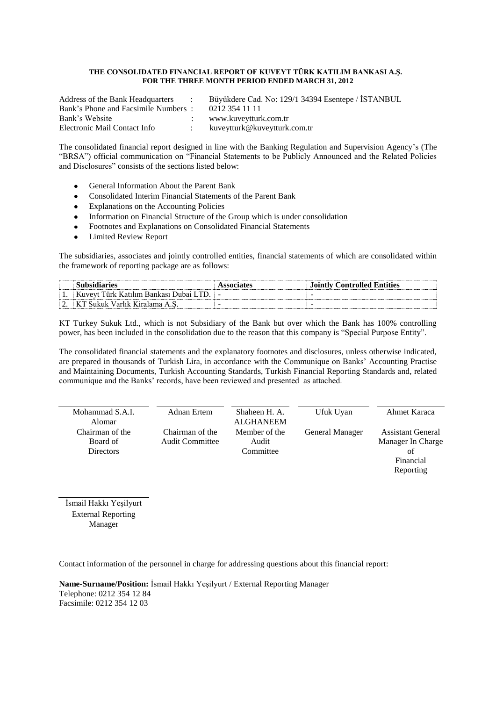#### **THE CONSOLIDATED FINANCIAL REPORT OF KUVEYT TÜRK KATILIM BANKASI A.Ş. FOR THE THREE MONTH PERIOD ENDED MARCH 31, 2012**

Address of the Bank Headquarters : Büyükdere Cad. No: 129/1 34394 Esentepe / İSTANBUL Bank's Phone and Facsimile Numbers : 0212 354 11 11 [www.kuveytturk.com.tr](http://www.kuveytturk.com.tr/) Electronic Mail Contact Info : kuveytturk@kuveytturk.com.tr

The consolidated financial report designed in line with the Banking Regulation and Supervision Agency's (The "BRSA") official communication on "Financial Statements to be Publicly Announced and the Related Policies and Disclosures" consists of the sections listed below:

- General Information About the Parent Bank
- Consolidated Interim Financial Statements of the Parent Bank
- Explanations on the Accounting Policies
- Information on Financial Structure of the Group which is under consolidation
- Footnotes and Explanations on Consolidated Financial Statements
- Limited Review Report

The subsidiaries, associates and jointly controlled entities, financial statements of which are consolidated within the framework of reporting package are as follows:

|                                    |                                                            | `ontrol<br><b>************</b> |
|------------------------------------|------------------------------------------------------------|--------------------------------|
| . .<br>                            | $T_{\rm inf}$ .<br>0 <sup>11</sup><br>Rantzaci<br>ı ho<br> | -                              |
| $\sim$<br>$\overline{\phantom{a}}$ | 1122<br>$\lambda$ /orialz -<br>$\sqrt{2}$                  | ۰<br>                          |

KT Turkey Sukuk Ltd., which is not Subsidiary of the Bank but over which the Bank has 100% controlling power, has been included in the consolidation due to the reason that this company is "Special Purpose Entity".

The consolidated financial statements and the explanatory footnotes and disclosures, unless otherwise indicated, are prepared in thousands of Turkish Lira, in accordance with the Communique on Banks' Accounting Practise and Maintaining Documents, Turkish Accounting Standards, Turkish Financial Reporting Standards and, related communique and the Banks' records, have been reviewed and presented as attached.

| Mohammad S.A.I.<br>Adnan Ertem<br>Shaheen H. A.<br>Ufuk Uyan           | Ahmet Karaca             |
|------------------------------------------------------------------------|--------------------------|
|                                                                        |                          |
| <b>ALGHANEEM</b><br>Alomar                                             |                          |
| Chairman of the<br>Chairman of the<br>Member of the<br>General Manager | <b>Assistant General</b> |
| <b>Audit Committee</b><br>Board of<br>Audit                            | Manager In Charge        |
| Committee<br><b>Directors</b>                                          | of                       |
|                                                                        | Financial                |
|                                                                        | Reporting                |

İsmail Hakkı Yeşilyurt External Reporting Manager

Contact information of the personnel in charge for addressing questions about this financial report:

**Name-Surname/Position:** İsmail Hakkı Yeşilyurt / External Reporting Manager Telephone: 0212 354 12 84 Facsimile: 0212 354 12 03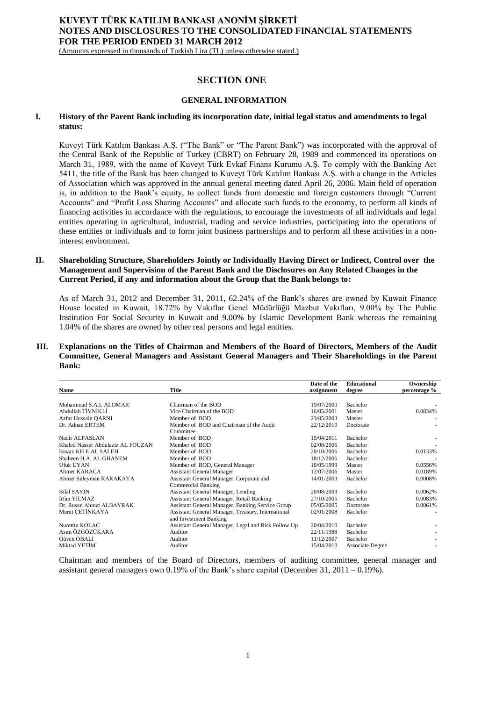(Amounts expressed in thousands of Turkish Lira (TL) unless otherwise stated.)

# **SECTION ONE**

## **GENERAL INFORMATION**

## **I. History of the Parent Bank including its incorporation date, initial legal status and amendments to legal status:**

Kuveyt Türk Katılım Bankası A.Ş. ("The Bank" or "The Parent Bank") was incorporated with the approval of the Central Bank of the Republic of Turkey (CBRT) on February 28, 1989 and commenced its operations on March 31, 1989, with the name of Kuveyt Türk Evkaf Finans Kurumu A.Ş. To comply with the Banking Act 5411, the title of the Bank has been changed to Kuveyt Türk Katılım Bankası A.Ş. with a change in the Articles of Association which was approved in the annual general meeting dated April 26, 2006. Main field of operation is, in addition to the Bank's equity, to collect funds from domestic and foreign customers through "Current Accounts" and "Profit Loss Sharing Accounts" and allocate such funds to the economy, to perform all kinds of financing activities in accordance with the regulations, to encourage the investments of all individuals and legal entities operating in agricultural, industrial, trading and service industries, participating into the operations of these entities or individuals and to form joint business partnerships and to perform all these activities in a noninterest environment.

## **II. Shareholding Structure, Shareholders Jointly or Individually Having Direct or Indirect, Control over the Management and Supervision of the Parent Bank and the Disclosures on Any Related Changes in the Current Period, if any and information about the Group that the Bank belongs to:**

As of March 31, 2012 and December 31, 2011, 62.24% of the Bank's shares are owned by Kuwait Finance House located in Kuwait, 18.72% by Vakıflar Genel Müdürlüğü Mazbut Vakıfları, 9.00% by The Public Institution For Social Security in Kuwait and 9.00% by Islamic Development Bank whereas the remaining 1.04% of the shares are owned by other real persons and legal entities.

## **III. Explanations on the Titles of Chairman and Members of the Board of Directors, Members of the Audit Committee, General Managers and Assistant General Managers and Their Shareholdings in the Parent Bank:**

|                                   |                                                     | Date of the | <b>Educational</b>      | Ownership    |
|-----------------------------------|-----------------------------------------------------|-------------|-------------------------|--------------|
| <b>Name</b>                       | <b>Title</b>                                        | assignment  | degree                  | percentage % |
|                                   |                                                     |             |                         |              |
| Mohammad S.A.I. ALOMAR            | Chairman of the BOD                                 | 19/07/2000  | Bachelor                |              |
| Abdullah TİVNİKLİ                 | Vice Chairman of the BOD                            | 16/05/2001  | Master                  | 0.0834%      |
| Azfar Hussain QARNI               | Member of BOD                                       | 23/05/2003  | Master                  |              |
| Dr. Adnan ERTEM                   | Member of BOD and Chairman of the Audit             | 22/12/2010  | Doctorate               |              |
|                                   | Committee                                           |             |                         |              |
| Nadir ALPASLAN                    | Member of BOD                                       | 15/04/2011  | <b>Bachelor</b>         |              |
| Khaled Nasser Abdulaziz AL FOUZAN | Member of BOD                                       | 02/08/2006  | Bachelor                |              |
| Fawaz KH E AL SALEH               | Member of BOD                                       | 20/10/2006  | Bachelor                | 0.0133%      |
| Shaheen H.A. AL GHANEM            | Member of BOD                                       | 18/12/2006  | Bachelor                |              |
| Ufuk UYAN                         | Member of BOD, General Manager                      | 10/05/1999  | Master                  | 0.0556%      |
| <b>Ahmet KARACA</b>               | <b>Assistant General Manager</b>                    | 12/07/2006  | Master                  | 0.0189%      |
| Ahmet Süleyman KARAKAYA           | Assistant General Manager, Corporate and            | 14/01/2003  | Bachelor                | 0.0008%      |
|                                   | <b>Commercial Banking</b>                           |             |                         |              |
| <b>Bilal SAYIN</b>                | Assistant General Manager, Lending                  | 20/08/2003  | Bachelor                | 0.0062%      |
| İrfan YILMAZ                      | Assistant General Manager, Retail Banking           | 27/10/2005  | <b>Bachelor</b>         | 0.0083%      |
| Dr. Rusen Ahmet ALBAYRAK          | Assistant General Manager, Banking Service Group    | 05/05/2005  | Doctorate               | 0.0061%      |
| Murat CETINKAYA                   | Assistant General Manager, Treasury, International  | 02/01/2008  | Bachelor                |              |
|                                   | and Investment Banking                              |             |                         |              |
| Nurettin KOLAC                    | Assistant General Manager, Legal and Risk Follow Up | 20/04/2010  | Bachelor                |              |
| Asım ÖZGÖZÜKARA                   | Auditor                                             | 22/11/1988  | Bachelor                |              |
| Güven OBALI                       | Auditor                                             | 11/12/2007  | Bachelor                |              |
| Miktad YETİM                      | Auditor                                             | 15/04/2010  | <b>Associate Degree</b> |              |

Chairman and members of the Board of Directors, members of auditing committee, general manager and assistant general managers own 0.19% of the Bank's share capital (December 31, 2011 – 0.19%).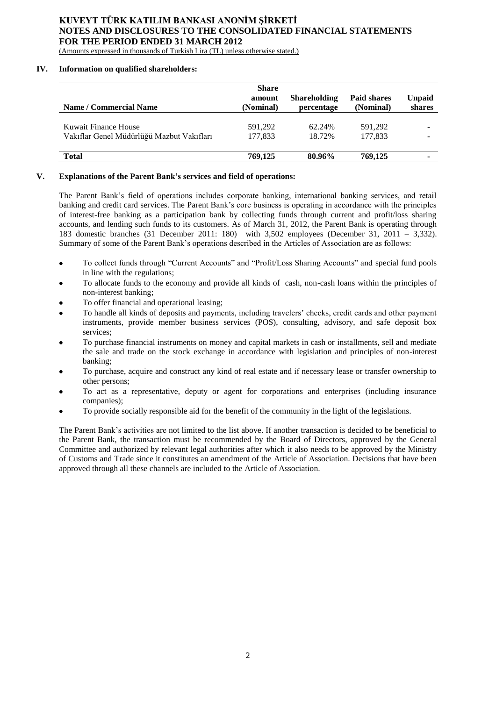(Amounts expressed in thousands of Turkish Lira (TL) unless otherwise stated.)

# **IV. Information on qualified shareholders:**

| <b>Name / Commercial Name</b>                                     | <b>Share</b><br>amount<br>(Nominal) | <b>Shareholding</b><br>percentage | <b>Paid shares</b><br>(Nominal) | <b>Unpaid</b><br>shares |
|-------------------------------------------------------------------|-------------------------------------|-----------------------------------|---------------------------------|-------------------------|
| Kuwait Finance House<br>Vakıflar Genel Müdürlüğü Mazbut Vakıfları | 591.292<br>177,833                  | 62.24%<br>18.72%                  | 591.292<br>177.833              |                         |
| <b>Total</b>                                                      | 769,125                             | 80.96%                            | 769,125                         |                         |

# **V. Explanations of the Parent Bank's services and field of operations:**

The Parent Bank's field of operations includes corporate banking, international banking services, and retail banking and credit card services. The Parent Bank's core business is operating in accordance with the principles of interest-free banking as a participation bank by collecting funds through current and profit/loss sharing accounts, and lending such funds to its customers. As of March 31, 2012, the Parent Bank is operating through 183 domestic branches (31 December 2011: 180) with 3,502 employees (December 31, 2011 – 3,332). Summary of some of the Parent Bank's operations described in the Articles of Association are as follows:

- To collect funds through "Current Accounts" and "Profit/Loss Sharing Accounts" and special fund pools  $\bullet$ in line with the regulations;
- To allocate funds to the economy and provide all kinds of cash, non-cash loans within the principles of non-interest banking;
- To offer financial and operational leasing;
- To handle all kinds of deposits and payments, including travelers' checks, credit cards and other payment instruments, provide member business services (POS), consulting, advisory, and safe deposit box services;
- To purchase financial instruments on money and capital markets in cash or installments, sell and mediate the sale and trade on the stock exchange in accordance with legislation and principles of non-interest banking;
- To purchase, acquire and construct any kind of real estate and if necessary lease or transfer ownership to other persons;
- To act as a representative, deputy or agent for corporations and enterprises (including insurance companies);
- To provide socially responsible aid for the benefit of the community in the light of the legislations.

The Parent Bank's activities are not limited to the list above. If another transaction is decided to be beneficial to the Parent Bank, the transaction must be recommended by the Board of Directors, approved by the General Committee and authorized by relevant legal authorities after which it also needs to be approved by the Ministry of Customs and Trade since it constitutes an amendment of the Article of Association. Decisions that have been approved through all these channels are included to the Article of Association.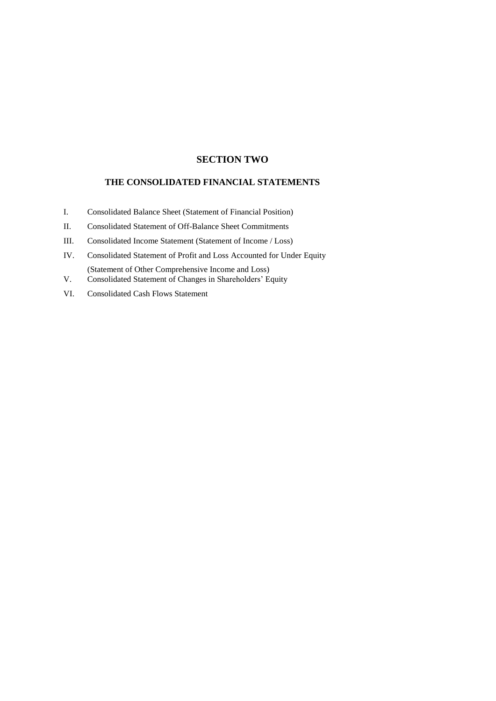# **SECTION TWO**

# **THE CONSOLIDATED FINANCIAL STATEMENTS**

- I. Consolidated Balance Sheet (Statement of Financial Position)
- II. Consolidated Statement of Off-Balance Sheet Commitments
- III. Consolidated Income Statement (Statement of Income / Loss)
- IV. Consolidated Statement of Profit and Loss Accounted for Under Equity (Statement of Other Comprehensive Income and Loss)
- V. Consolidated Statement of Changes in Shareholders' Equity
- VI. Consolidated Cash Flows Statement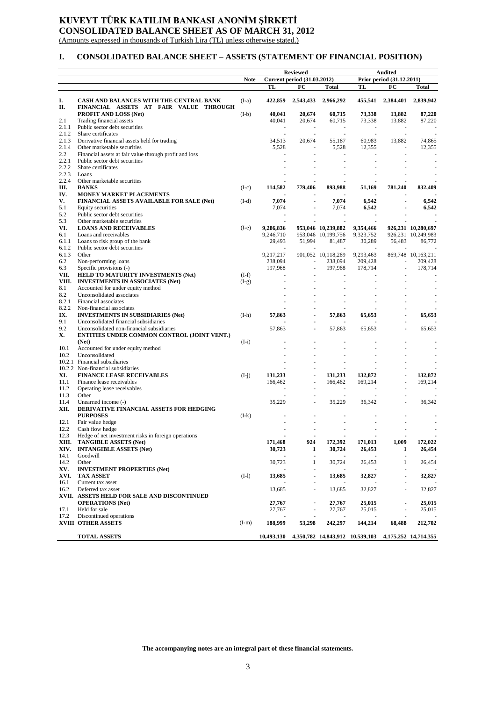# **KUVEYT TÜRK KATILIM BANKASI ANONİM ŞİRKETİ CONSOLIDATED BALANCE SHEET AS OF MARCH 31, 2012**

(Amounts expressed in thousands of Turkish Lira (TL) unless otherwise stated.)

# **I. CONSOLIDATED BALANCE SHEET – ASSETS (STATEMENT OF FINANCIAL POSITION)**

|            |                                                                                   |             |                | <b>Reviewed</b>                    |                                          | <b>Audited</b>            |                          |                                          |  |  |  |  |  |
|------------|-----------------------------------------------------------------------------------|-------------|----------------|------------------------------------|------------------------------------------|---------------------------|--------------------------|------------------------------------------|--|--|--|--|--|
|            |                                                                                   | <b>Note</b> |                | <b>Current period (31.03.2012)</b> |                                          | Prior period (31.12.2011) |                          |                                          |  |  |  |  |  |
|            |                                                                                   |             | TL             | FC                                 | <b>Total</b>                             | TL                        | FC                       | <b>Total</b>                             |  |  |  |  |  |
|            |                                                                                   |             |                |                                    |                                          |                           |                          |                                          |  |  |  |  |  |
| I.<br>П.   | CASH AND BALANCES WITH THE CENTRAL BANK<br>FINANCIAL ASSETS AT FAIR VALUE THROUGH | $(I-a)$     | 422,859        | 2,543,433                          | 2,966,292                                | 455,541                   | 2,384,401                | 2,839,942                                |  |  |  |  |  |
|            | PROFIT AND LOSS (Net)                                                             | $(I-b)$     | 40,041         | 20,674                             | 60.715                                   | 73,338                    | 13,882                   | 87,220                                   |  |  |  |  |  |
| 2.1        | Trading financial assets                                                          |             | 40,041         | 20,674                             | 60,715                                   | 73,338                    | 13.882                   | 87,220                                   |  |  |  |  |  |
| 2.1.1      | Public sector debt securities                                                     |             |                |                                    |                                          |                           |                          |                                          |  |  |  |  |  |
| 2.1.2      | Share certificates                                                                |             | $\sim$         |                                    | $\sim$                                   | $\sim$                    |                          |                                          |  |  |  |  |  |
| 2.1.3      | Derivative financial assets held for trading                                      |             | 34,513         | 20,674                             | 55,187                                   | 60,983                    | 13,882                   | 74,865                                   |  |  |  |  |  |
| 2.1.4      | Other marketable securities                                                       |             | 5,528          |                                    | 5,528                                    | 12,355                    |                          | 12,355                                   |  |  |  |  |  |
| 2.2        | Financial assets at fair value through profit and loss                            |             |                | ÷.                                 |                                          |                           |                          |                                          |  |  |  |  |  |
| 2.2.1      | Public sector debt securities                                                     |             |                |                                    |                                          |                           |                          |                                          |  |  |  |  |  |
| 2.2.2      | Share certificates                                                                |             |                |                                    |                                          |                           |                          |                                          |  |  |  |  |  |
| 2.2.3      | Loans                                                                             |             |                |                                    |                                          |                           |                          |                                          |  |  |  |  |  |
| 2.2.4      | Other marketable securities                                                       |             |                | 779,406                            |                                          |                           |                          |                                          |  |  |  |  |  |
| Ш.<br>IV.  | <b>BANKS</b><br>MONEY MARKET PLACEMENTS                                           | $(I-c)$     | 114,582        |                                    | 893,988                                  | 51.169                    | 781,240                  | 832,409                                  |  |  |  |  |  |
|            |                                                                                   |             |                | L,                                 |                                          |                           |                          |                                          |  |  |  |  |  |
| v.         | <b>FINANCIAL ASSETS AVAILABLE FOR SALE (Net)</b>                                  | $(I-d)$     | 7,074<br>7,074 |                                    | 7,074<br>7,074                           | 6,542<br>6,542            |                          | 6,542<br>6,542                           |  |  |  |  |  |
| 5.1<br>5.2 | Equity securities<br>Public sector debt securities                                |             |                |                                    |                                          |                           |                          |                                          |  |  |  |  |  |
| 5.3        | Other marketable securities                                                       |             |                |                                    |                                          |                           |                          |                                          |  |  |  |  |  |
| VI.        | <b>LOANS AND RECEIVABLES</b>                                                      |             | 9,286,836      |                                    |                                          |                           |                          |                                          |  |  |  |  |  |
| 6.1        | Loans and receivables                                                             | $(I-e)$     | 9,246,710      |                                    | 953,046 10,239,882<br>953.046 10.199.756 | 9,354,466<br>9,323,752    |                          | 926,231 10,280,697<br>926,231 10,249,983 |  |  |  |  |  |
| 6.1.1      | Loans to risk group of the bank                                                   |             |                | 51,994                             | 81,487                                   | 30,289                    | 56,483                   | 86.772                                   |  |  |  |  |  |
| 6.1.2      | Public sector debt securities                                                     |             | 29,493         |                                    |                                          |                           |                          |                                          |  |  |  |  |  |
| 6.1.3      | Other                                                                             |             | 9,217,217      |                                    | 901,052 10,118,269                       | 9,293,463                 |                          | 869,748 10,163,211                       |  |  |  |  |  |
| 6.2        | Non-performing loans                                                              |             | 238,094        | ÷,                                 | 238,094                                  | 209,428                   |                          | 209,428                                  |  |  |  |  |  |
| 6.3        | Specific provisions (-)                                                           |             | 197,968        |                                    | 197,968                                  | 178,714                   |                          | 178,714                                  |  |  |  |  |  |
| VII.       | HELD TO MATURITY INVESTMENTS (Net)                                                | $(I-f)$     |                |                                    |                                          |                           |                          |                                          |  |  |  |  |  |
| VIII.      | <b>INVESTMENTS IN ASSOCIATES (Net)</b>                                            | $(I-g)$     |                |                                    |                                          |                           |                          |                                          |  |  |  |  |  |
| 8.1        | Accounted for under equity method                                                 |             |                |                                    |                                          |                           |                          |                                          |  |  |  |  |  |
| 8.2        | Unconsolidated associates                                                         |             |                |                                    |                                          |                           |                          |                                          |  |  |  |  |  |
| 8.2.1      | Financial associates                                                              |             |                |                                    |                                          |                           |                          |                                          |  |  |  |  |  |
| 8.2.2      | Non-financial associates                                                          |             |                |                                    |                                          |                           |                          |                                          |  |  |  |  |  |
| IX.        | <b>INVESTMENTS IN SUBSIDIARIES (Net)</b>                                          | $(I-h)$     | 57,863         |                                    | 57,863                                   | 65,653                    |                          | 65,653                                   |  |  |  |  |  |
| 9.1        | Unconsolidated financial subsidiaries                                             |             |                |                                    |                                          |                           |                          |                                          |  |  |  |  |  |
| 9.2        | Unconsolidated non-financial subsidiaries                                         |             | 57,863         | L,                                 | 57,863                                   | 65,653                    |                          | 65,653                                   |  |  |  |  |  |
| Х.         | ENTITIES UNDER COMMON CONTROL (JOINT VENT.)                                       |             |                |                                    |                                          |                           |                          |                                          |  |  |  |  |  |
|            | (Net)                                                                             | $(I-i)$     |                |                                    |                                          |                           |                          |                                          |  |  |  |  |  |
| 10.1       | Accounted for under equity method                                                 |             |                |                                    |                                          |                           |                          |                                          |  |  |  |  |  |
| 10.2       | Unconsolidated                                                                    |             |                |                                    |                                          |                           |                          |                                          |  |  |  |  |  |
|            | 10.2.1 Financial subsidiaries                                                     |             |                |                                    |                                          |                           |                          |                                          |  |  |  |  |  |
|            | 10.2.2 Non-financial subsidiaries                                                 |             |                |                                    |                                          |                           |                          |                                          |  |  |  |  |  |
| XI.        | <b>FINANCE LEASE RECEIVABLES</b>                                                  | $(I-i)$     | 131,233        |                                    | 131,233                                  | 132,872                   |                          | 132,872                                  |  |  |  |  |  |
| 11.1       | Finance lease receivables                                                         |             | 166,462        |                                    | 166,462                                  | 169,214                   |                          | 169,214                                  |  |  |  |  |  |
| 11.2       | Operating lease receivables                                                       |             |                | ä,                                 | ×.                                       |                           |                          |                                          |  |  |  |  |  |
| 11.3       | Other                                                                             |             |                |                                    |                                          |                           |                          |                                          |  |  |  |  |  |
| 11.4       | Unearned income (-)                                                               |             | 35,229         |                                    | 35,229                                   | 36,342                    |                          | 36,342                                   |  |  |  |  |  |
| XII.       | DERIVATIVE FINANCIAL ASSETS FOR HEDGING                                           |             |                |                                    |                                          |                           |                          |                                          |  |  |  |  |  |
|            | <b>PURPOSES</b>                                                                   | $(I-k)$     |                |                                    |                                          |                           |                          |                                          |  |  |  |  |  |
| 12.1       | Fair value hedge                                                                  |             |                |                                    |                                          |                           |                          |                                          |  |  |  |  |  |
| 12.2       | Cash flow hedge                                                                   |             |                |                                    |                                          |                           |                          |                                          |  |  |  |  |  |
| 12.3       | Hedge of net investment risks in foreign operations                               |             |                |                                    |                                          |                           |                          |                                          |  |  |  |  |  |
|            | XIII. TANGIBLE ASSETS (Net)                                                       |             | 171,468        | 924                                | 172,392                                  | 171,013                   | 1,009                    | 172,022                                  |  |  |  |  |  |
|            | XIV. INTANGIBLE ASSETS (Net)                                                      |             | 30,723         | 1                                  | 30,724                                   | 26,453                    | 1                        | 26,454                                   |  |  |  |  |  |
| 14.1       | Goodwill                                                                          |             |                |                                    |                                          |                           |                          |                                          |  |  |  |  |  |
| 14.2       | Other                                                                             |             | 30,723         | 1                                  | 30,724                                   | 26,453                    | 1                        | 26,454                                   |  |  |  |  |  |
| XV.        | <b>INVESTMENT PROPERTIES (Net)</b>                                                |             |                |                                    |                                          |                           |                          |                                          |  |  |  |  |  |
| XVI.       | <b>TAX ASSET</b>                                                                  | $(I-1)$     | 13,685         |                                    | 13,685                                   | 32,827                    |                          | 32,827                                   |  |  |  |  |  |
| 16.1       | Current tax asset                                                                 |             |                |                                    |                                          |                           |                          |                                          |  |  |  |  |  |
| 16.2       | Deferred tax asset                                                                |             | 13,685         |                                    | 13,685                                   | 32,827                    |                          | 32,827                                   |  |  |  |  |  |
|            | XVII. ASSETS HELD FOR SALE AND DISCONTINUED                                       |             |                |                                    |                                          |                           |                          |                                          |  |  |  |  |  |
|            | <b>OPERATIONS</b> (Net)                                                           |             | 27,767         |                                    | 27,767                                   | 25,015                    |                          | 25,015                                   |  |  |  |  |  |
| 17.1       | Held for sale                                                                     |             | 27,767         | ÷,                                 | 27,767                                   | 25,015                    | $\overline{\phantom{a}}$ | 25,015                                   |  |  |  |  |  |
| 17.2       | Discontinued operations                                                           |             |                |                                    |                                          |                           |                          |                                          |  |  |  |  |  |
|            | <b>XVIII OTHER ASSETS</b>                                                         | $(I-m)$     | 188,999        | 53,298                             | 242,297                                  | 144,214                   | 68,488                   | 212,702                                  |  |  |  |  |  |
|            |                                                                                   |             |                |                                    |                                          |                           |                          |                                          |  |  |  |  |  |
|            | <b>TOTAL ASSETS</b>                                                               |             | 10,493,130     |                                    | 4,350,782 14,843,912 10,539,103          |                           |                          | 4,175,252 14,714,355                     |  |  |  |  |  |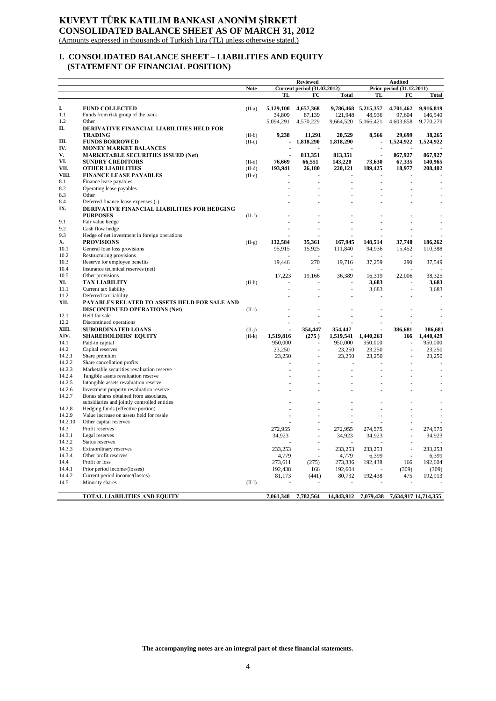# **KUVEYT TÜRK KATILIM BANKASI ANONİM ŞİRKETİ CONSOLIDATED BALANCE SHEET AS OF MARCH 31, 2012**

(Amounts expressed in thousands of Turkish Lira (TL) unless otherwise stated.)

# **I. CONSOLIDATED BALANCE SHEET – LIABILITIES AND EQUITY (STATEMENT OF FINANCIAL POSITION)**

|         |                                                                                        |             |           | Reviewed                           |                     |                     | Audited                   |                      |
|---------|----------------------------------------------------------------------------------------|-------------|-----------|------------------------------------|---------------------|---------------------|---------------------------|----------------------|
|         |                                                                                        | <b>Note</b> |           | <b>Current period (31.03.2012)</b> |                     |                     | Prior period (31.12.2011) |                      |
|         |                                                                                        |             | <b>TL</b> | FC                                 | <b>Total</b>        | TL                  | FC                        | <b>Total</b>         |
| I.      | <b>FUND COLLECTED</b>                                                                  | $(II-a)$    | 5,129,100 | 4,657,368                          |                     | 9,786,468 5,215,357 | 4,701,462                 | 9,916,819            |
| 1.1     | Funds from risk group of the bank                                                      |             | 34.809    | 87,139                             | 121.948             | 48.936              | 97.604                    | 146,540              |
| 1.2     | Other                                                                                  |             | 5,094,291 | 4,570,229                          | 9,664,520 5,166,421 |                     | 4,603,858                 | 9,770,279            |
| П.      | DERIVATIVE FINANCIAL LIABILITIES HELD FOR                                              |             |           |                                    |                     |                     |                           |                      |
|         | <b>TRADING</b>                                                                         | $(II-b)$    | 9,238     | 11,291                             | 20,529              | 8,566               | 29,699                    | 38,265               |
| Ш.      | <b>FUNDS BORROWED</b>                                                                  | $(II-c)$    |           | 1,818,290                          | 1,818,290           |                     | 1,524,922                 | 1,524,922            |
| IV.     | <b>MONEY MARKET BALANCES</b>                                                           |             |           |                                    |                     |                     |                           |                      |
| V.      | <b>MARKETABLE SECURITIES ISSUED (Net)</b>                                              |             |           | 813,351                            | 813,351             |                     | 867,927                   | 867,927              |
| VI.     | <b>SUNDRY CREDITORS</b>                                                                | $(II-d)$    | 76,669    | 66,551                             | 143,220             | 73,630              | 67,335                    | 140,965              |
| VII.    | <b>OTHER LIABILITIES</b>                                                               | $(II-d)$    | 193,941   | 26,180                             | 220,121             | 189,425             | 18,977                    | 208,402              |
| VIII.   | <b>FINANCE LEASE PAYABLES</b>                                                          | $(II-e)$    |           |                                    |                     |                     |                           |                      |
| 8.1     | Finance lease payables                                                                 |             |           |                                    |                     |                     |                           |                      |
| 8.2     | Operating lease payables                                                               |             |           |                                    |                     |                     |                           |                      |
| 8.3     | Other                                                                                  |             |           |                                    |                     |                     |                           |                      |
| 8.4     | Deferred finance lease expenses (-)                                                    |             |           |                                    |                     |                     |                           |                      |
| IX.     | DERIVATIVE FINANCIAL LIABILITIES FOR HEDGING                                           |             |           |                                    |                     |                     |                           |                      |
|         | <b>PURPOSES</b>                                                                        | $(II-f)$    |           |                                    |                     |                     |                           |                      |
| 9.1     | Fair value hedge                                                                       |             |           |                                    |                     |                     |                           |                      |
| 9.2     | Cash flow hedge                                                                        |             |           |                                    |                     |                     |                           |                      |
| 9.3     | Hedge of net investment in foreign operations                                          |             |           |                                    |                     |                     |                           |                      |
| X.      | <b>PROVISIONS</b>                                                                      | $(II-g)$    | 132,584   | 35,361                             | 167,945             | 148,514             | 37,748                    | 186,262              |
| 10.1    | General loan loss provisions                                                           |             | 95,915    | 15,925                             | 111,840             | 94,936              | 15,452                    | 110,388              |
| 10.2    | Restructuring provisions                                                               |             |           |                                    |                     |                     |                           |                      |
| 10.3    | Reserve for employee benefits                                                          |             | 19,446    | 270                                | 19,716              | 37,259              | 290                       | 37,549               |
| 10.4    | Insurance technical reserves (net)                                                     |             |           |                                    |                     |                     |                           |                      |
| 10.5    | Other provisions                                                                       |             | 17,223    | 19.166                             | 36,389              | 16,319              | 22,006                    | 38,325               |
| XI.     | <b>TAX LIABILITY</b>                                                                   | $(II-h)$    |           |                                    |                     | 3,683               |                           | 3,683                |
| 11.1    | Current tax liability                                                                  |             |           |                                    |                     | 3,683               | ä,                        | 3,683                |
| 11.2    | Deferred tax liability                                                                 |             |           |                                    |                     |                     |                           |                      |
| XII.    | PAYABLES RELATED TO ASSETS HELD FOR SALE AND                                           |             |           |                                    |                     |                     |                           |                      |
|         | <b>DISCONTINUED OPERATIONS (Net)</b>                                                   | $(II-i)$    |           |                                    |                     |                     |                           |                      |
| 12.1    | Held for sale                                                                          |             |           |                                    |                     |                     |                           |                      |
| 12.2    | Discontinued operations                                                                |             |           |                                    |                     |                     |                           |                      |
| XIII.   | <b>SUBORDINATED LOANS</b>                                                              | $(II-i)$    |           | 354,447                            | 354,447             |                     | 386,681                   | 386,681              |
| XIV.    | <b>SHAREHOLDERS' EQUITY</b>                                                            | $(II-k)$    | 1,519,816 | (275)                              | 1,519,541           | 1,440,263           | 166                       | 1,440,429            |
| 14.1    | Paid-in capital                                                                        |             | 950,000   |                                    | 950,000             | 950,000             |                           | 950,000              |
| 14.2    | Capital reserves                                                                       |             | 23,250    | L.                                 | 23,250              | 23,250              | $\overline{a}$            | 23,250               |
| 14.2.1  | Share premium                                                                          |             | 23,250    |                                    | 23,250              | 23,250              | $\overline{a}$            | 23,250               |
| 14.2.2  | Share cancellation profits                                                             |             |           |                                    | L,                  |                     |                           |                      |
| 14.2.3  | Marketable securities revaluation reserve                                              |             |           |                                    |                     |                     |                           |                      |
| 14.2.4  | Tangible assets revaluation reserve                                                    |             |           |                                    |                     |                     |                           |                      |
| 14.2.5  | Intangible assets revaluation reserve                                                  |             |           |                                    |                     |                     |                           |                      |
| 14.2.6  | Investment property revaluation reserve                                                |             |           |                                    |                     |                     |                           |                      |
| 14.2.7  | Bonus shares obtained from associates,<br>subsidiaries and jointly controlled entities |             |           |                                    |                     |                     |                           |                      |
| 14.2.8  | Hedging funds (effective portion)                                                      |             |           |                                    |                     |                     |                           |                      |
| 14.2.9  | Value increase on assets held for resale                                               |             |           |                                    |                     |                     |                           |                      |
| 14.2.10 | Other capital reserves                                                                 |             |           |                                    |                     |                     |                           |                      |
| 14.3    | Profit reserves                                                                        |             | 272,955   |                                    | 272,955             | 274,575             | ÷,                        | 274,575              |
| 14.3.1  | Legal reserves                                                                         |             | 34,923    |                                    | 34,923              | 34,923              |                           | 34,923               |
| 14.3.2  | Status reserves                                                                        |             |           |                                    |                     |                     |                           |                      |
| 14.3.3  | Extraordinary reserves                                                                 |             | 233,253   |                                    | 233,253             | 233,253             |                           | 233,253              |
| 14.3.4  | Other profit reserves                                                                  |             | 4,779     |                                    | 4,779               | 6,399               | $\overline{a}$            | 6,399                |
| 14.4    | Profit or loss                                                                         |             | 273,611   | (275)                              | 273,336             | 192,438             | 166                       | 192,604              |
| 14.4.1  | Prior period income/(losses)                                                           |             | 192,438   | 166                                | 192,604             |                     | (309)                     | (309)                |
| 14.4.2  | Current period income/(losses)                                                         |             | 81,173    | (441)                              | 80,732              | 192,438             | 475                       | 192,913              |
| 14.5    | Minority shares                                                                        | $(II-1)$    |           |                                    |                     |                     |                           |                      |
|         |                                                                                        |             |           |                                    |                     |                     |                           |                      |
|         | <b>TOTAL LIABILITIES AND EQUITY</b>                                                    |             | 7,061,348 | 7,782,564                          | 14,843,912          | 7,079,438           |                           | 7,634,917 14,714,355 |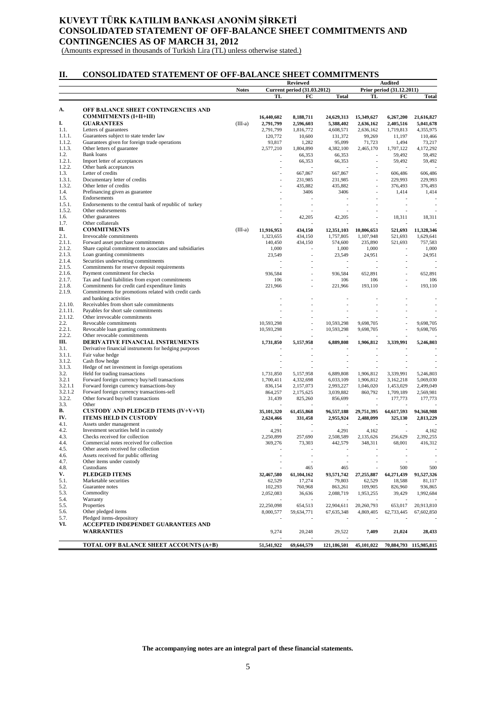# **KUVEYT TÜRK KATILIM BANKASI ANONİM ŞİRKETİ CONSOLIDATED STATEMENT OF OFF-BALANCE SHEET COMMITMENTS AND CONTINGENCIES AS OF MARCH 31, 2012**

(Amounts expressed in thousands of Turkish Lira (TL) unless otherwise stated.)

# **II. CONSOLIDATED STATEMENT OF OFF-BALANCE SHEET COMMITMENTS**

|                  |                                                                                   |              |                         | Reviewed                           |                         | <b>Audited</b>           |                           |                         |
|------------------|-----------------------------------------------------------------------------------|--------------|-------------------------|------------------------------------|-------------------------|--------------------------|---------------------------|-------------------------|
|                  |                                                                                   | <b>Notes</b> |                         | <b>Current period (31.03.2012)</b> |                         |                          | Prior period (31.12.2011) |                         |
|                  |                                                                                   |              | TL                      | FC                                 | <b>Total</b>            | TL                       | FC                        | <b>Total</b>            |
|                  |                                                                                   |              |                         |                                    |                         |                          |                           |                         |
| А.               | OFF BALANCE SHEET CONTINGENCIES AND<br><b>COMMITMENTS (I+II+III)</b>              |              |                         |                                    |                         |                          |                           |                         |
| I.               | <b>GUARANTEES</b>                                                                 | $(III-a)$    | 16,440,602<br>2,791,799 | 8,188,711<br>2,596,603             | 24,629,313<br>5,388,402 | 15,349,627<br>2,636,162  | 6,267,200<br>2,405,516    | 21,616,827<br>5,041,678 |
| 1.1.             | Letters of guarantees                                                             |              | 2,791,799               | 1,816,772                          | 4,608,571               | 2,636,162                | 1,719,813                 | 4,355,975               |
| 1.1.1.           | Guarantees subject to state tender law                                            |              | 120,772                 | 10,600                             | 131,372                 | 99,269                   | 11,197                    | 110,466                 |
| 1.1.2.           | Guarantees given for foreign trade operations                                     |              | 93,817                  | 1,282                              | 95,099                  | 71,723                   | 1,494                     | 73,217                  |
| 1.1.3.           | Other letters of guarantee                                                        |              | 2,577,210               | 1,804,890                          | 4,382,100               | 2,465,170                | 1,707,122                 | 4,172,292               |
| 1.2.             | <b>Bank</b> loans                                                                 |              |                         | 66,353                             | 66,353                  |                          | 59,492                    | 59,492                  |
| 1.2.1.           | Import letter of acceptances                                                      |              |                         | 66,353                             | 66,353                  | ÷,                       | 59,492                    | 59,492                  |
| 1.2.2.           | Other bank acceptances                                                            |              |                         |                                    |                         |                          |                           |                         |
| 1.3.             | Letter of credits                                                                 |              |                         | 667,867                            | 667,867                 | $\overline{a}$           | 606,486                   | 606,486                 |
| 1.3.1.           | Documentary letter of credits                                                     |              |                         | 231,985                            | 231,985                 | ÷                        | 229,993                   | 229,993                 |
| 1.3.2.<br>1.4.   | Other letter of credits<br>Prefinancing given as guarantee                        |              |                         | 435,882<br>3406                    | 435,882<br>3406         | ÷,<br>÷,                 | 376,493<br>1,414          | 376,493<br>1,414        |
| 1.5.             | Endorsements                                                                      |              |                         |                                    |                         |                          |                           |                         |
| 1.5.1.           | Endorsements to the central bank of republic of turkey                            |              |                         |                                    |                         |                          |                           |                         |
| 1.5.2.           | Other endorsements                                                                |              |                         |                                    |                         |                          |                           |                         |
| 1.6.             | Other guarantees                                                                  |              |                         | 42,205                             | 42,205                  | ÷,                       | 18,311                    | 18,311                  |
| 1.7.             | Other collaterals                                                                 |              |                         |                                    |                         |                          |                           |                         |
| П.               | <b>COMMITMENTS</b>                                                                | $(III-a)$    | 11,916,953              | 434,150                            | 12,351,103              | 10,806,653               | 521,693                   | 11,328,346              |
| 2.1.             | Irrevocable commitments                                                           |              | 1,323,655               | 434,150                            | 1,757,805               | 1,107,948                | 521,693                   | 1,629,641               |
| 2.1.1.           | Forward asset purchase commitments                                                |              | 140,450                 | 434,150                            | 574,600                 | 235,890                  | 521,693                   | 757,583                 |
| 2.1.2.           | Share capital commitment to associates and subsidiaries                           |              | 1,000                   |                                    | 1,000                   | 1,000                    |                           | 1,000                   |
| 2.1.3.           | Loan granting commitments                                                         |              | 23,549                  |                                    | 23,549                  | 24,951                   |                           | 24.951                  |
| 2.1.4.           | Securities underwriting commitments                                               |              |                         |                                    |                         |                          |                           |                         |
| 2.1.5.           | Commitments for reserve deposit requirements                                      |              |                         |                                    |                         |                          |                           |                         |
| 2.1.6.<br>2.1.7. | Payment commitment for checks<br>Tax and fund liabilities from export commitments |              | 936.584<br>106          |                                    | 936,584<br>106          | 652,891<br>106           |                           | 652,891<br>106          |
| 2.1.8.           | Commitments for credit card expenditure limits                                    |              | 221,966                 |                                    | 221,966                 | 193,110                  |                           | 193,110                 |
| 2.1.9.           | Commitments for promotions related with credit cards                              |              |                         |                                    |                         |                          |                           |                         |
|                  | and banking activities                                                            |              |                         |                                    |                         |                          |                           |                         |
| 2.1.10.          | Receivables from short sale commitments                                           |              |                         |                                    |                         |                          |                           |                         |
| 2.1.11.          | Payables for short sale commitments                                               |              |                         |                                    |                         |                          |                           |                         |
| 2.1.12.          | Other irrevocable commitments                                                     |              |                         |                                    |                         |                          |                           |                         |
| 2.2.             | Revocable commitments                                                             |              | 10,593,298              |                                    | 10,593,298              | 9,698,705                | ÷,                        | 9,698,705               |
| 2.2.1.           | Revocable loan granting commitments                                               |              | 10,593,298              |                                    | 10,593,298              | 9,698,705                |                           | 9,698,705               |
| 2.2.2.           | Other revocable commitments                                                       |              |                         |                                    |                         |                          |                           |                         |
| Ш.<br>3.1.       | <b>DERIVATIVE FINANCIAL INSTRUMENTS</b>                                           |              | 1,731,850               | 5,157,958                          | 6,889,808               | 1,906,812                | 3,339,991                 | 5,246,803               |
| 3.1.1.           | Derivative financial instruments for hedging purposes<br>Fair value hedge         |              |                         |                                    |                         |                          |                           |                         |
| 3.1.2.           | Cash flow hedge                                                                   |              |                         |                                    |                         |                          |                           |                         |
| 3.1.3.           | Hedge of net investment in foreign operations                                     |              |                         |                                    |                         |                          |                           |                         |
| 3.2.             | Held for trading transactions                                                     |              | 1,731,850               | 5,157,958                          | 6,889,808               | 1,906,812                | 3,339,991                 | 5,246,803               |
| 3.2.1            | Forward foreign currency buy/sell transactions                                    |              | 1,700,411               | 4,332,698                          | 6,033,109               | 1,906,812                | 3,162,218                 | 5,069,030               |
| 3.2.1.1          | Forward foreign currency transactions-buy                                         |              | 836,154                 | 2,157,073                          | 2,993,227               | 1,046,020                | 1,453,029                 | 2,499,049               |
| 3.2.1.2          | Forward foreign currency transactions-sell                                        |              | 864,257                 | 2,175,625                          | 3,039,882               | 860,792                  | 1,709,189                 | 2,569,981               |
| 3.2.2.           | Other forward buy/sell transactions                                               |              | 31,439                  | 825,260                            | 856,699                 | $\overline{\phantom{a}}$ | 177,773                   | 177,773                 |
| 3.3.             | Other                                                                             |              |                         |                                    |                         |                          |                           |                         |
| B.               | <b>CUSTODY AND PLEDGED ITEMS (IV+V+VI)</b>                                        |              | 35,101,320              | 61,455,868                         | 96,557,188              | 29,751,395               | 64,617,593                | 94,368,988              |
| IV.              | <b>ITEMS HELD IN CUSTODY</b>                                                      |              | 2,624,466               | 331,458                            | 2,955,924               | 2,488,099                | 325,130                   | 2,813,229               |
| 4.1.             | Assets under management                                                           |              |                         |                                    |                         |                          |                           |                         |
| 4.2.<br>4.3.     | Investment securities held in custody<br>Checks received for collection           |              | 4,291<br>2,250,899      | ÷,<br>257,690                      | 4,291<br>2,508,589      | 4,162<br>2,135,626       | $\overline{a}$<br>256,629 | 4,162<br>2,392,255      |
| 4.4.             | Commercial notes received for collection                                          |              | 369,276                 | 73,303                             | 442,579                 | 348,311                  | 68,001                    | 416,312                 |
| 4.5.             | Other assets received for collection                                              |              |                         |                                    | ч.                      |                          |                           |                         |
| 4.6.             | Assets received for public offering                                               |              |                         |                                    |                         |                          |                           |                         |
| 4.7.             | Other items under custody                                                         |              |                         |                                    |                         |                          |                           |                         |
| 4.8.             | Custodians                                                                        |              |                         | 465                                | 465                     |                          | 500                       | 500                     |
| V.               | <b>PLEDGED ITEMS</b>                                                              |              | 32,467,580              | 61,104,162                         | 93,571,742              | 27, 255, 887             | 64,271,439                | 91,527,326              |
| 5.1.             | Marketable securities                                                             |              | 62,529                  | 17,274                             | 79,803                  | 62,529                   | 18,588                    | 81,117                  |
| 5.2.             | Guarantee notes                                                                   |              | 102,293                 | 760,968                            | 863,261                 | 109,905                  | 826,960                   | 936,865                 |
| 5.3.             | Commodity                                                                         |              | 2,052,083               | 36,636                             | 2,088,719               | 1,953,255                | 39,429                    | 1,992,684               |
| 5.4.             | Warranty                                                                          |              |                         |                                    |                         |                          |                           |                         |
| 5.5.             | Properties<br>Other pledged items                                                 |              | 22,250,098              | 654,513                            | 22,904,611              | 20,260,793               | 653,017                   | 20,913,810              |
| 5.6.<br>5.7.     | Pledged items-depository                                                          |              | 8,000,577               | 59,634,771                         | 67,635,348              | 4,869,405                | 62,733,445                | 67,602,850              |
| VI.              | ACCEPTED INDEPENDET GUARANTEES AND                                                |              |                         |                                    |                         |                          |                           |                         |
|                  | <b>WARRANTIES</b>                                                                 |              | 9,274                   | 20,248                             | 29,522                  | 7,409                    | 21,024                    | 28,433                  |
|                  |                                                                                   |              |                         |                                    |                         |                          |                           |                         |
|                  | <b>TOTAL OFF BALANCE SHEET ACCOUNTS (A+B)</b>                                     |              | 51,541,922              | 69,644,579                         | 121,186,501             | 45,101,022               | 70,884,793                | 115,985,815             |
|                  |                                                                                   |              |                         |                                    |                         |                          |                           |                         |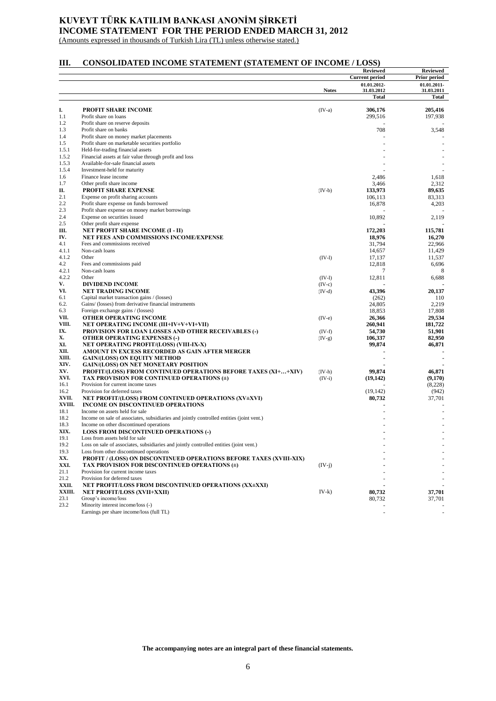# **KUVEYT TÜRK KATILIM BANKASI ANONİM ŞİRKETİ INCOME STATEMENT FOR THE PERIOD ENDED MARCH 31, 2012**

(Amounts expressed in thousands of Turkish Lira (TL) unless otherwise stated.)

# **III. CONSOLIDATED INCOME STATEMENT (STATEMENT OF INCOME / LOSS)**

|              |                                                                                                                             |              | <b>Reviewed</b>           | <b>Reviewed</b>           |
|--------------|-----------------------------------------------------------------------------------------------------------------------------|--------------|---------------------------|---------------------------|
|              |                                                                                                                             |              | <b>Current period</b>     | Prior period              |
|              |                                                                                                                             | <b>Notes</b> | 01.01.2012-<br>31.03.2012 | 01.01.2011-<br>31.03.2011 |
|              |                                                                                                                             |              | Total                     | Total                     |
| I.           |                                                                                                                             |              |                           |                           |
| 1.1          | <b>PROFIT SHARE INCOME</b><br>Profit share on loans                                                                         | $(IV-a)$     | 306,176<br>299,516        | 205,416<br>197,938        |
| 1.2          | Profit share on reserve deposits                                                                                            |              |                           |                           |
| 1.3          | Profit share on banks                                                                                                       |              | 708                       | 3,548                     |
| 1.4          | Profit share on money market placements                                                                                     |              |                           |                           |
| 1.5          | Profit share on marketable securities portfolio                                                                             |              |                           |                           |
| 1.5.1        | Held-for-trading financial assets                                                                                           |              |                           |                           |
| 1.5.2        | Financial assets at fair value through profit and loss                                                                      |              |                           |                           |
| 1.5.3        | Available-for-sale financial assets                                                                                         |              |                           |                           |
| 1.5.4        | Investment-held for maturity                                                                                                |              |                           |                           |
| 1.6          | Finance lease income                                                                                                        |              | 2,486                     | 1,618                     |
| 1.7          | Other profit share income                                                                                                   |              | 3,466                     | 2,312                     |
| П.           | <b>PROFIT SHARE EXPENSE</b>                                                                                                 | $(IV-b)$     | 133,973                   | 89,635                    |
| 2.1          | Expense on profit sharing accounts                                                                                          |              | 106,113                   | 83,313                    |
| 2.2          | Profit share expense on funds borrowed                                                                                      |              | 16,878                    | 4,203                     |
| 2.3<br>2.4   | Profit share expense on money market borrowings                                                                             |              |                           |                           |
| 2.5          | Expense on securities issued                                                                                                |              | 10,892                    | 2,119                     |
| Ш.           | Other profit share expense<br><b>NET PROFIT SHARE INCOME (I - II)</b>                                                       |              | 172,203                   | 115,781                   |
| IV.          | NET FEES AND COMMISSIONS INCOME/EXPENSE                                                                                     |              | 18,976                    | 16,270                    |
| 4.1          | Fees and commissions received                                                                                               |              | 31,794                    | 22,966                    |
| 4.1.1        | Non-cash loans                                                                                                              |              | 14,657                    | 11,429                    |
| 4.1.2        | Other                                                                                                                       | $(IV-1)$     | 17,137                    | 11,537                    |
| 4.2          | Fees and commissions paid                                                                                                   |              | 12,818                    | 6,696                     |
| 4.2.1        | Non-cash loans                                                                                                              |              | 7                         | 8                         |
| 4.2.2        | Other                                                                                                                       | $(IV-1)$     | 12,811                    | 6,688                     |
| V.           | <b>DIVIDEND INCOME</b>                                                                                                      | $(IV-c)$     |                           |                           |
| VI.          | <b>NET TRADING INCOME</b>                                                                                                   | $(IV-d)$     | 43,396                    | 20,137                    |
| 6.1          | Capital market transaction gains / (losses)                                                                                 |              | (262)                     | 110                       |
| 6.2.         | Gains/ (losses) from derivative financial instruments                                                                       |              | 24,805                    | 2,219                     |
| 6.3          | Foreign exchange gains / (losses)                                                                                           |              | 18,853                    | 17,808                    |
| VII.         | OTHER OPERATING INCOME                                                                                                      | $(IV-e)$     | 26,366                    | 29,534                    |
| VIII.        | <b>NET OPERATING INCOME (III+IV+V+VI+VII)</b>                                                                               |              | 260,941                   | 181,722                   |
| IX.<br>Х.    | <b>PROVISION FOR LOAN LOSSES AND OTHER RECEIVABLES (-)</b>                                                                  | $(IV-f)$     | 54,730                    | 51,901                    |
| XI.          | <b>OTHER OPERATING EXPENSES (-)</b><br>NET OPERATING PROFIT/(LOSS) (VIII-IX-X)                                              | $(IV-g)$     | 106,337<br>99,874         | 82,950<br>46,871          |
| XII.         | AMOUNT IN EXCESS RECORDED AS GAIN AFTER MERGER                                                                              |              |                           |                           |
| XIII.        | <b>GAIN/(LOSS) ON EQUITY METHOD</b>                                                                                         |              |                           |                           |
| XIV.         | <b>GAIN/(LOSS) ON NET MONETARY POSITION</b>                                                                                 |              |                           |                           |
| XV.          | <b>PROFIT/(LOSS) FROM CONTINUED OPERATIONS BEFORE TAXES (XI++XIV)</b>                                                       | $(IV-h)$     | 99,874                    | 46,871                    |
| XVI.         | TAX PROVISION FOR CONTINUED OPERATIONS (±)                                                                                  | $(IV-i)$     | (19, 142)                 | (9,170)                   |
| 16.1         | Provision for current income taxes                                                                                          |              |                           | (8,228)                   |
| 16.2         | Provision for deferred taxes                                                                                                |              | (19, 142)                 | (942)                     |
| XVII.        | NET PROFIT/(LOSS) FROM CONTINUED OPERATIONS (XV±XVI)                                                                        |              | 80,732                    | 37,701                    |
| XVIII.       | INCOME ON DISCONTINUED OPERATIONS                                                                                           |              |                           |                           |
| 18.1         | Income on assets held for sale                                                                                              |              |                           |                           |
| 18.2         | Income on sale of associates, subsidiaries and jointly controlled entities (joint vent.)                                    |              |                           |                           |
| 18.3         | Income on other discontinued operations                                                                                     |              |                           |                           |
| XIX.         | <b>LOSS FROM DISCONTINUED OPERATIONS (-)</b>                                                                                |              |                           |                           |
| 19.1         | Loss from assets held for sale                                                                                              |              |                           |                           |
| 19.2         | Loss on sale of associates, subsidiaries and jointly controlled entities (joint vent.)                                      |              |                           |                           |
| 19.3         | Loss from other discontinued operations                                                                                     |              |                           |                           |
| XX.          | <b>PROFIT / (LOSS) ON DISCONTINUED OPERATIONS BEFORE TAXES (XVIII-XIX)</b><br>TAX PROVISION FOR DISCONTINUED OPERATIONS (±) |              |                           |                           |
| XXI.<br>21.1 |                                                                                                                             | $(IV-j)$     |                           |                           |
| 21.2         | Provision for current income taxes<br>Provision for deferred taxes                                                          |              |                           |                           |
| XXII.        | NET PROFIT/LOSS FROM DISCONTINUED OPERATIONS (XX±XXI)                                                                       |              |                           |                           |
| XXIII.       | <b>NET PROFIT/LOSS (XVII+XXII)</b>                                                                                          | $IV-k)$      | 80,732                    | 37,701                    |
| 23.1         | Group's income/loss                                                                                                         |              | 80,732                    | 37,701                    |
| 23.2         | Minority interest income/loss (-)                                                                                           |              |                           |                           |
|              | Earnings per share income/loss (full TL)                                                                                    |              |                           |                           |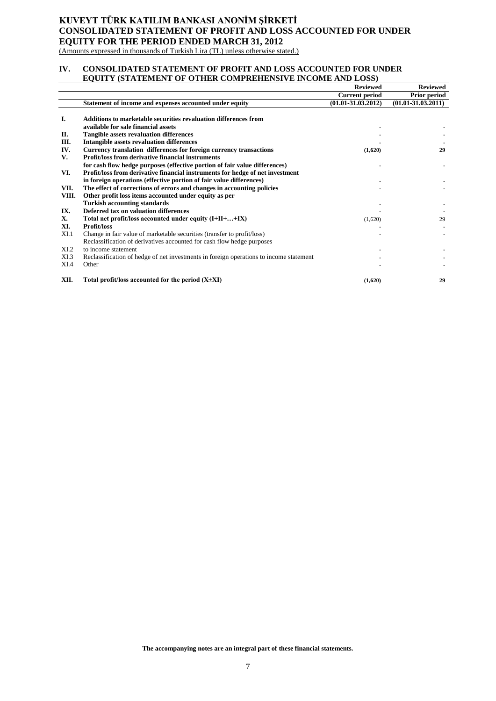# **KUVEYT TÜRK KATILIM BANKASI ANONİM ŞİRKETİ CONSOLIDATED STATEMENT OF PROFIT AND LOSS ACCOUNTED FOR UNDER EQUITY FOR THE PERIOD ENDED MARCH 31, 2012**

(Amounts expressed in thousands of Turkish Lira (TL) unless otherwise stated.)

## **IV. CONSOLIDATED STATEMENT OF PROFIT AND LOSS ACCOUNTED FOR UNDER EQUITY (STATEMENT OF OTHER COMPREHENSIVE INCOME AND LOSS)**

|                  |                                                                                        | <b>Reviewed</b>        | <b>Reviewed</b>        |
|------------------|----------------------------------------------------------------------------------------|------------------------|------------------------|
|                  |                                                                                        | <b>Current period</b>  | <b>Prior period</b>    |
|                  | Statement of income and expenses accounted under equity                                | $(01.01 - 31.03.2012)$ | $(01.01 - 31.03.2011)$ |
|                  |                                                                                        |                        |                        |
| I.               | Additions to marketable securities revaluation differences from                        |                        |                        |
|                  | available for sale financial assets                                                    |                        |                        |
| П.               | <b>Tangible assets revaluation differences</b>                                         |                        |                        |
| Ш.               | <b>Intangible assets revaluation differences</b>                                       |                        |                        |
| IV.              | Currency translation differences for foreign currency transactions                     | (1,620)                | 29                     |
| V.               | <b>Profit/loss from derivative financial instruments</b>                               |                        |                        |
|                  | for cash flow hedge purposes (effective portion of fair value differences)             |                        |                        |
| VI.              | Profit/loss from derivative financial instruments for hedge of net investment          |                        |                        |
|                  | in foreign operations (effective portion of fair value differences)                    |                        |                        |
| VII.             | The effect of corrections of errors and changes in accounting policies                 |                        |                        |
| VIII.            | Other profit loss items accounted under equity as per                                  |                        |                        |
|                  | <b>Turkish accounting standards</b>                                                    |                        |                        |
| IX.              | Deferred tax on valuation differences                                                  |                        |                        |
| Х.               | Total net profit/loss accounted under equity (I+II++IX)                                | (1,620)                | 29                     |
| XI.              | <b>Profit/loss</b>                                                                     |                        |                        |
| XI.1             | Change in fair value of marketable securities (transfer to profit/loss)                |                        |                        |
|                  | Reclassification of derivatives accounted for cash flow hedge purposes                 |                        |                        |
| X <sub>L</sub> 2 | to income statement                                                                    |                        |                        |
| XI.3             | Reclassification of hedge of net investments in foreign operations to income statement |                        |                        |
| XI.4             | Other                                                                                  |                        |                        |
| XII.             | Total profit/loss accounted for the period $(X \pm XI)$                                | (1,620)                | 29                     |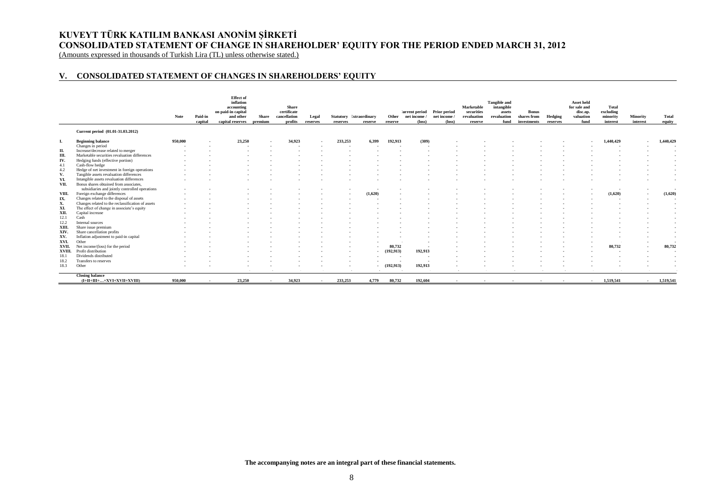# **KUVEYT TÜRK KATILIM BANKASI ANONİM ŞİRKETİ CONSOLIDATED STATEMENT OF CHANGE IN SHAREHOLDER' EQUITY FOR THE PERIOD ENDED MARCH 31, 2012**

(Amounts expressed in thousands of Turkish Lira (TL) unless otherwise stated.)

## **V. CONSOLIDATED STATEMENT OF CHANGES IN SHAREHOLDERS' EQUITY**

|       |                                                        | Note    | Paid-in<br>capital | <b>Effect</b> of<br>inflation<br>accounting<br>on paid-in capital<br>and other<br>capital reserves | <b>Share</b><br>premium  | <b>Share</b><br>certificate<br>cancellation<br>profits | Legal<br>reserves | Statutory Extraordinary<br>reserves | reserve | Other<br>reserve | 'urrent period Prior period<br>net income /<br>$(\text{loss})$ | net income<br>$(\text{loss})$ | Marketable<br>securities<br>revaluation<br>reserve | <b>Tangible and</b><br>intangible<br>assets<br>revaluation<br>fund | <b>Bonus</b><br>shares from<br>investments | Hedging<br>reserves | <b>Asset held</b><br>for sale and<br>disc.op.<br>valuation<br>fund | Total<br>excluding<br>minority<br>interest | Minority<br>interest     | Total<br>equity          |
|-------|--------------------------------------------------------|---------|--------------------|----------------------------------------------------------------------------------------------------|--------------------------|--------------------------------------------------------|-------------------|-------------------------------------|---------|------------------|----------------------------------------------------------------|-------------------------------|----------------------------------------------------|--------------------------------------------------------------------|--------------------------------------------|---------------------|--------------------------------------------------------------------|--------------------------------------------|--------------------------|--------------------------|
|       | Current period (01.01-31.03.2012)                      |         |                    |                                                                                                    |                          |                                                        |                   |                                     |         |                  |                                                                |                               |                                                    |                                                                    |                                            |                     |                                                                    |                                            |                          |                          |
|       | <b>Beginning balance</b>                               | 950,000 |                    | 23,250                                                                                             |                          | 34.923                                                 |                   | 233.253                             | 6.399   | 192.913          | (309)                                                          |                               |                                                    |                                                                    |                                            |                     |                                                                    | 1,440,429                                  | $\overline{\phantom{a}}$ | 1,440,429                |
|       | Changes in period                                      |         |                    |                                                                                                    |                          |                                                        |                   |                                     |         |                  |                                                                |                               |                                                    |                                                                    |                                            |                     |                                                                    |                                            |                          |                          |
| П.    | Increase/decrease related to merger                    |         |                    |                                                                                                    |                          |                                                        |                   |                                     |         |                  |                                                                |                               |                                                    |                                                                    |                                            |                     |                                                                    |                                            |                          | $\overline{a}$           |
| Ш.    | Marketable securities revaluation differences          |         |                    |                                                                                                    |                          |                                                        |                   |                                     |         |                  |                                                                |                               |                                                    |                                                                    |                                            |                     |                                                                    |                                            |                          |                          |
| IV.   | Hedging funds (effective portion)                      |         |                    |                                                                                                    |                          |                                                        |                   |                                     |         |                  |                                                                |                               |                                                    |                                                                    |                                            |                     |                                                                    |                                            |                          |                          |
| 4.1   | Cash-flow hedge                                        |         |                    |                                                                                                    |                          |                                                        |                   |                                     |         |                  |                                                                |                               |                                                    |                                                                    |                                            |                     |                                                                    |                                            |                          |                          |
| 4.2   | Hedge of net investment in foreign operations          |         |                    |                                                                                                    |                          |                                                        |                   |                                     |         |                  |                                                                |                               |                                                    |                                                                    |                                            |                     |                                                                    |                                            |                          |                          |
| V.    | Tangible assets revaluation differences                |         |                    |                                                                                                    |                          |                                                        |                   |                                     |         |                  |                                                                |                               |                                                    |                                                                    |                                            |                     |                                                                    |                                            |                          | $\sim$                   |
| VI.   | Intangible assets revaluation differences              |         |                    |                                                                                                    |                          |                                                        |                   |                                     |         |                  |                                                                |                               |                                                    |                                                                    |                                            |                     |                                                                    |                                            |                          | $\overline{\phantom{a}}$ |
| VII.  | Bonus shares obtained from associates.                 |         |                    |                                                                                                    |                          |                                                        |                   |                                     |         |                  |                                                                |                               |                                                    |                                                                    |                                            |                     |                                                                    |                                            |                          |                          |
|       | subsidiaries and jointly controlled operations         |         |                    |                                                                                                    |                          |                                                        |                   |                                     |         |                  |                                                                |                               |                                                    |                                                                    |                                            |                     |                                                                    |                                            | $\sim$                   |                          |
| VIII. | Foreign exchange differences                           |         |                    |                                                                                                    |                          |                                                        |                   |                                     | (1.620) |                  |                                                                |                               |                                                    |                                                                    |                                            |                     |                                                                    | (1,620)                                    | $\sim$                   | (1,620)                  |
| IX.   | Changes related to the disposal of assets              |         |                    |                                                                                                    |                          |                                                        |                   |                                     |         |                  |                                                                |                               |                                                    |                                                                    |                                            |                     |                                                                    |                                            |                          |                          |
| Х.    | Changes related to the reclassification of assets      |         |                    |                                                                                                    |                          |                                                        |                   |                                     |         |                  |                                                                |                               |                                                    |                                                                    |                                            |                     |                                                                    |                                            |                          |                          |
| XI.   | The effect of change in associate's equity             |         |                    |                                                                                                    |                          |                                                        |                   |                                     |         |                  |                                                                |                               |                                                    |                                                                    |                                            |                     |                                                                    |                                            |                          | $\sim$                   |
| XII.  | Capital increase                                       |         |                    |                                                                                                    |                          |                                                        |                   |                                     |         |                  |                                                                |                               |                                                    |                                                                    |                                            |                     |                                                                    |                                            |                          | $\sim$                   |
| 12.1  | Cash                                                   |         |                    |                                                                                                    |                          |                                                        |                   |                                     |         |                  |                                                                |                               |                                                    |                                                                    |                                            |                     |                                                                    |                                            |                          |                          |
| 12.2  | Internal sources                                       |         |                    |                                                                                                    |                          |                                                        |                   |                                     |         |                  |                                                                |                               |                                                    |                                                                    |                                            |                     |                                                                    |                                            |                          |                          |
| XIII. | Share issue premium                                    |         |                    |                                                                                                    |                          |                                                        |                   |                                     |         |                  |                                                                |                               |                                                    |                                                                    |                                            |                     |                                                                    |                                            |                          |                          |
| XIV.  | Share cancellation profits                             |         |                    |                                                                                                    |                          |                                                        |                   |                                     |         |                  |                                                                |                               |                                                    |                                                                    |                                            |                     |                                                                    |                                            |                          |                          |
| XV.   | Inflation adjustment to paid-in capital                |         |                    |                                                                                                    |                          |                                                        |                   |                                     |         |                  |                                                                |                               |                                                    |                                                                    |                                            |                     |                                                                    |                                            |                          | $\overline{a}$           |
| XVI.  | Other                                                  |         |                    |                                                                                                    |                          |                                                        |                   |                                     |         |                  |                                                                |                               |                                                    |                                                                    |                                            |                     |                                                                    |                                            |                          | $\blacksquare$           |
| XVII. | Net income/(loss) for the period                       |         |                    |                                                                                                    |                          |                                                        |                   |                                     |         | 80,732           |                                                                |                               |                                                    |                                                                    |                                            |                     |                                                                    | 80,732                                     | $\overline{\phantom{a}}$ | 80,732                   |
|       | XVIII. Profit distribution                             |         |                    |                                                                                                    |                          |                                                        |                   |                                     | $\sim$  | (192, 913)       | 192,913                                                        |                               |                                                    |                                                                    |                                            |                     |                                                                    |                                            | $\overline{\phantom{a}}$ | $\overline{\phantom{a}}$ |
| 18.1  | Dividends distributed                                  |         |                    |                                                                                                    |                          |                                                        |                   |                                     |         | $\sim$           | . .                                                            |                               |                                                    |                                                                    |                                            |                     |                                                                    |                                            |                          | $\sim$                   |
| 18.2  | Transfers to reserves                                  |         |                    |                                                                                                    |                          |                                                        |                   |                                     |         | . .              | . .                                                            |                               |                                                    |                                                                    |                                            |                     |                                                                    |                                            |                          |                          |
| 18.3  | Other                                                  |         |                    |                                                                                                    |                          |                                                        |                   |                                     |         | (192, 913)       | 192,913                                                        |                               |                                                    |                                                                    |                                            |                     |                                                                    |                                            |                          |                          |
|       |                                                        |         |                    |                                                                                                    |                          |                                                        |                   |                                     |         |                  |                                                                |                               |                                                    |                                                                    |                                            |                     |                                                                    |                                            |                          |                          |
|       | <b>Closing balance</b><br>$(I+II+III++XVI+XVII+XVIII)$ | 950,000 | $\sim$             | 23,250                                                                                             | $\overline{\phantom{a}}$ | 34,923                                                 | $\sim$            | 233,253                             | 4,779   | 80,732           | 192,604                                                        | $\sim$                        |                                                    | $\overline{\phantom{a}}$                                           | $\sim$                                     | $\sim$              | $\sim$                                                             | 1,519,541                                  | <b>A</b> 1               | 1,519,541                |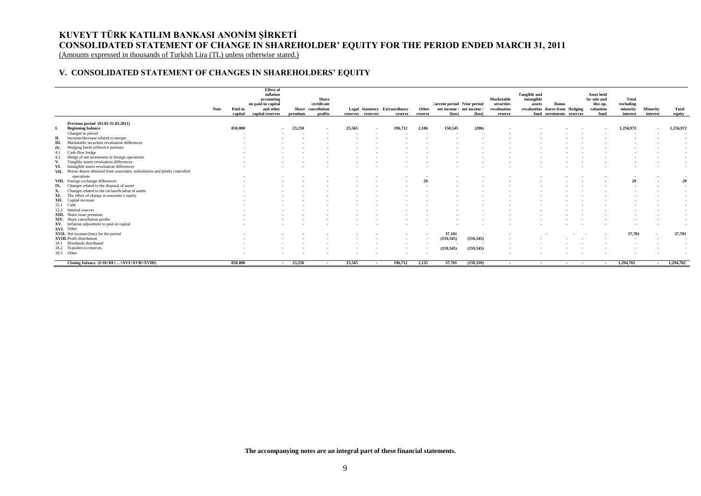# **KUVEYT TÜRK KATILIM BANKASI ANONİM ŞİRKETİ CONSOLIDATED STATEMENT OF CHANGE IN SHAREHOLDER' EQUITY FOR THE PERIOD ENDED MARCH 31, 2011**

(Amounts expressed in thousands of Turkish Lira (TL) unless otherwise stated.)

# **V. CONSOLIDATED STATEMENT OF CHANGES IN SHAREHOLDERS' EQUITY**

|     |                                                                                 | Note | Paid-in<br>capital | <b>Effect</b> of<br>inflation<br>accounting<br>on paid-in capital<br>and other<br>capital reserves | premium | <b>Share</b><br>certificate<br>Share cancellation<br>profits |        | reserves reserves | Legal Statutory Extraordinary<br>reserve | Other<br>reserve | Current period Prior period<br>net income / net income<br>$(\text{loss})$ | (loss)     | Marketable<br>securities<br>revaluation<br>reserve | <b>Tangible and</b><br>intangible<br>assets | <b>Bonus</b><br>revaluation hares from Hedging<br>fund nvestments reserves |     | <b>Asset held</b><br>for sale and<br>disc.op.<br>valuation<br>fund | Total<br>excluding<br>minority<br>interest | Minority<br>interest | Total<br>equity |
|-----|---------------------------------------------------------------------------------|------|--------------------|----------------------------------------------------------------------------------------------------|---------|--------------------------------------------------------------|--------|-------------------|------------------------------------------|------------------|---------------------------------------------------------------------------|------------|----------------------------------------------------|---------------------------------------------|----------------------------------------------------------------------------|-----|--------------------------------------------------------------------|--------------------------------------------|----------------------|-----------------|
|     | Previous period (01.01-31.03.2011)                                              |      |                    |                                                                                                    |         |                                                              |        |                   |                                          |                  |                                                                           |            |                                                    |                                             |                                                                            |     |                                                                    |                                            |                      |                 |
| L.  | <b>Beginning balance</b>                                                        |      | 850,000            | $\sim$                                                                                             | 23.250  |                                                              | 25.565 |                   | 196,712                                  | 2,106            | 150,545                                                                   | (206)      |                                                    |                                             |                                                                            |     |                                                                    | 1,256,972                                  | $\sim$               | 1,256,972       |
|     | Changes in period                                                               |      |                    |                                                                                                    |         |                                                              |        |                   |                                          |                  |                                                                           |            |                                                    |                                             |                                                                            |     |                                                                    |                                            |                      |                 |
| П.  | Increase/decrease related to merger                                             |      |                    |                                                                                                    |         |                                                              |        |                   |                                          |                  |                                                                           |            |                                                    |                                             |                                                                            |     |                                                                    |                                            |                      |                 |
| Ш.  | Marketable securities revaluation differences                                   |      |                    |                                                                                                    |         |                                                              |        |                   |                                          |                  |                                                                           |            |                                                    |                                             |                                                                            |     |                                                                    |                                            |                      |                 |
| IV. | Hedging funds (effective portion)                                               |      |                    |                                                                                                    |         |                                                              |        |                   |                                          |                  |                                                                           |            |                                                    |                                             |                                                                            |     |                                                                    |                                            |                      |                 |
| 4.1 | Cash-flow hedge                                                                 |      |                    |                                                                                                    |         |                                                              |        |                   |                                          |                  |                                                                           |            |                                                    |                                             |                                                                            |     |                                                                    |                                            |                      |                 |
| 4.2 | Hedge of net investment in foreign operations                                   |      |                    |                                                                                                    |         |                                                              |        |                   |                                          |                  |                                                                           |            |                                                    |                                             |                                                                            |     |                                                                    |                                            |                      |                 |
| V.  | Tangible assets revaluation differences                                         |      |                    |                                                                                                    |         |                                                              |        |                   |                                          |                  |                                                                           |            |                                                    |                                             |                                                                            |     |                                                                    |                                            |                      |                 |
| VI. | Intangible assets revaluation differences                                       |      |                    |                                                                                                    |         |                                                              |        |                   |                                          |                  |                                                                           |            |                                                    |                                             |                                                                            |     |                                                                    |                                            |                      |                 |
|     | VII. Bonus shares obtained from associates, subsidiaries and jointly controlled |      |                    |                                                                                                    |         |                                                              |        |                   |                                          |                  |                                                                           |            |                                                    |                                             |                                                                            |     |                                                                    |                                            |                      |                 |
|     | operations                                                                      |      |                    |                                                                                                    |         |                                                              |        |                   |                                          |                  |                                                                           |            |                                                    |                                             |                                                                            |     |                                                                    |                                            |                      | $\sim$          |
|     | VIII. Foreign exchange differences                                              |      |                    |                                                                                                    |         |                                                              |        |                   |                                          | 29               |                                                                           |            |                                                    |                                             |                                                                            |     |                                                                    |                                            |                      | 29              |
|     | IX. Changes related to the disposal of assets                                   |      |                    |                                                                                                    |         |                                                              |        |                   |                                          |                  |                                                                           |            |                                                    |                                             |                                                                            |     |                                                                    |                                            |                      |                 |
|     | Changes related to the reclassification of assets                               |      |                    |                                                                                                    |         |                                                              |        |                   |                                          |                  |                                                                           |            |                                                    |                                             |                                                                            |     |                                                                    |                                            |                      |                 |
| XI. | The effect of change in associate's equity                                      |      |                    |                                                                                                    |         |                                                              |        |                   |                                          |                  |                                                                           |            |                                                    |                                             |                                                                            |     |                                                                    |                                            |                      |                 |
|     | XII. Capital increase                                                           |      |                    |                                                                                                    |         |                                                              |        |                   |                                          |                  |                                                                           |            |                                                    |                                             |                                                                            |     |                                                                    |                                            |                      |                 |
|     | 12.1 Cash                                                                       |      |                    |                                                                                                    |         |                                                              |        |                   |                                          |                  |                                                                           |            |                                                    |                                             |                                                                            |     |                                                                    |                                            |                      |                 |
|     | 12.2 Internal sources                                                           |      |                    |                                                                                                    |         |                                                              |        |                   |                                          |                  |                                                                           |            |                                                    |                                             |                                                                            |     |                                                                    |                                            |                      |                 |
|     | XIII. Share issue premium                                                       |      |                    |                                                                                                    |         |                                                              |        |                   |                                          |                  |                                                                           |            |                                                    |                                             |                                                                            |     |                                                                    |                                            |                      |                 |
|     | XIV. Share cancellation profits                                                 |      |                    |                                                                                                    |         |                                                              |        |                   |                                          |                  |                                                                           |            |                                                    |                                             |                                                                            |     |                                                                    |                                            |                      |                 |
|     | XV. Inflation adjustment to paid-in capital                                     |      |                    |                                                                                                    |         |                                                              |        |                   |                                          |                  |                                                                           |            |                                                    |                                             |                                                                            |     |                                                                    |                                            |                      |                 |
|     | XVI. Other                                                                      |      |                    |                                                                                                    |         |                                                              |        |                   |                                          |                  |                                                                           |            |                                                    |                                             |                                                                            |     |                                                                    |                                            |                      |                 |
|     | XVII. Net income/(loss) for the period                                          |      |                    |                                                                                                    |         |                                                              |        |                   | $\sim$                                   |                  | 37,101                                                                    | ٠.         |                                                    |                                             |                                                                            |     |                                                                    | 37,701                                     |                      | 37,701          |
|     | <b>XVIII.</b> Profit distribution                                               |      |                    |                                                                                                    |         |                                                              |        |                   |                                          |                  | (159, 545)                                                                | (159, 545) |                                                    |                                             |                                                                            |     |                                                                    |                                            |                      |                 |
|     | 18.1 Dividends distributed                                                      |      |                    |                                                                                                    |         |                                                              |        |                   |                                          |                  |                                                                           |            |                                                    |                                             |                                                                            |     |                                                                    |                                            |                      |                 |
|     | 18.2 Transfers to reserves                                                      |      |                    |                                                                                                    |         |                                                              |        |                   |                                          |                  | (159, 545)                                                                | (159, 545) |                                                    |                                             |                                                                            |     |                                                                    |                                            |                      |                 |
|     | 18.3 Other                                                                      |      |                    |                                                                                                    |         |                                                              |        |                   |                                          |                  |                                                                           |            |                                                    |                                             |                                                                            |     |                                                                    |                                            |                      |                 |
|     | Closing balance (I+II+III++XVI+XVII+XVIII)                                      |      | 850,000            |                                                                                                    | 23,250  | $\overline{a}$                                               | 25,565 |                   | 196,712                                  | 2,135            | 37,701                                                                    | (159, 339) | $\sim$                                             | $\sim$                                      | $\sim$                                                                     | . . |                                                                    | 1,294,702                                  |                      | 1,294,702       |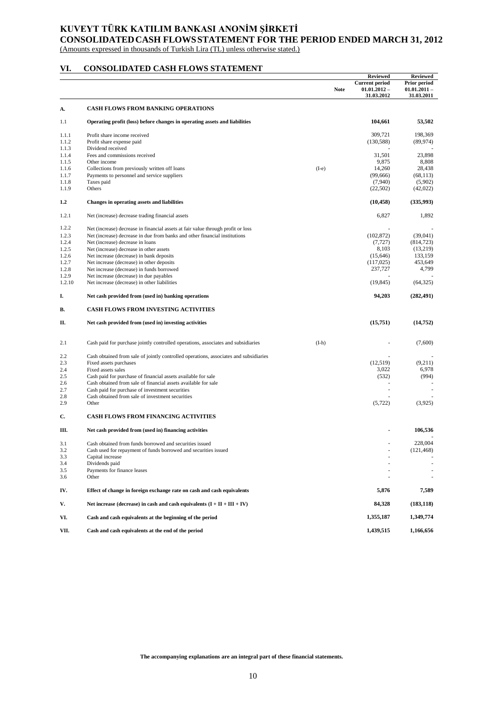# **KUVEYT TÜRK KATILIM BANKASI ANONİM ŞİRKETİ CONSOLIDATEDCASH FLOWSSTATEMENT FOR THE PERIOD ENDED MARCH 31, 2012**

(Amounts expressed in thousands of Turkish Lira (TL) unless otherwise stated.)

# **VI. CONSOLIDATED CASH FLOWS STATEMENT**

|        |                                                                                       |         |             | <b>Reviewed</b>                                       | <b>Reviewed</b>                              |
|--------|---------------------------------------------------------------------------------------|---------|-------------|-------------------------------------------------------|----------------------------------------------|
|        |                                                                                       |         | <b>Note</b> | <b>Current period</b><br>$01.01.2012 -$<br>31.03.2012 | Prior period<br>$01.01.2011 -$<br>31.03.2011 |
| А.     | <b>CASH FLOWS FROM BANKING OPERATIONS</b>                                             |         |             |                                                       |                                              |
| 1.1    | Operating profit (loss) before changes in operating assets and liabilities            |         |             | 104,661                                               | 53,502                                       |
| 1.1.1  | Profit share income received                                                          |         |             | 309.721                                               | 198,369                                      |
| 1.1.2  | Profit share expense paid                                                             |         |             | (130, 588)                                            | (89, 974)                                    |
| 1.1.3  | Dividend received                                                                     |         |             |                                                       |                                              |
| 1.1.4  | Fees and commissions received                                                         |         |             | 31,501                                                | 23,898                                       |
| 1.1.5  | Other income                                                                          |         |             | 9,875                                                 | 8,808                                        |
| 1.1.6  | Collections from previously written off loans                                         | $(I-e)$ |             | 14,260                                                | 28.438                                       |
| 1.1.7  | Payments to personnel and service suppliers                                           |         |             | (99,666)                                              | (68, 113)                                    |
| 1.1.8  | Taxes paid                                                                            |         |             | (7,940)                                               | (5,902)                                      |
| 1.1.9  | Others                                                                                |         |             | (22, 502)                                             | (42,022)                                     |
| 1.2    | Changes in operating assets and liabilities                                           |         |             | (10, 458)                                             | (335,993)                                    |
| 1.2.1  | Net (increase) decrease trading financial assets                                      |         |             | 6,827                                                 | 1,892                                        |
| 1.2.2  | Net (increase) decrease in financial assets at fair value through profit or loss      |         |             |                                                       |                                              |
| 1.2.3  | Net (increase) decrease in due from banks and other financial institutions            |         |             | (102, 872)                                            | (39,041)                                     |
| 1.2.4  | Net (increase) decrease in loans                                                      |         |             | (7, 727)                                              | (814, 723)                                   |
| 1.2.5  | Net (increase) decrease in other assets                                               |         |             | 8,103                                                 | (13,219)                                     |
| 1.2.6  | Net increase (decrease) in bank deposits                                              |         |             | (15, 646)                                             | 133,159                                      |
| 1.2.7  | Net increase (decrease) in other deposits                                             |         |             | (117, 025)                                            | 453,649                                      |
| 1.2.8  | Net increase (decrease) in funds borrowed                                             |         |             | 237,727                                               | 4,799                                        |
| 1.2.9  | Net increase (decrease) in due payables                                               |         |             |                                                       |                                              |
| 1.2.10 | Net increase (decrease) in other liabilities                                          |         |             | (19, 845)                                             | (64, 325)                                    |
| I.     | Net cash provided from (used in) banking operations                                   |         |             | 94,203                                                | (282, 491)                                   |
| В.     | <b>CASH FLOWS FROM INVESTING ACTIVITIES</b>                                           |         |             |                                                       |                                              |
| П.     | Net cash provided from (used in) investing activities                                 |         |             | (15,751)                                              | (14, 752)                                    |
| 2.1    | Cash paid for purchase jointly controlled operations, associates and subsidiaries     | $(I-h)$ |             |                                                       | (7,600)                                      |
| 2.2    | Cash obtained from sale of jointly controlled operations, associates and subsidiaries |         |             |                                                       |                                              |
| 2.3    | Fixed assets purchases                                                                |         |             | (12, 519)                                             | (9,211)                                      |
| 2.4    | Fixed assets sales                                                                    |         |             | 3,022                                                 | 6,978                                        |
| 2.5    | Cash paid for purchase of financial assets available for sale                         |         |             | (532)                                                 | (994)                                        |
| 2.6    | Cash obtained from sale of financial assets available for sale                        |         |             |                                                       |                                              |
| 2.7    | Cash paid for purchase of investment securities                                       |         |             |                                                       |                                              |
| 2.8    | Cash obtained from sale of investment securities                                      |         |             |                                                       |                                              |
| 2.9    | Other                                                                                 |         |             | (5, 722)                                              | (3,925)                                      |
| C.     | <b>CASH FLOWS FROM FINANCING ACTIVITIES</b>                                           |         |             |                                                       |                                              |
| Ш.     | Net cash provided from (used in) financing activities                                 |         |             |                                                       | 106,536                                      |
| 3.1    | Cash obtained from funds borrowed and securities issued                               |         |             |                                                       | 228,004                                      |
| 3.2    | Cash used for repayment of funds borrowed and securities issued                       |         |             |                                                       | (121, 468)                                   |
| 3.3    | Capital increase                                                                      |         |             |                                                       |                                              |
| 3.4    | Dividends paid                                                                        |         |             |                                                       |                                              |
| 3.5    | Payments for finance leases                                                           |         |             |                                                       |                                              |
| 3.6    | Other                                                                                 |         |             |                                                       |                                              |
| IV.    | Effect of change in foreign exchange rate on cash and cash equivalents                |         |             | 5,876                                                 | 7,589                                        |
| V.     | Net increase (decrease) in cash and cash equivalents $(I + II + III + IV)$            |         |             | 84,328                                                | (183, 118)                                   |
| VI.    | Cash and cash equivalents at the beginning of the period                              |         |             | 1,355,187                                             | 1,349,774                                    |
| VII.   | Cash and cash equivalents at the end of the period                                    |         |             | 1,439,515                                             | 1,166,656                                    |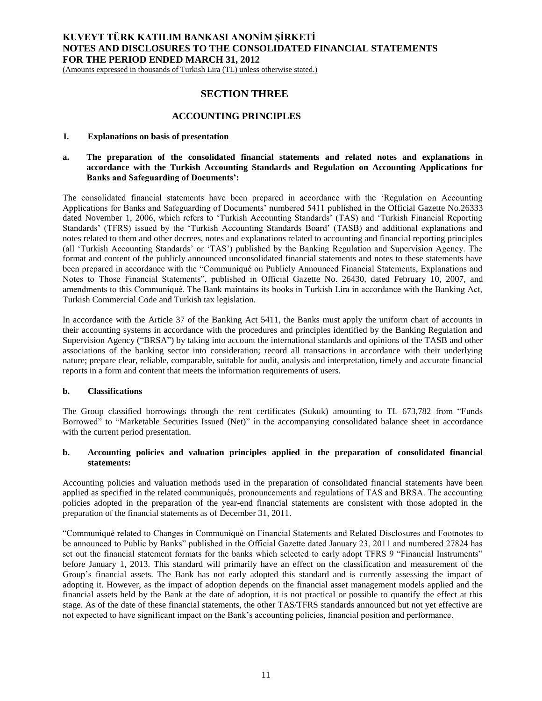(Amounts expressed in thousands of Turkish Lira (TL) unless otherwise stated.)

# **SECTION THREE**

# **ACCOUNTING PRINCIPLES**

### **I. Explanations on basis of presentation**

## **a. The preparation of the consolidated financial statements and related notes and explanations in accordance with the Turkish Accounting Standards and Regulation on Accounting Applications for Banks and Safeguarding of Documents':**

The consolidated financial statements have been prepared in accordance with the 'Regulation on Accounting Applications for Banks and Safeguarding of Documents' numbered 5411 published in the Official Gazette No.26333 dated November 1, 2006, which refers to 'Turkish Accounting Standards' (TAS) and 'Turkish Financial Reporting Standards' (TFRS) issued by the 'Turkish Accounting Standards Board' (TASB) and additional explanations and notes related to them and other decrees, notes and explanations related to accounting and financial reporting principles (all 'Turkish Accounting Standards' or 'TAS') published by the Banking Regulation and Supervision Agency. The format and content of the publicly announced unconsolidated financial statements and notes to these statements have been prepared in accordance with the "Communiqué on Publicly Announced Financial Statements, Explanations and Notes to Those Financial Statements", published in Official Gazette No. 26430, dated February 10, 2007, and amendments to this Communiqué. The Bank maintains its books in Turkish Lira in accordance with the Banking Act, Turkish Commercial Code and Turkish tax legislation.

In accordance with the Article 37 of the Banking Act 5411, the Banks must apply the uniform chart of accounts in their accounting systems in accordance with the procedures and principles identified by the Banking Regulation and Supervision Agency ("BRSA") by taking into account the international standards and opinions of the TASB and other associations of the banking sector into consideration; record all transactions in accordance with their underlying nature; prepare clear, reliable, comparable, suitable for audit, analysis and interpretation, timely and accurate financial reports in a form and content that meets the information requirements of users.

### **b. Classifications**

The Group classified borrowings through the rent certificates (Sukuk) amounting to TL 673,782 from "Funds Borrowed" to "Marketable Securities Issued (Net)" in the accompanying consolidated balance sheet in accordance with the current period presentation.

# **b. Accounting policies and valuation principles applied in the preparation of consolidated financial statements:**

Accounting policies and valuation methods used in the preparation of consolidated financial statements have been applied as specified in the related communiqués, pronouncements and regulations of TAS and BRSA. The accounting policies adopted in the preparation of the year-end financial statements are consistent with those adopted in the preparation of the financial statements as of December 31, 2011.

"Communiqué related to Changes in Communiqué on Financial Statements and Related Disclosures and Footnotes to be announced to Public by Banks" published in the Official Gazette dated January 23, 2011 and numbered 27824 has set out the financial statement formats for the banks which selected to early adopt TFRS 9 "Financial Instruments" before January 1, 2013. This standard will primarily have an effect on the classification and measurement of the Group's financial assets. The Bank has not early adopted this standard and is currently assessing the impact of adopting it. However, as the impact of adoption depends on the financial asset management models applied and the financial assets held by the Bank at the date of adoption, it is not practical or possible to quantify the effect at this stage. As of the date of these financial statements, the other TAS/TFRS standards announced but not yet effective are not expected to have significant impact on the Bank's accounting policies, financial position and performance.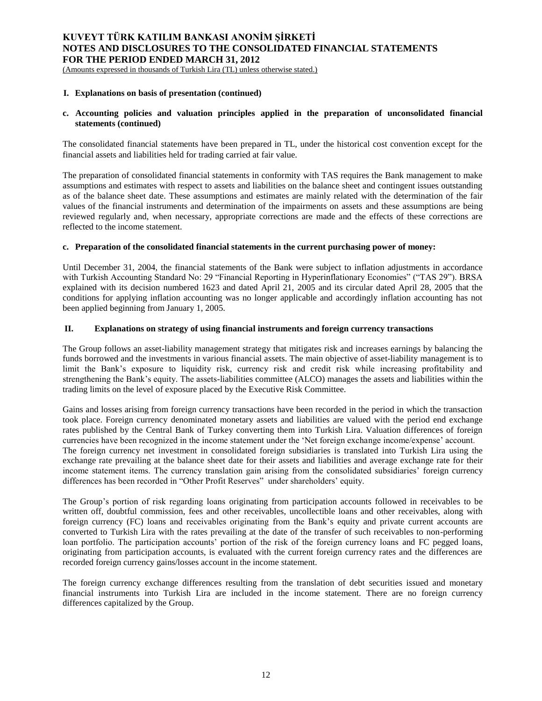(Amounts expressed in thousands of Turkish Lira (TL) unless otherwise stated.)

## **I. Explanations on basis of presentation (continued)**

# **c. Accounting policies and valuation principles applied in the preparation of unconsolidated financial statements (continued)**

The consolidated financial statements have been prepared in TL, under the historical cost convention except for the financial assets and liabilities held for trading carried at fair value.

The preparation of consolidated financial statements in conformity with TAS requires the Bank management to make assumptions and estimates with respect to assets and liabilities on the balance sheet and contingent issues outstanding as of the balance sheet date. These assumptions and estimates are mainly related with the determination of the fair values of the financial instruments and determination of the impairments on assets and these assumptions are being reviewed regularly and, when necessary, appropriate corrections are made and the effects of these corrections are reflected to the income statement.

## **c. Preparation of the consolidated financial statements in the current purchasing power of money:**

Until December 31, 2004, the financial statements of the Bank were subject to inflation adjustments in accordance with Turkish Accounting Standard No: 29 "Financial Reporting in Hyperinflationary Economies" ("TAS 29"). BRSA explained with its decision numbered 1623 and dated April 21, 2005 and its circular dated April 28, 2005 that the conditions for applying inflation accounting was no longer applicable and accordingly inflation accounting has not been applied beginning from January 1, 2005.

## **II. Explanations on strategy of using financial instruments and foreign currency transactions**

The Group follows an asset-liability management strategy that mitigates risk and increases earnings by balancing the funds borrowed and the investments in various financial assets. The main objective of asset-liability management is to limit the Bank's exposure to liquidity risk, currency risk and credit risk while increasing profitability and strengthening the Bank's equity. The assets-liabilities committee (ALCO) manages the assets and liabilities within the trading limits on the level of exposure placed by the Executive Risk Committee.

Gains and losses arising from foreign currency transactions have been recorded in the period in which the transaction took place. Foreign currency denominated monetary assets and liabilities are valued with the period end exchange rates published by the Central Bank of Turkey converting them into Turkish Lira. Valuation differences of foreign currencies have been recognized in the income statement under the 'Net foreign exchange income/expense' account. The foreign currency net investment in consolidated foreign subsidiaries is translated into Turkish Lira using the exchange rate prevailing at the balance sheet date for their assets and liabilities and average exchange rate for their income statement items. The currency translation gain arising from the consolidated subsidiaries' foreign currency differences has been recorded in "Other Profit Reserves" under shareholders' equity.

The Group's portion of risk regarding loans originating from participation accounts followed in receivables to be written off, doubtful commission, fees and other receivables, uncollectible loans and other receivables, along with foreign currency (FC) loans and receivables originating from the Bank's equity and private current accounts are converted to Turkish Lira with the rates prevailing at the date of the transfer of such receivables to non-performing loan portfolio. The participation accounts' portion of the risk of the foreign currency loans and FC pegged loans, originating from participation accounts, is evaluated with the current foreign currency rates and the differences are recorded foreign currency gains/losses account in the income statement.

The foreign currency exchange differences resulting from the translation of debt securities issued and monetary financial instruments into Turkish Lira are included in the income statement. There are no foreign currency differences capitalized by the Group.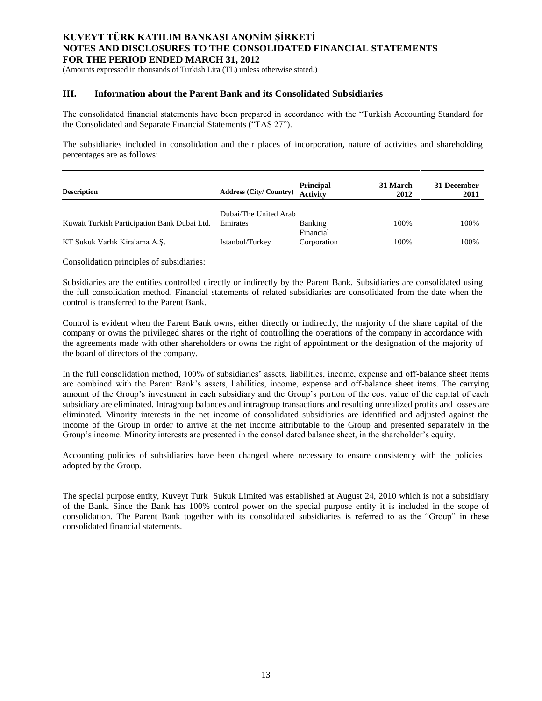(Amounts expressed in thousands of Turkish Lira (TL) unless otherwise stated.)

# **III. Information about the Parent Bank and its Consolidated Subsidiaries**

The consolidated financial statements have been prepared in accordance with the "Turkish Accounting Standard for the Consolidated and Separate Financial Statements ("TAS 27").

The subsidiaries included in consolidation and their places of incorporation, nature of activities and shareholding percentages are as follows:

| <b>Description</b>                           | <b>Address (City/Country)</b> | <b>Principal</b><br><b>Activity</b> | 31 March<br>2012 | 31 December<br>2011 |
|----------------------------------------------|-------------------------------|-------------------------------------|------------------|---------------------|
|                                              | Dubai/The United Arab         |                                     |                  |                     |
| Kuwait Turkish Participation Bank Dubai Ltd. | Emirates                      | Banking<br>Financial                | 100%             | 100%                |
| KT Sukuk Varlık Kiralama A.Ş.                | Istanbul/Turkey               | Corporation                         | 100%             | 100%                |

Consolidation principles of subsidiaries:

Subsidiaries are the entities controlled directly or indirectly by the Parent Bank. Subsidiaries are consolidated using the full consolidation method. Financial statements of related subsidiaries are consolidated from the date when the control is transferred to the Parent Bank.

Control is evident when the Parent Bank owns, either directly or indirectly, the majority of the share capital of the company or owns the privileged shares or the right of controlling the operations of the company in accordance with the agreements made with other shareholders or owns the right of appointment or the designation of the majority of the board of directors of the company.

In the full consolidation method, 100% of subsidiaries' assets, liabilities, income, expense and off-balance sheet items are combined with the Parent Bank's assets, liabilities, income, expense and off-balance sheet items. The carrying amount of the Group's investment in each subsidiary and the Group's portion of the cost value of the capital of each subsidiary are eliminated. Intragroup balances and intragroup transactions and resulting unrealized profits and losses are eliminated. Minority interests in the net income of consolidated subsidiaries are identified and adjusted against the income of the Group in order to arrive at the net income attributable to the Group and presented separately in the Group's income. Minority interests are presented in the consolidated balance sheet, in the shareholder's equity.

Accounting policies of subsidiaries have been changed where necessary to ensure consistency with the policies adopted by the Group.

The special purpose entity, Kuveyt Turk Sukuk Limited was established at August 24, 2010 which is not a subsidiary of the Bank. Since the Bank has 100% control power on the special purpose entity it is included in the scope of consolidation. The Parent Bank together with its consolidated subsidiaries is referred to as the "Group" in these consolidated financial statements.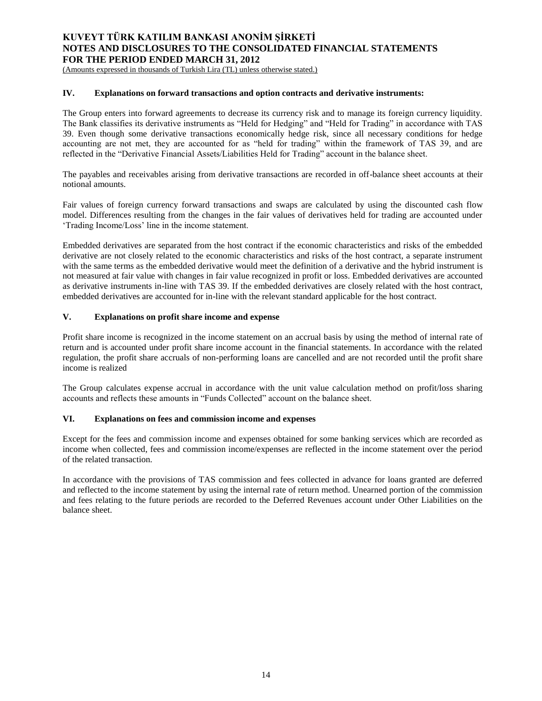(Amounts expressed in thousands of Turkish Lira (TL) unless otherwise stated.)

## **IV. Explanations on forward transactions and option contracts and derivative instruments:**

The Group enters into forward agreements to decrease its currency risk and to manage its foreign currency liquidity. The Bank classifies its derivative instruments as "Held for Hedging" and "Held for Trading" in accordance with TAS 39. Even though some derivative transactions economically hedge risk, since all necessary conditions for hedge accounting are not met, they are accounted for as "held for trading" within the framework of TAS 39, and are reflected in the "Derivative Financial Assets/Liabilities Held for Trading" account in the balance sheet.

The payables and receivables arising from derivative transactions are recorded in off-balance sheet accounts at their notional amounts.

Fair values of foreign currency forward transactions and swaps are calculated by using the discounted cash flow model. Differences resulting from the changes in the fair values of derivatives held for trading are accounted under 'Trading Income/Loss' line in the income statement.

Embedded derivatives are separated from the host contract if the economic characteristics and risks of the embedded derivative are not closely related to the economic characteristics and risks of the host contract, a separate instrument with the same terms as the embedded derivative would meet the definition of a derivative and the hybrid instrument is not measured at fair value with changes in fair value recognized in profit or loss. Embedded derivatives are accounted as derivative instruments in-line with TAS 39. If the embedded derivatives are closely related with the host contract, embedded derivatives are accounted for in-line with the relevant standard applicable for the host contract.

## **V. Explanations on profit share income and expense**

Profit share income is recognized in the income statement on an accrual basis by using the method of internal rate of return and is accounted under profit share income account in the financial statements. In accordance with the related regulation, the profit share accruals of non-performing loans are cancelled and are not recorded until the profit share income is realized

The Group calculates expense accrual in accordance with the unit value calculation method on profit/loss sharing accounts and reflects these amounts in "Funds Collected" account on the balance sheet.

# **VI. Explanations on fees and commission income and expenses**

Except for the fees and commission income and expenses obtained for some banking services which are recorded as income when collected, fees and commission income/expenses are reflected in the income statement over the period of the related transaction.

In accordance with the provisions of TAS commission and fees collected in advance for loans granted are deferred and reflected to the income statement by using the internal rate of return method. Unearned portion of the commission and fees relating to the future periods are recorded to the Deferred Revenues account under Other Liabilities on the balance sheet.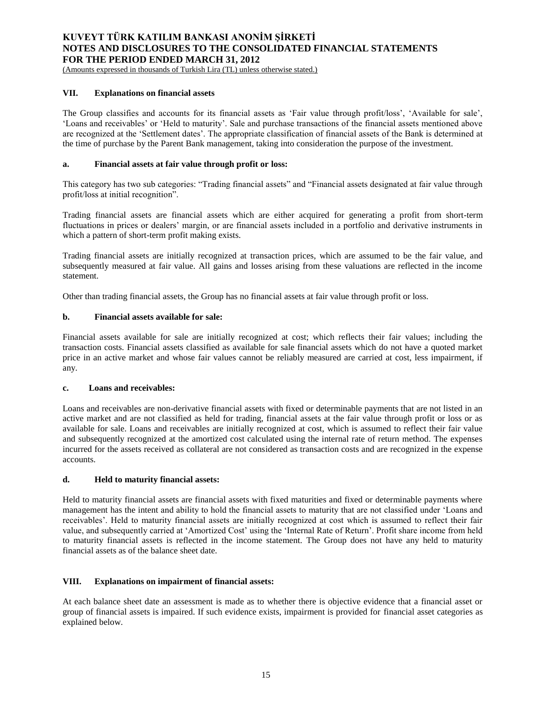(Amounts expressed in thousands of Turkish Lira (TL) unless otherwise stated.)

## **VII. Explanations on financial assets**

The Group classifies and accounts for its financial assets as 'Fair value through profit/loss', 'Available for sale', 'Loans and receivables' or 'Held to maturity'. Sale and purchase transactions of the financial assets mentioned above are recognized at the 'Settlement dates'. The appropriate classification of financial assets of the Bank is determined at the time of purchase by the Parent Bank management, taking into consideration the purpose of the investment.

## **a. Financial assets at fair value through profit or loss:**

This category has two sub categories: "Trading financial assets" and "Financial assets designated at fair value through profit/loss at initial recognition".

Trading financial assets are financial assets which are either acquired for generating a profit from short-term fluctuations in prices or dealers' margin, or are financial assets included in a portfolio and derivative instruments in which a pattern of short-term profit making exists.

Trading financial assets are initially recognized at transaction prices, which are assumed to be the fair value, and subsequently measured at fair value. All gains and losses arising from these valuations are reflected in the income statement.

Other than trading financial assets, the Group has no financial assets at fair value through profit or loss.

## **b. Financial assets available for sale:**

Financial assets available for sale are initially recognized at cost; which reflects their fair values; including the transaction costs. Financial assets classified as available for sale financial assets which do not have a quoted market price in an active market and whose fair values cannot be reliably measured are carried at cost, less impairment, if any.

### **c. Loans and receivables:**

Loans and receivables are non-derivative financial assets with fixed or determinable payments that are not listed in an active market and are not classified as held for trading, financial assets at the fair value through profit or loss or as available for sale. Loans and receivables are initially recognized at cost, which is assumed to reflect their fair value and subsequently recognized at the amortized cost calculated using the internal rate of return method. The expenses incurred for the assets received as collateral are not considered as transaction costs and are recognized in the expense accounts.

### **d. Held to maturity financial assets:**

Held to maturity financial assets are financial assets with fixed maturities and fixed or determinable payments where management has the intent and ability to hold the financial assets to maturity that are not classified under 'Loans and receivables'. Held to maturity financial assets are initially recognized at cost which is assumed to reflect their fair value, and subsequently carried at 'Amortized Cost' using the 'Internal Rate of Return'. Profit share income from held to maturity financial assets is reflected in the income statement. The Group does not have any held to maturity financial assets as of the balance sheet date.

# **VIII. Explanations on impairment of financial assets:**

At each balance sheet date an assessment is made as to whether there is objective evidence that a financial asset or group of financial assets is impaired. If such evidence exists, impairment is provided for financial asset categories as explained below.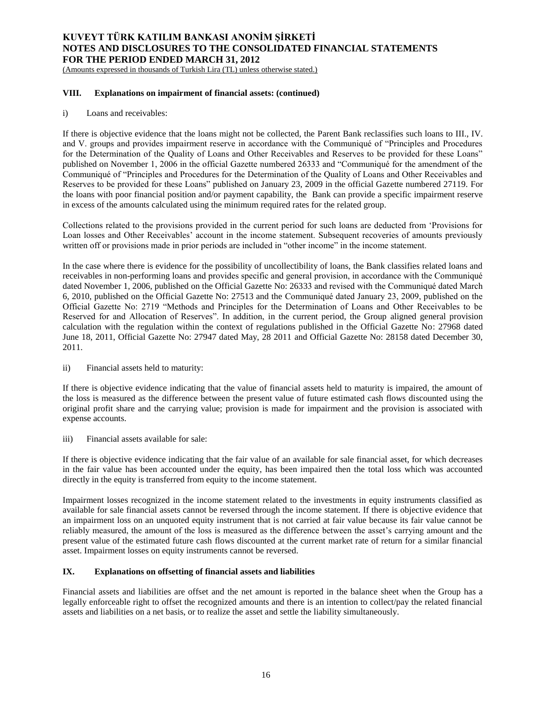(Amounts expressed in thousands of Turkish Lira (TL) unless otherwise stated.)

## **VIII. Explanations on impairment of financial assets: (continued)**

i) Loans and receivables:

If there is objective evidence that the loans might not be collected, the Parent Bank reclassifies such loans to III., IV. and V. groups and provides impairment reserve in accordance with the Communiqué of "Principles and Procedures for the Determination of the Quality of Loans and Other Receivables and Reserves to be provided for these Loans" published on November 1, 2006 in the official Gazette numbered 26333 and "Communiqué for the amendment of the Communiqué of "Principles and Procedures for the Determination of the Quality of Loans and Other Receivables and Reserves to be provided for these Loans" published on January 23, 2009 in the official Gazette numbered 27119. For the loans with poor financial position and/or payment capability, the Bank can provide a specific impairment reserve in excess of the amounts calculated using the minimum required rates for the related group.

Collections related to the provisions provided in the current period for such loans are deducted from 'Provisions for Loan losses and Other Receivables' account in the income statement. Subsequent recoveries of amounts previously written off or provisions made in prior periods are included in "other income" in the income statement.

In the case where there is evidence for the possibility of uncollectibility of loans, the Bank classifies related loans and receivables in non-performing loans and provides specific and general provision, in accordance with the Communiqué dated November 1, 2006, published on the Official Gazette No: 26333 and revised with the Communiqué dated March 6, 2010, published on the Official Gazette No: 27513 and the Communiqué dated January 23, 2009, published on the Official Gazette No: 2719 "Methods and Principles for the Determination of Loans and Other Receivables to be Reserved for and Allocation of Reserves". In addition, in the current period, the Group aligned general provision calculation with the regulation within the context of regulations published in the Official Gazette No: 27968 dated June 18, 2011, Official Gazette No: 27947 dated May, 28 2011 and Official Gazette No: 28158 dated December 30, 2011.

ii) Financial assets held to maturity:

If there is objective evidence indicating that the value of financial assets held to maturity is impaired, the amount of the loss is measured as the difference between the present value of future estimated cash flows discounted using the original profit share and the carrying value; provision is made for impairment and the provision is associated with expense accounts.

iii) Financial assets available for sale:

If there is objective evidence indicating that the fair value of an available for sale financial asset, for which decreases in the fair value has been accounted under the equity, has been impaired then the total loss which was accounted directly in the equity is transferred from equity to the income statement.

Impairment losses recognized in the income statement related to the investments in equity instruments classified as available for sale financial assets cannot be reversed through the income statement. If there is objective evidence that an impairment loss on an unquoted equity instrument that is not carried at fair value because its fair value cannot be reliably measured, the amount of the loss is measured as the difference between the asset's carrying amount and the present value of the estimated future cash flows discounted at the current market rate of return for a similar financial asset. Impairment losses on equity instruments cannot be reversed.

# **IX. Explanations on offsetting of financial assets and liabilities**

Financial assets and liabilities are offset and the net amount is reported in the balance sheet when the Group has a legally enforceable right to offset the recognized amounts and there is an intention to collect/pay the related financial assets and liabilities on a net basis, or to realize the asset and settle the liability simultaneously.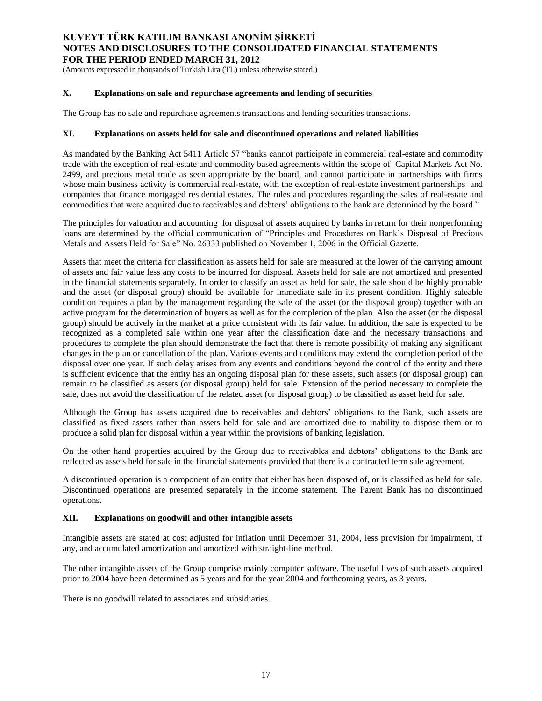(Amounts expressed in thousands of Turkish Lira (TL) unless otherwise stated.)

## **X. Explanations on sale and repurchase agreements and lending of securities**

The Group has no sale and repurchase agreements transactions and lending securities transactions.

## **XI. Explanations on assets held for sale and discontinued operations and related liabilities**

As mandated by the Banking Act 5411 Article 57 "banks cannot participate in commercial real-estate and commodity trade with the exception of real-estate and commodity based agreements within the scope of Capital Markets Act No. 2499, and precious metal trade as seen appropriate by the board, and cannot participate in partnerships with firms whose main business activity is commercial real-estate, with the exception of real-estate investment partnerships and companies that finance mortgaged residential estates. The rules and procedures regarding the sales of real-estate and commodities that were acquired due to receivables and debtors' obligations to the bank are determined by the board."

The principles for valuation and accounting for disposal of assets acquired by banks in return for their nonperforming loans are determined by the official communication of "Principles and Procedures on Bank's Disposal of Precious Metals and Assets Held for Sale" No. 26333 published on November 1, 2006 in the Official Gazette.

Assets that meet the criteria for classification as assets held for sale are measured at the lower of the carrying amount of assets and fair value less any costs to be incurred for disposal. Assets held for sale are not amortized and presented in the financial statements separately. In order to classify an asset as held for sale, the sale should be highly probable and the asset (or disposal group) should be available for immediate sale in its present condition. Highly saleable condition requires a plan by the management regarding the sale of the asset (or the disposal group) together with an active program for the determination of buyers as well as for the completion of the plan. Also the asset (or the disposal group) should be actively in the market at a price consistent with its fair value. In addition, the sale is expected to be recognized as a completed sale within one year after the classification date and the necessary transactions and procedures to complete the plan should demonstrate the fact that there is remote possibility of making any significant changes in the plan or cancellation of the plan. Various events and conditions may extend the completion period of the disposal over one year. If such delay arises from any events and conditions beyond the control of the entity and there is sufficient evidence that the entity has an ongoing disposal plan for these assets, such assets (or disposal group) can remain to be classified as assets (or disposal group) held for sale. Extension of the period necessary to complete the sale, does not avoid the classification of the related asset (or disposal group) to be classified as asset held for sale.

Although the Group has assets acquired due to receivables and debtors' obligations to the Bank, such assets are classified as fixed assets rather than assets held for sale and are amortized due to inability to dispose them or to produce a solid plan for disposal within a year within the provisions of banking legislation.

On the other hand properties acquired by the Group due to receivables and debtors' obligations to the Bank are reflected as assets held for sale in the financial statements provided that there is a contracted term sale agreement.

A discontinued operation is a component of an entity that either has been disposed of, or is classified as held for sale. Discontinued operations are presented separately in the income statement. The Parent Bank has no discontinued operations.

# **XII. Explanations on goodwill and other intangible assets**

Intangible assets are stated at cost adjusted for inflation until December 31, 2004, less provision for impairment, if any, and accumulated amortization and amortized with straight-line method.

The other intangible assets of the Group comprise mainly computer software. The useful lives of such assets acquired prior to 2004 have been determined as 5 years and for the year 2004 and forthcoming years, as 3 years.

There is no goodwill related to associates and subsidiaries.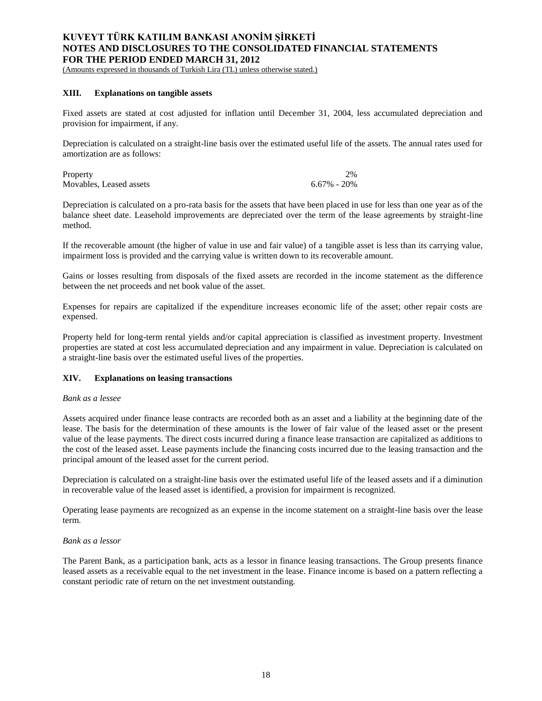(Amounts expressed in thousands of Turkish Lira (TL) unless otherwise stated.)

## **XIII. Explanations on tangible assets**

Fixed assets are stated at cost adjusted for inflation until December 31, 2004, less accumulated depreciation and provision for impairment, if any.

Depreciation is calculated on a straight-line basis over the estimated useful life of the assets. The annual rates used for amortization are as follows:

| Property                |                   | 2% |
|-------------------------|-------------------|----|
| Movables, Leased assets | $6.67\%$ - $20\%$ |    |

Depreciation is calculated on a pro-rata basis for the assets that have been placed in use for less than one year as of the balance sheet date. Leasehold improvements are depreciated over the term of the lease agreements by straight-line method.

If the recoverable amount (the higher of value in use and fair value) of a tangible asset is less than its carrying value, impairment loss is provided and the carrying value is written down to its recoverable amount.

Gains or losses resulting from disposals of the fixed assets are recorded in the income statement as the difference between the net proceeds and net book value of the asset.

Expenses for repairs are capitalized if the expenditure increases economic life of the asset; other repair costs are expensed.

Property held for long-term rental yields and/or capital appreciation is classified as investment property. Investment properties are stated at cost less accumulated depreciation and any impairment in value. Depreciation is calculated on a straight-line basis over the estimated useful lives of the properties.

### **XIV. Explanations on leasing transactions**

### *Bank as a lessee*

Assets acquired under finance lease contracts are recorded both as an asset and a liability at the beginning date of the lease. The basis for the determination of these amounts is the lower of fair value of the leased asset or the present value of the lease payments. The direct costs incurred during a finance lease transaction are capitalized as additions to the cost of the leased asset. Lease payments include the financing costs incurred due to the leasing transaction and the principal amount of the leased asset for the current period.

Depreciation is calculated on a straight-line basis over the estimated useful life of the leased assets and if a diminution in recoverable value of the leased asset is identified, a provision for impairment is recognized.

Operating lease payments are recognized as an expense in the income statement on a straight-line basis over the lease term.

## *Bank as a lessor*

The Parent Bank, as a participation bank, acts as a lessor in finance leasing transactions. The Group presents finance leased assets as a receivable equal to the net investment in the lease. Finance income is based on a pattern reflecting a constant periodic rate of return on the net investment outstanding.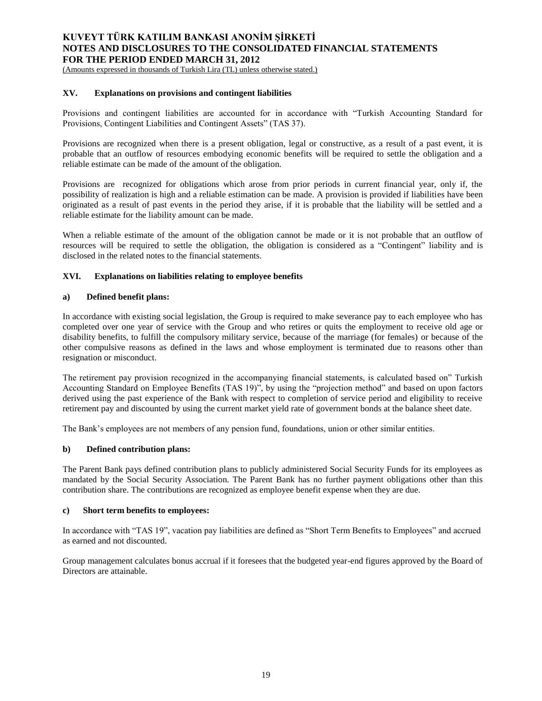(Amounts expressed in thousands of Turkish Lira (TL) unless otherwise stated.)

## **XV. Explanations on provisions and contingent liabilities**

Provisions and contingent liabilities are accounted for in accordance with "Turkish Accounting Standard for Provisions, Contingent Liabilities and Contingent Assets" (TAS 37).

Provisions are recognized when there is a present obligation, legal or constructive, as a result of a past event, it is probable that an outflow of resources embodying economic benefits will be required to settle the obligation and a reliable estimate can be made of the amount of the obligation.

Provisions are recognized for obligations which arose from prior periods in current financial year, only if, the possibility of realization is high and a reliable estimation can be made. A provision is provided if liabilities have been originated as a result of past events in the period they arise, if it is probable that the liability will be settled and a reliable estimate for the liability amount can be made.

When a reliable estimate of the amount of the obligation cannot be made or it is not probable that an outflow of resources will be required to settle the obligation, the obligation is considered as a "Contingent" liability and is disclosed in the related notes to the financial statements.

## **XVI. Explanations on liabilities relating to employee benefits**

## **a) Defined benefit plans:**

In accordance with existing social legislation, the Group is required to make severance pay to each employee who has completed over one year of service with the Group and who retires or quits the employment to receive old age or disability benefits, to fulfill the compulsory military service, because of the marriage (for females) or because of the other compulsive reasons as defined in the laws and whose employment is terminated due to reasons other than resignation or misconduct.

The retirement pay provision recognized in the accompanying financial statements, is calculated based on" Turkish Accounting Standard on Employee Benefits (TAS 19)", by using the "projection method" and based on upon factors derived using the past experience of the Bank with respect to completion of service period and eligibility to receive retirement pay and discounted by using the current market yield rate of government bonds at the balance sheet date.

The Bank's employees are not members of any pension fund, foundations, union or other similar entities.

## **b) Defined contribution plans:**

The Parent Bank pays defined contribution plans to publicly administered Social Security Funds for its employees as mandated by the Social Security Association. The Parent Bank has no further payment obligations other than this contribution share. The contributions are recognized as employee benefit expense when they are due.

## **c) Short term benefits to employees:**

In accordance with "TAS 19", vacation pay liabilities are defined as "Short Term Benefits to Employees" and accrued as earned and not discounted.

Group management calculates bonus accrual if it foresees that the budgeted year-end figures approved by the Board of Directors are attainable.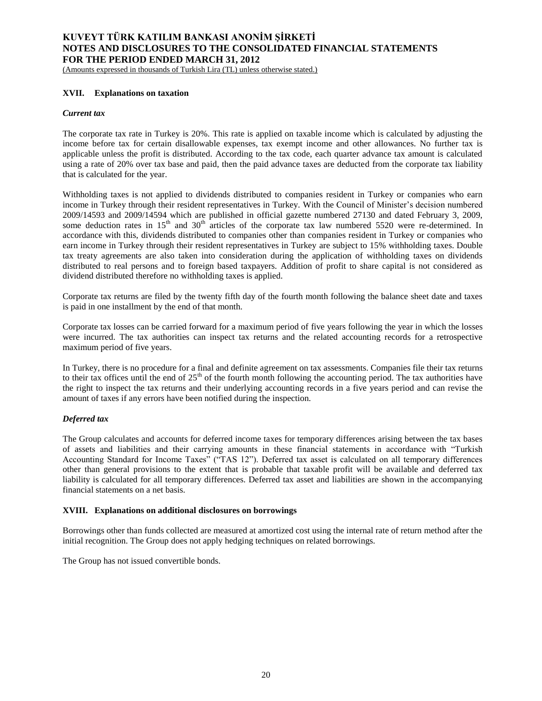(Amounts expressed in thousands of Turkish Lira (TL) unless otherwise stated.)

## **XVII. Explanations on taxation**

#### *Current tax*

The corporate tax rate in Turkey is 20%. This rate is applied on taxable income which is calculated by adjusting the income before tax for certain disallowable expenses, tax exempt income and other allowances. No further tax is applicable unless the profit is distributed. According to the tax code, each quarter advance tax amount is calculated using a rate of 20% over tax base and paid, then the paid advance taxes are deducted from the corporate tax liability that is calculated for the year.

Withholding taxes is not applied to dividends distributed to companies resident in Turkey or companies who earn income in Turkey through their resident representatives in Turkey. With the Council of Minister's decision numbered 2009/14593 and 2009/14594 which are published in official gazette numbered 27130 and dated February 3, 2009, some deduction rates in 15<sup>th</sup> and 30<sup>th</sup> articles of the corporate tax law numbered 5520 were re-determined. In accordance with this, dividends distributed to companies other than companies resident in Turkey or companies who earn income in Turkey through their resident representatives in Turkey are subject to 15% withholding taxes. Double tax treaty agreements are also taken into consideration during the application of withholding taxes on dividends distributed to real persons and to foreign based taxpayers. Addition of profit to share capital is not considered as dividend distributed therefore no withholding taxes is applied.

Corporate tax returns are filed by the twenty fifth day of the fourth month following the balance sheet date and taxes is paid in one installment by the end of that month.

Corporate tax losses can be carried forward for a maximum period of five years following the year in which the losses were incurred. The tax authorities can inspect tax returns and the related accounting records for a retrospective maximum period of five years.

In Turkey, there is no procedure for a final and definite agreement on tax assessments. Companies file their tax returns to their tax offices until the end of  $25<sup>th</sup>$  of the fourth month following the accounting period. The tax authorities have the right to inspect the tax returns and their underlying accounting records in a five years period and can revise the amount of taxes if any errors have been notified during the inspection.

# *Deferred tax*

The Group calculates and accounts for deferred income taxes for temporary differences arising between the tax bases of assets and liabilities and their carrying amounts in these financial statements in accordance with "Turkish Accounting Standard for Income Taxes" ("TAS 12"). Deferred tax asset is calculated on all temporary differences other than general provisions to the extent that is probable that taxable profit will be available and deferred tax liability is calculated for all temporary differences. Deferred tax asset and liabilities are shown in the accompanying financial statements on a net basis.

## **XVIII. Explanations on additional disclosures on borrowings**

Borrowings other than funds collected are measured at amortized cost using the internal rate of return method after the initial recognition. The Group does not apply hedging techniques on related borrowings.

The Group has not issued convertible bonds.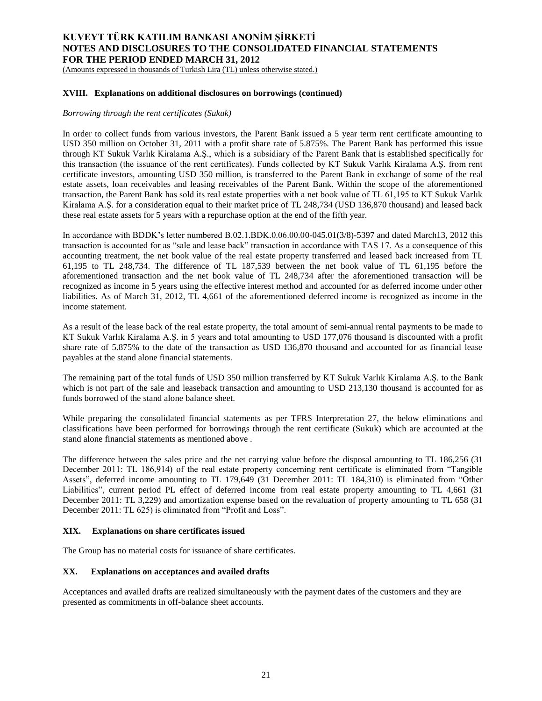(Amounts expressed in thousands of Turkish Lira (TL) unless otherwise stated.)

## **XVIII. Explanations on additional disclosures on borrowings (continued)**

## *Borrowing through the rent certificates (Sukuk)*

In order to collect funds from various investors, the Parent Bank issued a 5 year term rent certificate amounting to USD 350 million on October 31, 2011 with a profit share rate of 5.875%. The Parent Bank has performed this issue through KT Sukuk Varlık Kiralama A.Ş., which is a subsidiary of the Parent Bank that is established specifically for this transaction (the issuance of the rent certificates). Funds collected by KT Sukuk Varlık Kiralama A.Ş. from rent certificate investors, amounting USD 350 million, is transferred to the Parent Bank in exchange of some of the real estate assets, loan receivables and leasing receivables of the Parent Bank. Within the scope of the aforementioned transaction, the Parent Bank has sold its real estate properties with a net book value of TL 61,195 to KT Sukuk Varlık Kiralama A.Ş. for a consideration equal to their market price of TL 248,734 (USD 136,870 thousand) and leased back these real estate assets for 5 years with a repurchase option at the end of the fifth year.

In accordance with BDDK's letter numbered B.02.1.BDK.0.06.00.00-045.01(3/8)-5397 and dated March13, 2012 this transaction is accounted for as "sale and lease back" transaction in accordance with TAS 17. As a consequence of this accounting treatment, the net book value of the real estate property transferred and leased back increased from TL 61,195 to TL 248,734. The difference of TL 187,539 between the net book value of TL 61,195 before the aforementioned transaction and the net book value of TL 248,734 after the aforementioned transaction will be recognized as income in 5 years using the effective interest method and accounted for as deferred income under other liabilities. As of March 31, 2012, TL 4,661 of the aforementioned deferred income is recognized as income in the income statement.

As a result of the lease back of the real estate property, the total amount of semi-annual rental payments to be made to KT Sukuk Varlık Kiralama A.Ş. in 5 years and total amounting to USD 177,076 thousand is discounted with a profit share rate of 5.875% to the date of the transaction as USD 136,870 thousand and accounted for as financial lease payables at the stand alone financial statements.

The remaining part of the total funds of USD 350 million transferred by KT Sukuk Varlık Kiralama A.Ş. to the Bank which is not part of the sale and leaseback transaction and amounting to USD 213,130 thousand is accounted for as funds borrowed of the stand alone balance sheet.

While preparing the consolidated financial statements as per TFRS Interpretation 27, the below eliminations and classifications have been performed for borrowings through the rent certificate (Sukuk) which are accounted at the stand alone financial statements as mentioned above .

The difference between the sales price and the net carrying value before the disposal amounting to TL 186,256 (31 December 2011: TL 186,914) of the real estate property concerning rent certificate is eliminated from "Tangible Assets", deferred income amounting to TL 179,649 (31 December 2011: TL 184,310) is eliminated from "Other Liabilities", current period PL effect of deferred income from real estate property amounting to TL 4,661 (31 December 2011: TL 3,229) and amortization expense based on the revaluation of property amounting to TL 658 (31 December 2011: TL 625) is eliminated from "Profit and Loss".

### **XIX. Explanations on share certificates issued**

The Group has no material costs for issuance of share certificates.

### **XX. Explanations on acceptances and availed drafts**

Acceptances and availed drafts are realized simultaneously with the payment dates of the customers and they are presented as commitments in off-balance sheet accounts.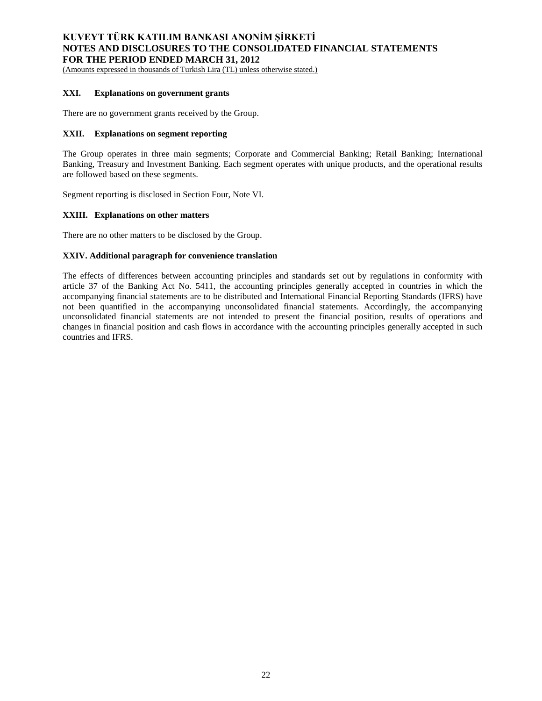(Amounts expressed in thousands of Turkish Lira (TL) unless otherwise stated.)

## **XXI. Explanations on government grants**

There are no government grants received by the Group.

### **XXII. Explanations on segment reporting**

The Group operates in three main segments; Corporate and Commercial Banking; Retail Banking; International Banking, Treasury and Investment Banking. Each segment operates with unique products, and the operational results are followed based on these segments.

Segment reporting is disclosed in Section Four, Note VI.

### **XXIII. Explanations on other matters**

There are no other matters to be disclosed by the Group.

## **XXIV. Additional paragraph for convenience translation**

The effects of differences between accounting principles and standards set out by regulations in conformity with article 37 of the Banking Act No. 5411, the accounting principles generally accepted in countries in which the accompanying financial statements are to be distributed and International Financial Reporting Standards (IFRS) have not been quantified in the accompanying unconsolidated financial statements. Accordingly, the accompanying unconsolidated financial statements are not intended to present the financial position, results of operations and changes in financial position and cash flows in accordance with the accounting principles generally accepted in such countries and IFRS.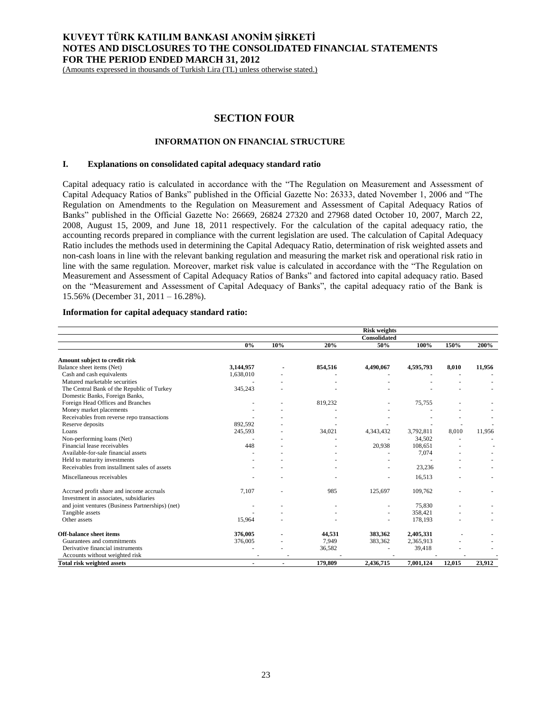(Amounts expressed in thousands of Turkish Lira (TL) unless otherwise stated.)

# **SECTION FOUR**

## **INFORMATION ON FINANCIAL STRUCTURE**

#### **I. Explanations on consolidated capital adequacy standard ratio**

Capital adequacy ratio is calculated in accordance with the "The Regulation on Measurement and Assessment of Capital Adequacy Ratios of Banks" published in the Official Gazette No: 26333, dated November 1, 2006 and "The Regulation on Amendments to the Regulation on Measurement and Assessment of Capital Adequacy Ratios of Banks" published in the Official Gazette No: 26669, 26824 27320 and 27968 dated October 10, 2007, March 22, 2008, August 15, 2009, and June 18, 2011 respectively. For the calculation of the capital adequacy ratio, the accounting records prepared in compliance with the current legislation are used. The calculation of Capital Adequacy Ratio includes the methods used in determining the Capital Adequacy Ratio, determination of risk weighted assets and non-cash loans in line with the relevant banking regulation and measuring the market risk and operational risk ratio in line with the same regulation. Moreover, market risk value is calculated in accordance with the "The Regulation on Measurement and Assessment of Capital Adequacy Ratios of Banks" and factored into capital adequacy ratio. Based on the "Measurement and Assessment of Capital Adequacy of Banks", the capital adequacy ratio of the Bank is 15.56% (December 31, 2011 – 16.28%).

## **Information for capital adequacy standard ratio:**

|                                                                                    |           |                |         | <b>Risk weights</b> |           |        |        |
|------------------------------------------------------------------------------------|-----------|----------------|---------|---------------------|-----------|--------|--------|
|                                                                                    |           |                |         | <b>Consolidated</b> |           |        |        |
|                                                                                    | $0\%$     | 10%            | 20%     | 50%                 | 100%      | 150%   | 200%   |
| Amount subject to credit risk                                                      |           |                |         |                     |           |        |        |
| Balance sheet items (Net)                                                          | 3,144,957 |                | 854,516 | 4,490,067           | 4,595,793 | 8.010  | 11,956 |
| Cash and cash equivalents                                                          | 1,638,010 |                |         |                     |           |        |        |
| Matured marketable securities                                                      |           |                |         |                     |           |        |        |
| The Central Bank of the Republic of Turkey                                         | 345,243   |                |         |                     |           |        |        |
| Domestic Banks, Foreign Banks,                                                     |           |                |         |                     |           |        |        |
| Foreign Head Offices and Branches                                                  |           |                | 819,232 |                     | 75,755    |        |        |
| Money market placements                                                            |           |                |         |                     |           |        |        |
| Receivables from reverse repo transactions                                         |           |                |         |                     |           |        |        |
| Reserve deposits                                                                   | 892,592   |                |         |                     |           | ٠      |        |
| Loans                                                                              | 245,593   |                | 34,021  | 4,343,432           | 3,792,811 | 8.010  | 11.956 |
| Non-performing loans (Net)                                                         |           |                |         |                     | 34,502    |        |        |
| Financial lease receivables                                                        | 448       |                |         | 20,938              | 108,651   |        |        |
| Available-for-sale financial assets                                                |           |                |         |                     | 7,074     |        |        |
| Held to maturity investments                                                       |           |                |         |                     |           |        |        |
| Receivables from installment sales of assets                                       |           |                |         |                     | 23,236    |        |        |
| Miscellaneous receivables                                                          |           |                |         |                     | 16,513    |        |        |
| Accrued profit share and income accruals<br>Investment in associates, subsidiaries | 7,107     |                | 985     | 125,697             | 109,762   |        |        |
| and joint ventures (Business Partnerships) (net)                                   |           |                |         |                     | 75,830    |        |        |
| Tangible assets                                                                    |           |                |         |                     | 358,421   |        |        |
| Other assets                                                                       | 15,964    |                |         |                     | 178,193   |        |        |
| <b>Off-balance sheet items</b>                                                     | 376,005   |                | 44,531  | 383,362             | 2,405,331 |        |        |
| Guarantees and commitments                                                         | 376,005   |                | 7,949   | 383,362             | 2,365,913 |        |        |
| Derivative financial instruments                                                   |           |                | 36,582  |                     | 39,418    |        |        |
| Accounts without weighted risk                                                     |           |                |         |                     |           |        |        |
| <b>Total risk weighted assets</b>                                                  | ٠         | $\blacksquare$ | 179,809 | 2,436,715           | 7.001.124 | 12,015 | 23.912 |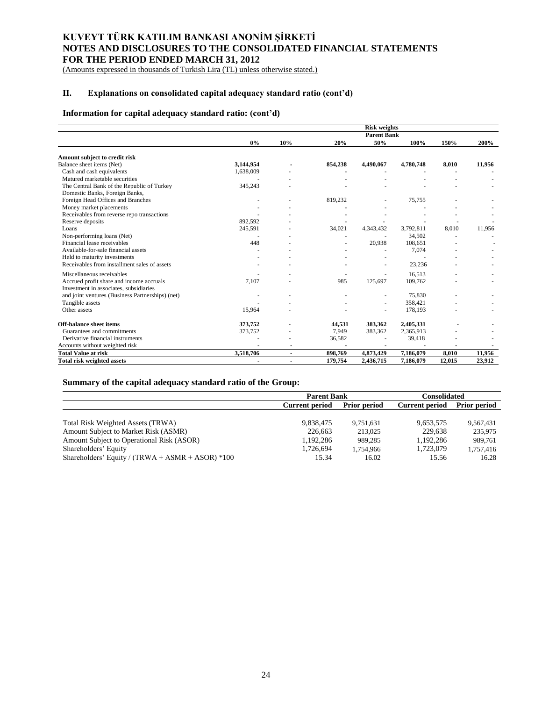(Amounts expressed in thousands of Turkish Lira (TL) unless otherwise stated.)

# **II. Explanations on consolidated capital adequacy standard ratio (cont'd)**

# **Information for capital adequacy standard ratio: (cont'd)**

|                                                  | <b>Risk weights</b> |                          |         |                    |           |        |        |  |  |
|--------------------------------------------------|---------------------|--------------------------|---------|--------------------|-----------|--------|--------|--|--|
|                                                  |                     |                          |         | <b>Parent Bank</b> |           |        |        |  |  |
|                                                  | 0%                  | 10%                      | 20%     | 50%                | 100%      | 150%   | 200%   |  |  |
| Amount subject to credit risk                    |                     |                          |         |                    |           |        |        |  |  |
| Balance sheet items (Net)                        | 3,144,954           |                          | 854,238 | 4,490,067          | 4,780,748 | 8,010  | 11,956 |  |  |
| Cash and cash equivalents                        | 1,638,009           |                          |         |                    |           |        |        |  |  |
| Matured marketable securities                    |                     |                          |         |                    |           |        |        |  |  |
| The Central Bank of the Republic of Turkey       | 345,243             |                          |         |                    |           |        |        |  |  |
| Domestic Banks, Foreign Banks,                   |                     |                          |         |                    |           |        |        |  |  |
| Foreign Head Offices and Branches                |                     |                          | 819,232 |                    | 75,755    |        |        |  |  |
| Money market placements                          |                     |                          |         |                    |           |        |        |  |  |
| Receivables from reverse repo transactions       |                     |                          |         |                    |           |        |        |  |  |
| Reserve deposits                                 | 892.592             |                          |         |                    |           |        |        |  |  |
| Loans                                            | 245,591             |                          | 34,021  | 4,343,432          | 3,792,811 | 8,010  | 11,956 |  |  |
| Non-performing loans (Net)                       |                     |                          |         |                    | 34,502    |        |        |  |  |
| Financial lease receivables                      | 448                 |                          |         | 20,938             | 108,651   |        |        |  |  |
| Available-for-sale financial assets              |                     |                          |         |                    | 7,074     |        |        |  |  |
| Held to maturity investments                     |                     |                          |         |                    |           |        |        |  |  |
| Receivables from installment sales of assets     |                     |                          |         |                    | 23,236    |        |        |  |  |
| Miscellaneous receivables                        |                     |                          |         |                    | 16,513    |        |        |  |  |
| Accrued profit share and income accruals         | 7,107               |                          | 985     | 125,697            | 109,762   |        |        |  |  |
| Investment in associates, subsidiaries           |                     |                          |         |                    |           |        |        |  |  |
| and joint ventures (Business Partnerships) (net) |                     |                          |         |                    | 75,830    |        |        |  |  |
| Tangible assets                                  |                     |                          |         |                    | 358,421   |        |        |  |  |
| Other assets                                     | 15,964              |                          |         |                    | 178,193   |        |        |  |  |
| <b>Off-balance sheet items</b>                   | 373,752             |                          | 44,531  | 383,362            | 2,405,331 |        |        |  |  |
| Guarantees and commitments                       | 373,752             |                          | 7,949   | 383,362            | 2,365,913 |        |        |  |  |
| Derivative financial instruments                 |                     |                          | 36,582  |                    | 39,418    |        |        |  |  |
| Accounts without weighted risk                   |                     |                          |         |                    |           |        |        |  |  |
| <b>Total Value at risk</b>                       | 3,518,706           | $\overline{\phantom{a}}$ | 898,769 | 4,873,429          | 7,186,079 | 8,010  | 11,956 |  |  |
| <b>Total risk weighted assets</b>                |                     | $\blacksquare$           | 179,754 | 2,436,715          | 7,186,079 | 12,015 | 23,912 |  |  |

# **Summary of the capital adequacy standard ratio of the Group:**

|                                                    | <b>Parent Bank</b>                           |           | Consolidated          |                     |
|----------------------------------------------------|----------------------------------------------|-----------|-----------------------|---------------------|
|                                                    | <b>Prior period</b><br><b>Current period</b> |           | <b>Current period</b> | <b>Prior period</b> |
|                                                    |                                              |           |                       |                     |
| Total Risk Weighted Assets (TRWA)                  | 9.838.475                                    | 9.751.631 | 9.653.575             | 9,567,431           |
| Amount Subject to Market Risk (ASMR)               | 226,663                                      | 213,025   | 229.638               | 235,975             |
| Amount Subject to Operational Risk (ASOR)          | 1.192.286                                    | 989.285   | 1.192.286             | 989.761             |
| Shareholders' Equity                               | 1,726,694                                    | 1,754,966 | 1,723,079             | 1,757,416           |
| Shareholders' Equity / (TRWA + ASMR + ASOR) $*100$ | 15.34                                        | 16.02     | 15.56                 | 16.28               |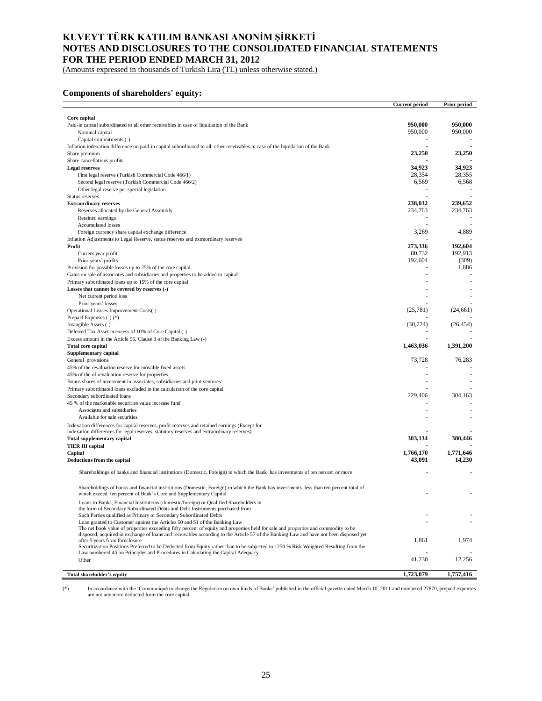(Amounts expressed in thousands of Turkish Lira (TL) unless otherwise stated.)

## **Components of shareholders' equity:**

|                                                                                                                                                                                                                          | <b>Current period</b> | <b>Prior period</b> |
|--------------------------------------------------------------------------------------------------------------------------------------------------------------------------------------------------------------------------|-----------------------|---------------------|
|                                                                                                                                                                                                                          |                       |                     |
| Core capital                                                                                                                                                                                                             |                       |                     |
| Paid-in capital subordinated to all other receivables in case of liquidation of the Bank                                                                                                                                 | 950,000               | 950,000             |
| Nominal capital                                                                                                                                                                                                          | 950,000               | 950,000             |
| Capital commitments (-)                                                                                                                                                                                                  |                       |                     |
| Inflation indexation difference on paid-in capital subordinated to all other receivables in case of the liquidation of the Bank                                                                                          |                       |                     |
| Share premium                                                                                                                                                                                                            | 23,250                | 23,250              |
| Share cancellations profits                                                                                                                                                                                              |                       |                     |
| <b>Legal reserves</b>                                                                                                                                                                                                    | 34,923                | 34,923              |
| First legal reserve (Turkish Commercial Code 466/1)<br>Second legal reserve (Turkish Commercial Code 466/2)                                                                                                              | 28,354<br>6,569       | 28,355<br>6,568     |
|                                                                                                                                                                                                                          |                       |                     |
| Other legal reserve per special legislation<br>Status reserves                                                                                                                                                           |                       |                     |
| <b>Extraordinary reserves</b>                                                                                                                                                                                            | 238,032               | 239,652             |
| Reserves allocated by the General Assembly                                                                                                                                                                               | 234,763               | 234,763             |
| Retained earnings                                                                                                                                                                                                        |                       |                     |
| Accumulated losses                                                                                                                                                                                                       |                       |                     |
| Foreign currency share capital exchange difference                                                                                                                                                                       | 3,269                 | 4,889               |
| Inflation Adjustments to Legal Reserve, status reserves and extraordinary reserves                                                                                                                                       |                       |                     |
| Profit                                                                                                                                                                                                                   | 273,336               | 192,604             |
| Current year profit                                                                                                                                                                                                      | 80,732                | 192,913             |
| Prior years' profits                                                                                                                                                                                                     | 192,604               | (309)               |
| Provision for possible losses up to 25% of the core capital                                                                                                                                                              |                       | 1,886               |
| Gains on sale of associates and subsidiaries and properties to be added to capital                                                                                                                                       |                       |                     |
| Primary subordinated loans up to 15% of the core capital                                                                                                                                                                 |                       |                     |
| Losses that cannot be covered by reserves (-)                                                                                                                                                                            |                       |                     |
| Net current period loss                                                                                                                                                                                                  |                       |                     |
| Prior years' losses                                                                                                                                                                                                      |                       |                     |
| Operational Leases Improvement Costs(-)                                                                                                                                                                                  | (25,781)              | (24, 661)           |
| Prepaid Expenses (-) (*)                                                                                                                                                                                                 |                       |                     |
| Intangible Assets (-)                                                                                                                                                                                                    | (30, 724)             | (26, 454)           |
| Deferred Tax Asset in excess of 10% of Core Capital (-)                                                                                                                                                                  |                       |                     |
| Excess amount in the Article 56, Clause 3 of the Banking Law (-)                                                                                                                                                         |                       |                     |
| <b>Total core capital</b>                                                                                                                                                                                                | 1,463,036             | 1,391,200           |
| Supplementary capital                                                                                                                                                                                                    |                       |                     |
| General provisions                                                                                                                                                                                                       | 73,728                | 76,283              |
| 45% of the revaluation reserve for movable fixed assets                                                                                                                                                                  |                       |                     |
| 45% of the of revaluation reserve for properties                                                                                                                                                                         |                       |                     |
| Bonus shares of investment in associates, subsidiaries and joint ventures                                                                                                                                                |                       |                     |
| Primary subordinated loans excluded in the calculation of the core capital                                                                                                                                               |                       |                     |
| Secondary subordinated loans                                                                                                                                                                                             | 229,406               | 304,163             |
| 45 % of the marketable securities value increase fund                                                                                                                                                                    |                       |                     |
| Associates and subsidiaries                                                                                                                                                                                              |                       |                     |
| Available for sale securities                                                                                                                                                                                            |                       |                     |
| Indexation differences for capital reserves, profit reserves and retained earnings (Except for                                                                                                                           |                       |                     |
| indexation differences for legal reserves, statutory reserves and extraordinary reserves)                                                                                                                                | 303,134               | 380,446             |
| <b>Total supplementary capital</b><br><b>TIER III capital</b>                                                                                                                                                            |                       |                     |
| Capital                                                                                                                                                                                                                  | 1.766.170             | 1.771.646           |
| Deductions from the capital                                                                                                                                                                                              | 43,091                | 14,230              |
|                                                                                                                                                                                                                          |                       |                     |
| Shareholdings of banks and financial institutions (Domestic, Foreign) in which the Bank has investments of ten percent or more                                                                                           |                       |                     |
| Shareholdings of banks and financial institutions (Domestic, Foreign) in which the Bank has investments less than ten percent total of<br>which exceed ten percent of Bank's Core and Supplementary Capital              |                       |                     |
| Loans to Banks, Financial Institutions (domestic/foreign) or Qualified Shareholders in                                                                                                                                   |                       |                     |
| the form of Secondary Subordinated Debts and Debt Instruments purchased from<br>Such Parties qualified as Primary or Secondary Subordinated Debts                                                                        |                       |                     |
| Loan granted to Customer against the Articles 50 and 51 of the Banking Law                                                                                                                                               |                       |                     |
| The net book value of properties exceeding fifty percent of equity and properties held for sale and properties and commodity to be                                                                                       |                       |                     |
| disposed, acquired in exchange of loans and receivables according to the Article 57 of the Banking Law and have not been disposed yet                                                                                    |                       |                     |
| after 5 years from foreclosure                                                                                                                                                                                           | 1,861                 | 1,974               |
| Securitization Positions Preferred to be Deducted from Equity rather than to be subjected to 1250 % Risk Weighted Resulting from the<br>Law numbered 45 on Principles and Procedures in Calculating the Capital Adequacy |                       |                     |
| Other                                                                                                                                                                                                                    | 41,230                | 12,256              |
|                                                                                                                                                                                                                          |                       |                     |
| Total shareholder's equity                                                                                                                                                                                               | 1,723,079             | 1,757,416           |

(\*) In accordance with the 'Communiqué to change the Regulation on own funds of Banks' published in the official gazette dated March 10, 2011 and numbered 27870, prepaid expenses are not any more deducted from the core cap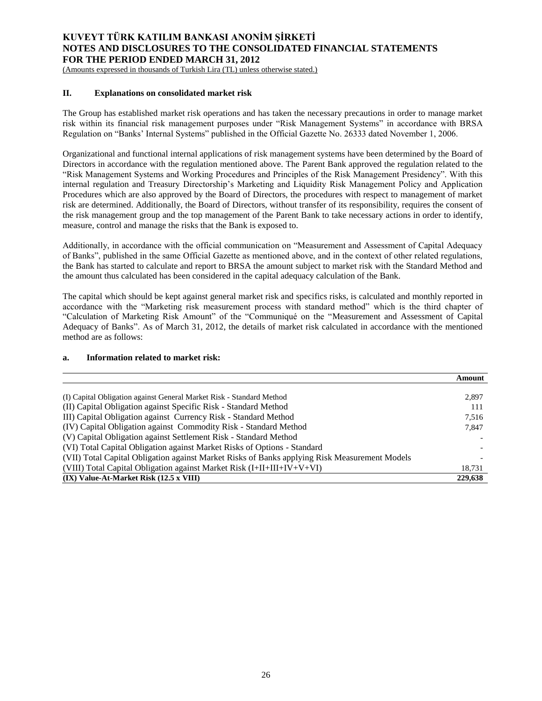(Amounts expressed in thousands of Turkish Lira (TL) unless otherwise stated.)

## **II. Explanations on consolidated market risk**

The Group has established market risk operations and has taken the necessary precautions in order to manage market risk within its financial risk management purposes under "Risk Management Systems" in accordance with BRSA Regulation on "Banks' Internal Systems" published in the Official Gazette No. 26333 dated November 1, 2006.

Organizational and functional internal applications of risk management systems have been determined by the Board of Directors in accordance with the regulation mentioned above. The Parent Bank approved the regulation related to the "Risk Management Systems and Working Procedures and Principles of the Risk Management Presidency". With this internal regulation and Treasury Directorship's Marketing and Liquidity Risk Management Policy and Application Procedures which are also approved by the Board of Directors, the procedures with respect to management of market risk are determined. Additionally, the Board of Directors, without transfer of its responsibility, requires the consent of the risk management group and the top management of the Parent Bank to take necessary actions in order to identify, measure, control and manage the risks that the Bank is exposed to.

Additionally, in accordance with the official communication on "Measurement and Assessment of Capital Adequacy of Banks", published in the same Official Gazette as mentioned above, and in the context of other related regulations, the Bank has started to calculate and report to BRSA the amount subject to market risk with the Standard Method and the amount thus calculated has been considered in the capital adequacy calculation of the Bank.

The capital which should be kept against general market risk and specifics risks, is calculated and monthly reported in accordance with the "Marketing risk measurement process with standard method" which is the third chapter of "Calculation of Marketing Risk Amount" of the "Communiqué on the "Measurement and Assessment of Capital Adequacy of Banks". As of March 31, 2012, the details of market risk calculated in accordance with the mentioned method are as follows:

### **a. Information related to market risk:**

|                                                                                               | Amount  |
|-----------------------------------------------------------------------------------------------|---------|
|                                                                                               |         |
| (I) Capital Obligation against General Market Risk - Standard Method                          | 2,897   |
| (II) Capital Obligation against Specific Risk - Standard Method                               | 111     |
| III) Capital Obligation against Currency Risk - Standard Method                               | 7,516   |
| (IV) Capital Obligation against Commodity Risk - Standard Method                              | 7,847   |
| (V) Capital Obligation against Settlement Risk - Standard Method                              |         |
| (VI) Total Capital Obligation against Market Risks of Options - Standard                      |         |
| (VII) Total Capital Obligation against Market Risks of Banks applying Risk Measurement Models |         |
| (VIII) Total Capital Obligation against Market Risk $(I+II+III+IV+V+VI)$                      | 18,731  |
| $(IX)$ Value-At-Market Risk $(12.5 \times VIII)$                                              | 229,638 |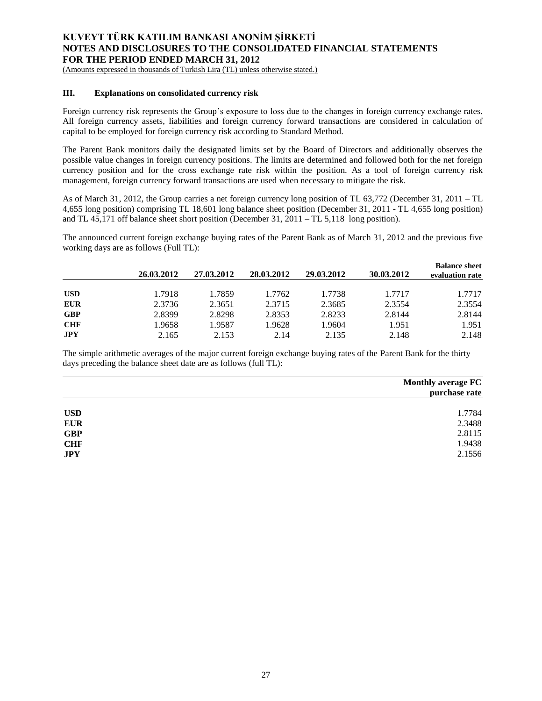(Amounts expressed in thousands of Turkish Lira (TL) unless otherwise stated.)

## **III. Explanations on consolidated currency risk**

Foreign currency risk represents the Group's exposure to loss due to the changes in foreign currency exchange rates. All foreign currency assets, liabilities and foreign currency forward transactions are considered in calculation of capital to be employed for foreign currency risk according to Standard Method.

The Parent Bank monitors daily the designated limits set by the Board of Directors and additionally observes the possible value changes in foreign currency positions. The limits are determined and followed both for the net foreign currency position and for the cross exchange rate risk within the position. As a tool of foreign currency risk management, foreign currency forward transactions are used when necessary to mitigate the risk.

As of March 31, 2012, the Group carries a net foreign currency long position of TL 63,772 (December 31, 2011 – TL 4,655 long position) comprising TL 18,601 long balance sheet position (December 31, 2011 - TL 4,655 long position) and TL 45,171 off balance sheet short position (December 31, 2011 – TL 5,118 long position).

The announced current foreign exchange buying rates of the Parent Bank as of March 31, 2012 and the previous five working days are as follows (Full TL):

|            | 26.03.2012 | 27.03.2012 | 28.03.2012 | 29.03.2012 | 30.03.2012 | <b>Balance sheet</b><br>evaluation rate |
|------------|------------|------------|------------|------------|------------|-----------------------------------------|
| <b>USD</b> | 1.7918     | 1.7859     | 1.7762     | 1.7738     | 1.7717     | 1.7717                                  |
| <b>EUR</b> | 2.3736     | 2.3651     | 2.3715     | 2.3685     | 2.3554     | 2.3554                                  |
| <b>GBP</b> | 2.8399     | 2.8298     | 2.8353     | 2.8233     | 2.8144     | 2.8144                                  |
| <b>CHF</b> | 1.9658     | 1.9587     | 1.9628     | 1.9604     | 1.951      | 1.951                                   |
| JPY        | 2.165      | 2.153      | 2.14       | 2.135      | 2.148      | 2.148                                   |

The simple arithmetic averages of the major current foreign exchange buying rates of the Parent Bank for the thirty days preceding the balance sheet date are as follows (full TL):

|            | <b>Monthly average FC</b><br>purchase rate |
|------------|--------------------------------------------|
| <b>USD</b> | 1.7784                                     |
| <b>EUR</b> | 2.3488                                     |
| <b>GBP</b> | 2.8115                                     |
| <b>CHF</b> | 1.9438                                     |
| <b>JPY</b> | 2.1556                                     |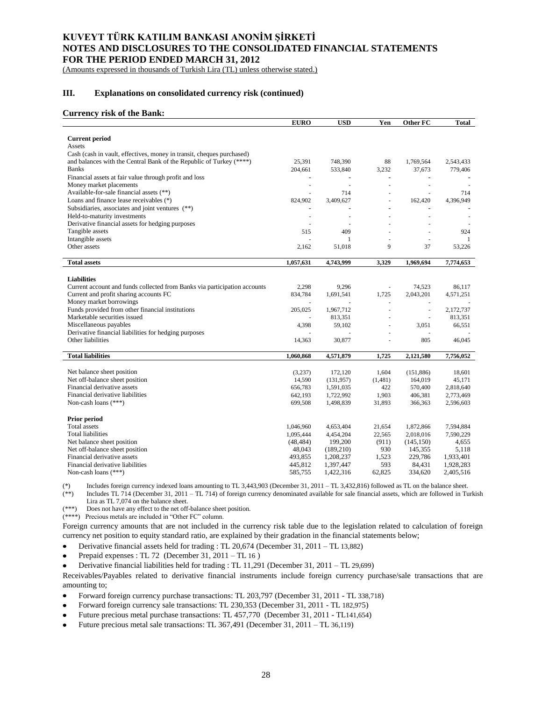(Amounts expressed in thousands of Turkish Lira (TL) unless otherwise stated.)

### **III. Explanations on consolidated currency risk (continued)**

#### **Currency risk of the Bank:**

| <b>Current period</b><br>Assets<br>Cash (cash in vault, effectives, money in transit, cheques purchased)<br>and balances with the Central Bank of the Republic of Turkey (****)<br>25,391<br>748,390<br>88<br>2,543,433<br>1,769,564<br><b>Banks</b><br>204,661<br>533,840<br>3,232<br>37,673<br>779,406<br>Financial assets at fair value through profit and loss<br>$\overline{\phantom{a}}$<br>÷,<br>Money market placements<br>÷,<br>÷,<br>Available-for-sale financial assets (**)<br>714<br>714<br>Loans and finance lease receivables (*)<br>4,396,949<br>824,902<br>3,409,627<br>162,420<br>÷,<br>Subsidiaries, associates and joint ventures (**)<br>÷<br>Held-to-maturity investments<br>÷<br>۰<br>Derivative financial assets for hedging purposes<br>÷<br>409<br>Tangible assets<br>515<br>924<br>Intangible assets<br>1<br>-1<br>÷.<br>÷.<br>Other assets<br>9<br>37<br>2,162<br>51,018<br>53,226<br><b>Total assets</b><br>1,057,631<br>4,743,999<br>3,329<br>1,969,694<br>7,774,653<br><b>Liabilities</b><br>Current account and funds collected from Banks via participation accounts<br>2,298<br>9,296<br>74,523<br>86,117<br>÷,<br>Current and profit sharing accounts FC<br>834,784<br>1,691,541<br>1,725<br>2,043,201<br>4,571,251<br>Money market borrowings<br>ä,<br>÷,<br>$\overline{\phantom{a}}$<br>Funds provided from other financial institutions<br>205,025<br>1,967,712<br>2,172,737<br>÷,<br>Marketable securities issued<br>813,351<br>813,351<br>÷,<br>÷,<br>Miscellaneous payables<br>4,398<br>59,102<br>66,551<br>3,051<br>Derivative financial liabilities for hedging purposes<br>Other liabilities<br>14,363<br>30,877<br>805<br>46,045<br><b>Total liabilities</b><br>1,060,868<br>4,571,879<br>1,725<br>2,121,580<br>7,756,052<br>Net balance sheet position<br>(3,237)<br>172,120<br>1,604<br>(151, 886)<br>18,601<br>Net off-balance sheet position<br>14,590<br>(131, 957)<br>(1,481)<br>164,019<br>45,171<br>Financial derivative assets<br>656,783<br>422<br>1,591,035<br>570,400<br>2,818,640<br>Financial derivative liabilities<br>642,193<br>1,722,992<br>1,903<br>406,381<br>2,773,469<br>Non-cash loans (***)<br>699,508<br>1,498,839<br>31,893<br>366,363<br>2,596,603<br>Prior period<br><b>Total</b> assets<br>1,046,960<br>4,653,404<br>21,654<br>1,872,866<br>7,594,884<br>Total liabilities<br>1,095,444<br>4,454,204<br>22,565<br>2,018,016<br>7,590,229<br>Net balance sheet position<br>(48, 484)<br>199,200<br>(911)<br>(145, 150)<br>4,655<br>Net off-balance sheet position<br>48,043<br>930<br>5,118<br>(189,210)<br>145,355<br>Financial derivative assets<br>493,855<br>1,523<br>229,786<br>1,208,237<br>1,933,401<br>593<br>Financial derivative liabilities<br>445,812<br>84,431<br>1,397,447<br>1,928,283<br>62,825<br>Non-cash loans (***)<br>585,755<br>1,422,316<br>334,620<br>2,405,516 | <b>EURO</b> | <b>USD</b> | Yen | Other FC | <b>Total</b> |
|------------------------------------------------------------------------------------------------------------------------------------------------------------------------------------------------------------------------------------------------------------------------------------------------------------------------------------------------------------------------------------------------------------------------------------------------------------------------------------------------------------------------------------------------------------------------------------------------------------------------------------------------------------------------------------------------------------------------------------------------------------------------------------------------------------------------------------------------------------------------------------------------------------------------------------------------------------------------------------------------------------------------------------------------------------------------------------------------------------------------------------------------------------------------------------------------------------------------------------------------------------------------------------------------------------------------------------------------------------------------------------------------------------------------------------------------------------------------------------------------------------------------------------------------------------------------------------------------------------------------------------------------------------------------------------------------------------------------------------------------------------------------------------------------------------------------------------------------------------------------------------------------------------------------------------------------------------------------------------------------------------------------------------------------------------------------------------------------------------------------------------------------------------------------------------------------------------------------------------------------------------------------------------------------------------------------------------------------------------------------------------------------------------------------------------------------------------------------------------------------------------------------------------------------------------------------------------------------------------------------------------------------------------------------------------------------------------------------------------------------------------------------------------------------------------------------------------------------------------------|-------------|------------|-----|----------|--------------|
|                                                                                                                                                                                                                                                                                                                                                                                                                                                                                                                                                                                                                                                                                                                                                                                                                                                                                                                                                                                                                                                                                                                                                                                                                                                                                                                                                                                                                                                                                                                                                                                                                                                                                                                                                                                                                                                                                                                                                                                                                                                                                                                                                                                                                                                                                                                                                                                                                                                                                                                                                                                                                                                                                                                                                                                                                                                                  |             |            |     |          |              |
|                                                                                                                                                                                                                                                                                                                                                                                                                                                                                                                                                                                                                                                                                                                                                                                                                                                                                                                                                                                                                                                                                                                                                                                                                                                                                                                                                                                                                                                                                                                                                                                                                                                                                                                                                                                                                                                                                                                                                                                                                                                                                                                                                                                                                                                                                                                                                                                                                                                                                                                                                                                                                                                                                                                                                                                                                                                                  |             |            |     |          |              |
|                                                                                                                                                                                                                                                                                                                                                                                                                                                                                                                                                                                                                                                                                                                                                                                                                                                                                                                                                                                                                                                                                                                                                                                                                                                                                                                                                                                                                                                                                                                                                                                                                                                                                                                                                                                                                                                                                                                                                                                                                                                                                                                                                                                                                                                                                                                                                                                                                                                                                                                                                                                                                                                                                                                                                                                                                                                                  |             |            |     |          |              |
|                                                                                                                                                                                                                                                                                                                                                                                                                                                                                                                                                                                                                                                                                                                                                                                                                                                                                                                                                                                                                                                                                                                                                                                                                                                                                                                                                                                                                                                                                                                                                                                                                                                                                                                                                                                                                                                                                                                                                                                                                                                                                                                                                                                                                                                                                                                                                                                                                                                                                                                                                                                                                                                                                                                                                                                                                                                                  |             |            |     |          |              |
|                                                                                                                                                                                                                                                                                                                                                                                                                                                                                                                                                                                                                                                                                                                                                                                                                                                                                                                                                                                                                                                                                                                                                                                                                                                                                                                                                                                                                                                                                                                                                                                                                                                                                                                                                                                                                                                                                                                                                                                                                                                                                                                                                                                                                                                                                                                                                                                                                                                                                                                                                                                                                                                                                                                                                                                                                                                                  |             |            |     |          |              |
|                                                                                                                                                                                                                                                                                                                                                                                                                                                                                                                                                                                                                                                                                                                                                                                                                                                                                                                                                                                                                                                                                                                                                                                                                                                                                                                                                                                                                                                                                                                                                                                                                                                                                                                                                                                                                                                                                                                                                                                                                                                                                                                                                                                                                                                                                                                                                                                                                                                                                                                                                                                                                                                                                                                                                                                                                                                                  |             |            |     |          |              |
|                                                                                                                                                                                                                                                                                                                                                                                                                                                                                                                                                                                                                                                                                                                                                                                                                                                                                                                                                                                                                                                                                                                                                                                                                                                                                                                                                                                                                                                                                                                                                                                                                                                                                                                                                                                                                                                                                                                                                                                                                                                                                                                                                                                                                                                                                                                                                                                                                                                                                                                                                                                                                                                                                                                                                                                                                                                                  |             |            |     |          |              |
|                                                                                                                                                                                                                                                                                                                                                                                                                                                                                                                                                                                                                                                                                                                                                                                                                                                                                                                                                                                                                                                                                                                                                                                                                                                                                                                                                                                                                                                                                                                                                                                                                                                                                                                                                                                                                                                                                                                                                                                                                                                                                                                                                                                                                                                                                                                                                                                                                                                                                                                                                                                                                                                                                                                                                                                                                                                                  |             |            |     |          |              |
|                                                                                                                                                                                                                                                                                                                                                                                                                                                                                                                                                                                                                                                                                                                                                                                                                                                                                                                                                                                                                                                                                                                                                                                                                                                                                                                                                                                                                                                                                                                                                                                                                                                                                                                                                                                                                                                                                                                                                                                                                                                                                                                                                                                                                                                                                                                                                                                                                                                                                                                                                                                                                                                                                                                                                                                                                                                                  |             |            |     |          |              |
|                                                                                                                                                                                                                                                                                                                                                                                                                                                                                                                                                                                                                                                                                                                                                                                                                                                                                                                                                                                                                                                                                                                                                                                                                                                                                                                                                                                                                                                                                                                                                                                                                                                                                                                                                                                                                                                                                                                                                                                                                                                                                                                                                                                                                                                                                                                                                                                                                                                                                                                                                                                                                                                                                                                                                                                                                                                                  |             |            |     |          |              |
|                                                                                                                                                                                                                                                                                                                                                                                                                                                                                                                                                                                                                                                                                                                                                                                                                                                                                                                                                                                                                                                                                                                                                                                                                                                                                                                                                                                                                                                                                                                                                                                                                                                                                                                                                                                                                                                                                                                                                                                                                                                                                                                                                                                                                                                                                                                                                                                                                                                                                                                                                                                                                                                                                                                                                                                                                                                                  |             |            |     |          |              |
|                                                                                                                                                                                                                                                                                                                                                                                                                                                                                                                                                                                                                                                                                                                                                                                                                                                                                                                                                                                                                                                                                                                                                                                                                                                                                                                                                                                                                                                                                                                                                                                                                                                                                                                                                                                                                                                                                                                                                                                                                                                                                                                                                                                                                                                                                                                                                                                                                                                                                                                                                                                                                                                                                                                                                                                                                                                                  |             |            |     |          |              |
|                                                                                                                                                                                                                                                                                                                                                                                                                                                                                                                                                                                                                                                                                                                                                                                                                                                                                                                                                                                                                                                                                                                                                                                                                                                                                                                                                                                                                                                                                                                                                                                                                                                                                                                                                                                                                                                                                                                                                                                                                                                                                                                                                                                                                                                                                                                                                                                                                                                                                                                                                                                                                                                                                                                                                                                                                                                                  |             |            |     |          |              |
|                                                                                                                                                                                                                                                                                                                                                                                                                                                                                                                                                                                                                                                                                                                                                                                                                                                                                                                                                                                                                                                                                                                                                                                                                                                                                                                                                                                                                                                                                                                                                                                                                                                                                                                                                                                                                                                                                                                                                                                                                                                                                                                                                                                                                                                                                                                                                                                                                                                                                                                                                                                                                                                                                                                                                                                                                                                                  |             |            |     |          |              |
|                                                                                                                                                                                                                                                                                                                                                                                                                                                                                                                                                                                                                                                                                                                                                                                                                                                                                                                                                                                                                                                                                                                                                                                                                                                                                                                                                                                                                                                                                                                                                                                                                                                                                                                                                                                                                                                                                                                                                                                                                                                                                                                                                                                                                                                                                                                                                                                                                                                                                                                                                                                                                                                                                                                                                                                                                                                                  |             |            |     |          |              |
|                                                                                                                                                                                                                                                                                                                                                                                                                                                                                                                                                                                                                                                                                                                                                                                                                                                                                                                                                                                                                                                                                                                                                                                                                                                                                                                                                                                                                                                                                                                                                                                                                                                                                                                                                                                                                                                                                                                                                                                                                                                                                                                                                                                                                                                                                                                                                                                                                                                                                                                                                                                                                                                                                                                                                                                                                                                                  |             |            |     |          |              |
|                                                                                                                                                                                                                                                                                                                                                                                                                                                                                                                                                                                                                                                                                                                                                                                                                                                                                                                                                                                                                                                                                                                                                                                                                                                                                                                                                                                                                                                                                                                                                                                                                                                                                                                                                                                                                                                                                                                                                                                                                                                                                                                                                                                                                                                                                                                                                                                                                                                                                                                                                                                                                                                                                                                                                                                                                                                                  |             |            |     |          |              |
|                                                                                                                                                                                                                                                                                                                                                                                                                                                                                                                                                                                                                                                                                                                                                                                                                                                                                                                                                                                                                                                                                                                                                                                                                                                                                                                                                                                                                                                                                                                                                                                                                                                                                                                                                                                                                                                                                                                                                                                                                                                                                                                                                                                                                                                                                                                                                                                                                                                                                                                                                                                                                                                                                                                                                                                                                                                                  |             |            |     |          |              |
|                                                                                                                                                                                                                                                                                                                                                                                                                                                                                                                                                                                                                                                                                                                                                                                                                                                                                                                                                                                                                                                                                                                                                                                                                                                                                                                                                                                                                                                                                                                                                                                                                                                                                                                                                                                                                                                                                                                                                                                                                                                                                                                                                                                                                                                                                                                                                                                                                                                                                                                                                                                                                                                                                                                                                                                                                                                                  |             |            |     |          |              |
|                                                                                                                                                                                                                                                                                                                                                                                                                                                                                                                                                                                                                                                                                                                                                                                                                                                                                                                                                                                                                                                                                                                                                                                                                                                                                                                                                                                                                                                                                                                                                                                                                                                                                                                                                                                                                                                                                                                                                                                                                                                                                                                                                                                                                                                                                                                                                                                                                                                                                                                                                                                                                                                                                                                                                                                                                                                                  |             |            |     |          |              |
|                                                                                                                                                                                                                                                                                                                                                                                                                                                                                                                                                                                                                                                                                                                                                                                                                                                                                                                                                                                                                                                                                                                                                                                                                                                                                                                                                                                                                                                                                                                                                                                                                                                                                                                                                                                                                                                                                                                                                                                                                                                                                                                                                                                                                                                                                                                                                                                                                                                                                                                                                                                                                                                                                                                                                                                                                                                                  |             |            |     |          |              |
|                                                                                                                                                                                                                                                                                                                                                                                                                                                                                                                                                                                                                                                                                                                                                                                                                                                                                                                                                                                                                                                                                                                                                                                                                                                                                                                                                                                                                                                                                                                                                                                                                                                                                                                                                                                                                                                                                                                                                                                                                                                                                                                                                                                                                                                                                                                                                                                                                                                                                                                                                                                                                                                                                                                                                                                                                                                                  |             |            |     |          |              |
|                                                                                                                                                                                                                                                                                                                                                                                                                                                                                                                                                                                                                                                                                                                                                                                                                                                                                                                                                                                                                                                                                                                                                                                                                                                                                                                                                                                                                                                                                                                                                                                                                                                                                                                                                                                                                                                                                                                                                                                                                                                                                                                                                                                                                                                                                                                                                                                                                                                                                                                                                                                                                                                                                                                                                                                                                                                                  |             |            |     |          |              |
|                                                                                                                                                                                                                                                                                                                                                                                                                                                                                                                                                                                                                                                                                                                                                                                                                                                                                                                                                                                                                                                                                                                                                                                                                                                                                                                                                                                                                                                                                                                                                                                                                                                                                                                                                                                                                                                                                                                                                                                                                                                                                                                                                                                                                                                                                                                                                                                                                                                                                                                                                                                                                                                                                                                                                                                                                                                                  |             |            |     |          |              |
|                                                                                                                                                                                                                                                                                                                                                                                                                                                                                                                                                                                                                                                                                                                                                                                                                                                                                                                                                                                                                                                                                                                                                                                                                                                                                                                                                                                                                                                                                                                                                                                                                                                                                                                                                                                                                                                                                                                                                                                                                                                                                                                                                                                                                                                                                                                                                                                                                                                                                                                                                                                                                                                                                                                                                                                                                                                                  |             |            |     |          |              |
|                                                                                                                                                                                                                                                                                                                                                                                                                                                                                                                                                                                                                                                                                                                                                                                                                                                                                                                                                                                                                                                                                                                                                                                                                                                                                                                                                                                                                                                                                                                                                                                                                                                                                                                                                                                                                                                                                                                                                                                                                                                                                                                                                                                                                                                                                                                                                                                                                                                                                                                                                                                                                                                                                                                                                                                                                                                                  |             |            |     |          |              |
|                                                                                                                                                                                                                                                                                                                                                                                                                                                                                                                                                                                                                                                                                                                                                                                                                                                                                                                                                                                                                                                                                                                                                                                                                                                                                                                                                                                                                                                                                                                                                                                                                                                                                                                                                                                                                                                                                                                                                                                                                                                                                                                                                                                                                                                                                                                                                                                                                                                                                                                                                                                                                                                                                                                                                                                                                                                                  |             |            |     |          |              |
|                                                                                                                                                                                                                                                                                                                                                                                                                                                                                                                                                                                                                                                                                                                                                                                                                                                                                                                                                                                                                                                                                                                                                                                                                                                                                                                                                                                                                                                                                                                                                                                                                                                                                                                                                                                                                                                                                                                                                                                                                                                                                                                                                                                                                                                                                                                                                                                                                                                                                                                                                                                                                                                                                                                                                                                                                                                                  |             |            |     |          |              |
|                                                                                                                                                                                                                                                                                                                                                                                                                                                                                                                                                                                                                                                                                                                                                                                                                                                                                                                                                                                                                                                                                                                                                                                                                                                                                                                                                                                                                                                                                                                                                                                                                                                                                                                                                                                                                                                                                                                                                                                                                                                                                                                                                                                                                                                                                                                                                                                                                                                                                                                                                                                                                                                                                                                                                                                                                                                                  |             |            |     |          |              |
|                                                                                                                                                                                                                                                                                                                                                                                                                                                                                                                                                                                                                                                                                                                                                                                                                                                                                                                                                                                                                                                                                                                                                                                                                                                                                                                                                                                                                                                                                                                                                                                                                                                                                                                                                                                                                                                                                                                                                                                                                                                                                                                                                                                                                                                                                                                                                                                                                                                                                                                                                                                                                                                                                                                                                                                                                                                                  |             |            |     |          |              |
|                                                                                                                                                                                                                                                                                                                                                                                                                                                                                                                                                                                                                                                                                                                                                                                                                                                                                                                                                                                                                                                                                                                                                                                                                                                                                                                                                                                                                                                                                                                                                                                                                                                                                                                                                                                                                                                                                                                                                                                                                                                                                                                                                                                                                                                                                                                                                                                                                                                                                                                                                                                                                                                                                                                                                                                                                                                                  |             |            |     |          |              |
|                                                                                                                                                                                                                                                                                                                                                                                                                                                                                                                                                                                                                                                                                                                                                                                                                                                                                                                                                                                                                                                                                                                                                                                                                                                                                                                                                                                                                                                                                                                                                                                                                                                                                                                                                                                                                                                                                                                                                                                                                                                                                                                                                                                                                                                                                                                                                                                                                                                                                                                                                                                                                                                                                                                                                                                                                                                                  |             |            |     |          |              |
|                                                                                                                                                                                                                                                                                                                                                                                                                                                                                                                                                                                                                                                                                                                                                                                                                                                                                                                                                                                                                                                                                                                                                                                                                                                                                                                                                                                                                                                                                                                                                                                                                                                                                                                                                                                                                                                                                                                                                                                                                                                                                                                                                                                                                                                                                                                                                                                                                                                                                                                                                                                                                                                                                                                                                                                                                                                                  |             |            |     |          |              |
|                                                                                                                                                                                                                                                                                                                                                                                                                                                                                                                                                                                                                                                                                                                                                                                                                                                                                                                                                                                                                                                                                                                                                                                                                                                                                                                                                                                                                                                                                                                                                                                                                                                                                                                                                                                                                                                                                                                                                                                                                                                                                                                                                                                                                                                                                                                                                                                                                                                                                                                                                                                                                                                                                                                                                                                                                                                                  |             |            |     |          |              |
|                                                                                                                                                                                                                                                                                                                                                                                                                                                                                                                                                                                                                                                                                                                                                                                                                                                                                                                                                                                                                                                                                                                                                                                                                                                                                                                                                                                                                                                                                                                                                                                                                                                                                                                                                                                                                                                                                                                                                                                                                                                                                                                                                                                                                                                                                                                                                                                                                                                                                                                                                                                                                                                                                                                                                                                                                                                                  |             |            |     |          |              |
|                                                                                                                                                                                                                                                                                                                                                                                                                                                                                                                                                                                                                                                                                                                                                                                                                                                                                                                                                                                                                                                                                                                                                                                                                                                                                                                                                                                                                                                                                                                                                                                                                                                                                                                                                                                                                                                                                                                                                                                                                                                                                                                                                                                                                                                                                                                                                                                                                                                                                                                                                                                                                                                                                                                                                                                                                                                                  |             |            |     |          |              |
|                                                                                                                                                                                                                                                                                                                                                                                                                                                                                                                                                                                                                                                                                                                                                                                                                                                                                                                                                                                                                                                                                                                                                                                                                                                                                                                                                                                                                                                                                                                                                                                                                                                                                                                                                                                                                                                                                                                                                                                                                                                                                                                                                                                                                                                                                                                                                                                                                                                                                                                                                                                                                                                                                                                                                                                                                                                                  |             |            |     |          |              |
|                                                                                                                                                                                                                                                                                                                                                                                                                                                                                                                                                                                                                                                                                                                                                                                                                                                                                                                                                                                                                                                                                                                                                                                                                                                                                                                                                                                                                                                                                                                                                                                                                                                                                                                                                                                                                                                                                                                                                                                                                                                                                                                                                                                                                                                                                                                                                                                                                                                                                                                                                                                                                                                                                                                                                                                                                                                                  |             |            |     |          |              |
|                                                                                                                                                                                                                                                                                                                                                                                                                                                                                                                                                                                                                                                                                                                                                                                                                                                                                                                                                                                                                                                                                                                                                                                                                                                                                                                                                                                                                                                                                                                                                                                                                                                                                                                                                                                                                                                                                                                                                                                                                                                                                                                                                                                                                                                                                                                                                                                                                                                                                                                                                                                                                                                                                                                                                                                                                                                                  |             |            |     |          |              |
|                                                                                                                                                                                                                                                                                                                                                                                                                                                                                                                                                                                                                                                                                                                                                                                                                                                                                                                                                                                                                                                                                                                                                                                                                                                                                                                                                                                                                                                                                                                                                                                                                                                                                                                                                                                                                                                                                                                                                                                                                                                                                                                                                                                                                                                                                                                                                                                                                                                                                                                                                                                                                                                                                                                                                                                                                                                                  |             |            |     |          |              |
|                                                                                                                                                                                                                                                                                                                                                                                                                                                                                                                                                                                                                                                                                                                                                                                                                                                                                                                                                                                                                                                                                                                                                                                                                                                                                                                                                                                                                                                                                                                                                                                                                                                                                                                                                                                                                                                                                                                                                                                                                                                                                                                                                                                                                                                                                                                                                                                                                                                                                                                                                                                                                                                                                                                                                                                                                                                                  |             |            |     |          |              |
|                                                                                                                                                                                                                                                                                                                                                                                                                                                                                                                                                                                                                                                                                                                                                                                                                                                                                                                                                                                                                                                                                                                                                                                                                                                                                                                                                                                                                                                                                                                                                                                                                                                                                                                                                                                                                                                                                                                                                                                                                                                                                                                                                                                                                                                                                                                                                                                                                                                                                                                                                                                                                                                                                                                                                                                                                                                                  |             |            |     |          |              |
|                                                                                                                                                                                                                                                                                                                                                                                                                                                                                                                                                                                                                                                                                                                                                                                                                                                                                                                                                                                                                                                                                                                                                                                                                                                                                                                                                                                                                                                                                                                                                                                                                                                                                                                                                                                                                                                                                                                                                                                                                                                                                                                                                                                                                                                                                                                                                                                                                                                                                                                                                                                                                                                                                                                                                                                                                                                                  |             |            |     |          |              |
|                                                                                                                                                                                                                                                                                                                                                                                                                                                                                                                                                                                                                                                                                                                                                                                                                                                                                                                                                                                                                                                                                                                                                                                                                                                                                                                                                                                                                                                                                                                                                                                                                                                                                                                                                                                                                                                                                                                                                                                                                                                                                                                                                                                                                                                                                                                                                                                                                                                                                                                                                                                                                                                                                                                                                                                                                                                                  |             |            |     |          |              |
|                                                                                                                                                                                                                                                                                                                                                                                                                                                                                                                                                                                                                                                                                                                                                                                                                                                                                                                                                                                                                                                                                                                                                                                                                                                                                                                                                                                                                                                                                                                                                                                                                                                                                                                                                                                                                                                                                                                                                                                                                                                                                                                                                                                                                                                                                                                                                                                                                                                                                                                                                                                                                                                                                                                                                                                                                                                                  |             |            |     |          |              |

(\*) Includes foreign currency indexed loans amounting to TL 3,443,903 (December 31, 2011 – TL 3,432,816) followed as TL on the balance sheet.<br>(\*\*) Includes TL 714 (December 31, 2011 – TL 714) of foreign currency denominat Includes TL 714 (December 31, 2011 – TL 714) of foreign currency denominated available for sale financial assets, which are followed in Turkish

Lira as TL 7,074 on the balance sheet.

(\*\*\*) Does not have any effect to the net off-balance sheet position.

(\*\*\*\*) Precious metals are included in "Other FC" column.

Foreign currency amounts that are not included in the currency risk table due to the legislation related to calculation of foreign currency net position to equity standard ratio, are explained by their gradation in the financial statements below;

- Derivative financial assets held for trading : TL 20,674 (December 31, 2011 TL 13,882)
- Prepaid expenses : TL 72 (December 31, 2011 TL 16 )
- Derivative financial liabilities held for trading : TL 11,291 (December 31, 2011 TL 29,699)

Receivables/Payables related to derivative financial instruments include foreign currency purchase/sale transactions that are amounting to;

- Forward foreign currency purchase transactions: TL 203,797 (December 31, 2011 TL 338,718)
- Forward foreign currency sale transactions: TL 230,353 (December 31, 2011 TL 182,975)
- Future precious metal purchase transactions: TL 457,770 (December 31, 2011 TL141,654)
- Future precious metal sale transactions: TL 367,491 (December 31, 2011 TL 36,119)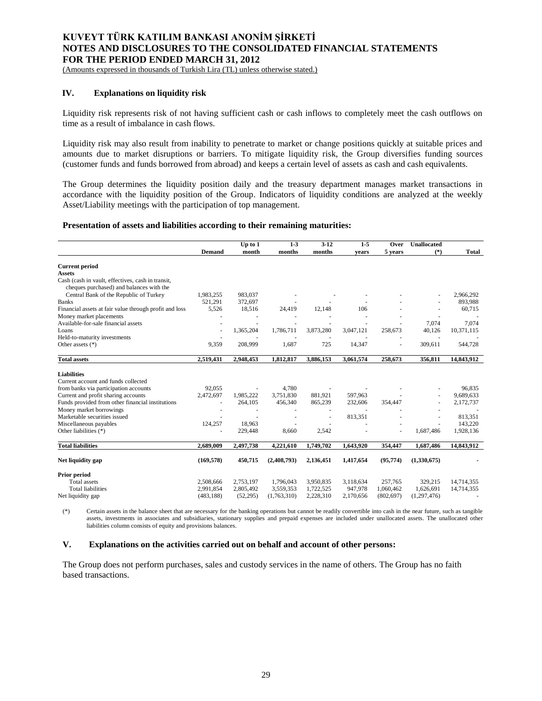(Amounts expressed in thousands of Turkish Lira (TL) unless otherwise stated.)

## **IV. Explanations on liquidity risk**

Liquidity risk represents risk of not having sufficient cash or cash inflows to completely meet the cash outflows on time as a result of imbalance in cash flows.

Liquidity risk may also result from inability to penetrate to market or change positions quickly at suitable prices and amounts due to market disruptions or barriers. To mitigate liquidity risk, the Group diversifies funding sources (customer funds and funds borrowed from abroad) and keeps a certain level of assets as cash and cash equivalents.

The Group determines the liquidity position daily and the treasury department manages market transactions in accordance with the liquidity position of the Group. Indicators of liquidity conditions are analyzed at the weekly Asset/Liability meetings with the participation of top management.

#### **Presentation of assets and liabilities according to their remaining maturities:**

|                                                                                               |               | Up to 1   | $1 - 3$     | $3 - 12$  | $1 - 5$   | Over       | <b>Unallocated</b> |              |
|-----------------------------------------------------------------------------------------------|---------------|-----------|-------------|-----------|-----------|------------|--------------------|--------------|
|                                                                                               | <b>Demand</b> | month     | months      | months    | vears     | 5 years    | $(*)$              | <b>Total</b> |
| <b>Current period</b>                                                                         |               |           |             |           |           |            |                    |              |
| <b>Assets</b>                                                                                 |               |           |             |           |           |            |                    |              |
| Cash (cash in vault, effectives, cash in transit,<br>cheques purchased) and balances with the |               |           |             |           |           |            |                    |              |
| Central Bank of the Republic of Turkey                                                        | 1,983,255     | 983.037   |             |           |           |            |                    | 2,966,292    |
| <b>Banks</b>                                                                                  | 521,291       | 372,697   |             |           |           |            |                    | 893,988      |
| Financial assets at fair value through profit and loss                                        | 5,526         | 18,516    | 24,419      | 12,148    | 106       |            |                    | 60,715       |
| Money market placements                                                                       |               |           |             |           |           |            |                    |              |
| Available-for-sale financial assets                                                           |               |           |             |           |           |            | 7,074              | 7,074        |
| Loans                                                                                         | ÷,            | 1,365,204 | 1,786,711   | 3,873,280 | 3,047,121 | 258,673    | 40,126             | 10,371,115   |
| Held-to-maturity investments                                                                  |               |           |             |           |           |            |                    |              |
| Other assets $(*)$                                                                            | 9,359         | 208,999   | 1,687       | 725       | 14,347    |            | 309,611            | 544,728      |
| <b>Total assets</b>                                                                           | 2,519,431     | 2,948,453 | 1,812,817   | 3,886,153 | 3,061,574 | 258,673    | 356,811            | 14,843,912   |
| <b>Liabilities</b>                                                                            |               |           |             |           |           |            |                    |              |
| Current account and funds collected                                                           |               |           |             |           |           |            |                    |              |
| from banks via participation accounts                                                         | 92,055        |           | 4,780       |           |           |            |                    | 96.835       |
| Current and profit sharing accounts                                                           | 2,472,697     | 1,985,222 | 3,751,830   | 881,921   | 597,963   |            |                    | 9,689,633    |
| Funds provided from other financial institutions                                              |               | 264,105   | 456,340     | 865,239   | 232,606   | 354,447    | ä,                 | 2,172,737    |
| Money market borrowings                                                                       |               |           |             |           |           |            |                    |              |
| Marketable securities issued                                                                  |               |           |             |           | 813,351   |            |                    | 813.351      |
| Miscellaneous payables                                                                        | 124,257       | 18,963    |             |           |           |            |                    | 143,220      |
| Other liabilities (*)                                                                         |               | 229,448   | 8,660       | 2,542     |           |            | 1,687,486          | 1,928,136    |
| <b>Total liabilities</b>                                                                      | 2,689,009     | 2,497,738 | 4,221,610   | 1,749,702 | 1,643,920 | 354,447    | 1,687,486          | 14,843,912   |
|                                                                                               |               |           |             |           |           |            |                    |              |
| Net liquidity gap                                                                             | (169, 578)    | 450,715   | (2,408,793) | 2,136,451 | 1,417,654 | (95, 774)  | (1,330,675)        |              |
| Prior period                                                                                  |               |           |             |           |           |            |                    |              |
| <b>Total assets</b>                                                                           | 2,508,666     | 2,753,197 | 1,796,043   | 3,950,835 | 3,118,634 | 257,765    | 329,215            | 14,714,355   |
| <b>Total liabilities</b>                                                                      | 2,991,854     | 2,805,492 | 3,559,353   | 1,722,525 | 947,978   | 1,060,462  | 1,626,691          | 14,714,355   |
| Net liquidity gap                                                                             | (483, 188)    | (52, 295) | (1,763,310) | 2,228,310 | 2,170,656 | (802, 697) | (1, 297, 476)      |              |

(\*) Certain assets in the balance sheet that are necessary for the banking operations but cannot be readily convertible into cash in the near future, such as tangible assets, investments in associates and subsidiaries, stationary supplies and prepaid expenses are included under unallocated assets. The unallocated other liabilities column consists of equity and provisions balances.

# **V. Explanations on the activities carried out on behalf and account of other persons:**

The Group does not perform purchases, sales and custody services in the name of others. The Group has no faith based transactions.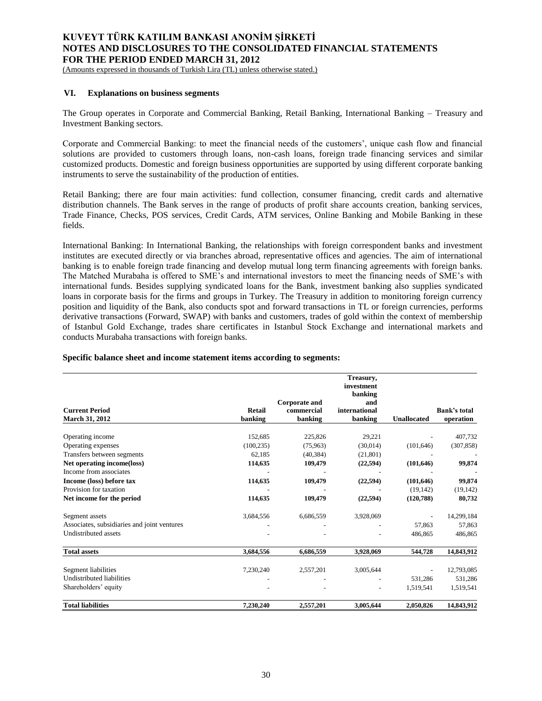(Amounts expressed in thousands of Turkish Lira (TL) unless otherwise stated.)

## **VI. Explanations on business segments**

The Group operates in Corporate and Commercial Banking, Retail Banking, International Banking – Treasury and Investment Banking sectors.

Corporate and Commercial Banking: to meet the financial needs of the customers', unique cash flow and financial solutions are provided to customers through loans, non-cash loans, foreign trade financing services and similar customized products. Domestic and foreign business opportunities are supported by using different corporate banking instruments to serve the sustainability of the production of entities.

Retail Banking; there are four main activities: fund collection, consumer financing, credit cards and alternative distribution channels. The Bank serves in the range of products of profit share accounts creation, banking services, Trade Finance, Checks, POS services, Credit Cards, ATM services, Online Banking and Mobile Banking in these fields.

International Banking: In International Banking, the relationships with foreign correspondent banks and investment institutes are executed directly or via branches abroad, representative offices and agencies. The aim of international banking is to enable foreign trade financing and develop mutual long term financing agreements with foreign banks. The Matched Murabaha is offered to SME's and international investors to meet the financing needs of SME's with international funds. Besides supplying syndicated loans for the Bank, investment banking also supplies syndicated loans in corporate basis for the firms and groups in Turkey. The Treasury in addition to monitoring foreign currency position and liquidity of the Bank, also conducts spot and forward transactions in TL or foreign currencies, performs derivative transactions (Forward, SWAP) with banks and customers, trades of gold within the context of membership of Istanbul Gold Exchange, trades share certificates in Istanbul Stock Exchange and international markets and conducts Murabaha transactions with foreign banks.

| <b>Current Period</b>                                | <b>Retail</b> | Corporate and<br>commercial | Treasury,<br>investment<br>banking<br>and<br>international |                    | <b>Bank's total</b> |
|------------------------------------------------------|---------------|-----------------------------|------------------------------------------------------------|--------------------|---------------------|
| March 31, 2012                                       | banking       | banking                     | banking                                                    | <b>Unallocated</b> | operation           |
| Operating income                                     | 152,685       | 225,826                     | 29,221                                                     |                    | 407,732             |
| Operating expenses                                   | (100, 235)    | (75,963)                    | (30.014)                                                   | (101, 646)         | (307, 858)          |
| Transfers between segments                           | 62,185        | (40, 384)                   | (21, 801)                                                  |                    |                     |
|                                                      |               |                             |                                                            |                    |                     |
| Net operating income(loss)<br>Income from associates | 114,635       | 109,479                     | (22, 594)                                                  | (101, 646)         | 99,874              |
|                                                      |               |                             |                                                            |                    |                     |
| Income (loss) before tax                             | 114,635       | 109,479                     | (22, 594)                                                  | (101, 646)         | 99,874              |
| Provision for taxation                               |               |                             |                                                            | (19, 142)          | (19, 142)           |
| Net income for the period                            | 114,635       | 109,479                     | (22, 594)                                                  | (120, 788)         | 80,732              |
| Segment assets                                       | 3,684,556     | 6,686,559                   | 3,928,069                                                  |                    | 14,299,184          |
| Associates, subsidiaries and joint ventures          |               |                             |                                                            | 57,863             | 57,863              |
| <b>Undistributed assets</b>                          |               |                             |                                                            | 486,865            | 486,865             |
| <b>Total assets</b>                                  | 3,684,556     | 6,686,559                   | 3,928,069                                                  | 544,728            | 14,843,912          |
| Segment liabilities                                  | 7,230,240     | 2,557,201                   | 3,005,644                                                  |                    | 12,793,085          |
| <b>Undistributed liabilities</b>                     |               |                             |                                                            | 531,286            | 531,286             |
| Shareholders' equity                                 |               |                             |                                                            | 1,519,541          | 1,519,541           |
| <b>Total liabilities</b>                             | 7.230.240     | 2,557,201                   | 3.005.644                                                  | 2.050.826          | 14,843,912          |

### **Specific balance sheet and income statement items according to segments:**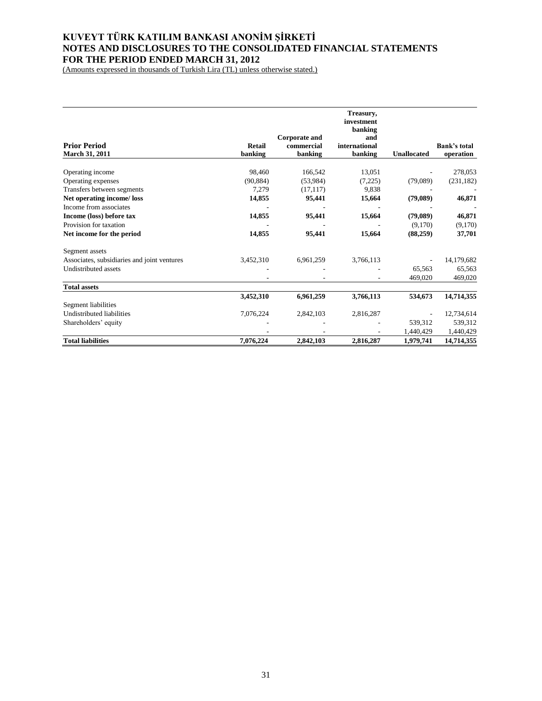(Amounts expressed in thousands of Turkish Lira (TL) unless otherwise stated.)

|                                             |               |                             | Treasury,<br>investment<br>banking<br>and |                    |                     |
|---------------------------------------------|---------------|-----------------------------|-------------------------------------------|--------------------|---------------------|
| <b>Prior Period</b>                         | <b>Retail</b> | Corporate and<br>commercial | international                             |                    | <b>Bank's total</b> |
| <b>March 31, 2011</b>                       | banking       | banking                     | banking                                   | <b>Unallocated</b> | operation           |
| Operating income                            | 98,460        | 166,542                     | 13,051                                    |                    | 278,053             |
| Operating expenses                          | (90, 884)     | (53,984)                    | (7,225)                                   | (79,089)           | (231, 182)          |
| Transfers between segments                  | 7,279         | (17, 117)                   | 9,838                                     |                    |                     |
| Net operating income/loss                   | 14,855        | 95,441                      | 15,664                                    | (79,089)           | 46,871              |
| Income from associates                      |               |                             |                                           |                    |                     |
| Income (loss) before tax                    | 14,855        | 95,441                      | 15,664                                    | (79,089)           | 46,871              |
| Provision for taxation                      |               |                             |                                           | (9,170)            | (9,170)             |
| Net income for the period                   | 14,855        | 95,441                      | 15,664                                    | (88,259)           | 37,701              |
| Segment assets                              |               |                             |                                           |                    |                     |
| Associates, subsidiaries and joint ventures | 3,452,310     | 6,961,259                   | 3,766,113                                 |                    | 14,179,682          |
| <b>Undistributed assets</b>                 |               |                             |                                           | 65,563             | 65,563              |
|                                             |               |                             |                                           | 469,020            | 469,020             |
| <b>Total assets</b>                         |               |                             |                                           |                    |                     |
|                                             | 3,452,310     | 6,961,259                   | 3,766,113                                 | 534,673            | 14,714,355          |
| Segment liabilities                         |               |                             |                                           |                    |                     |
| <b>Undistributed liabilities</b>            | 7,076,224     | 2,842,103                   | 2,816,287                                 |                    | 12,734,614          |
| Shareholders' equity                        |               |                             |                                           | 539,312            | 539,312             |
|                                             |               |                             |                                           | 1,440,429          | 1,440,429           |
| <b>Total liabilities</b>                    | 7,076,224     | 2,842,103                   | 2,816,287                                 | 1,979,741          | 14,714,355          |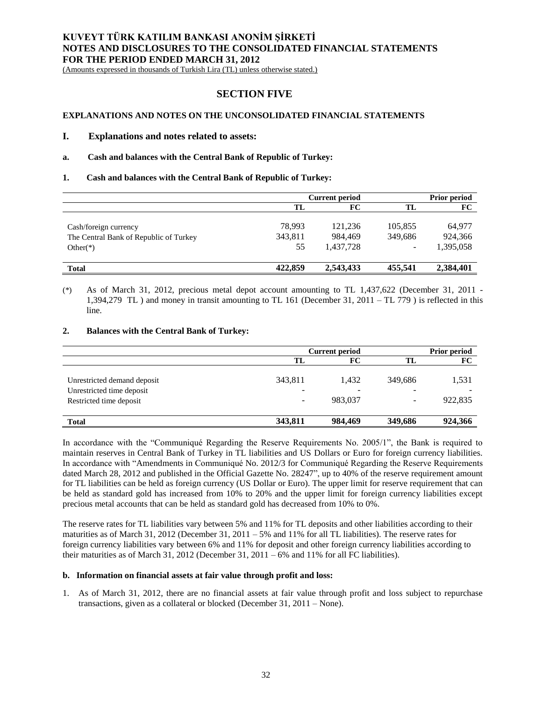(Amounts expressed in thousands of Turkish Lira (TL) unless otherwise stated.)

# **SECTION FIVE**

## **EXPLANATIONS AND NOTES ON THE UNCONSOLIDATED FINANCIAL STATEMENTS**

#### **I. Explanations and notes related to assets:**

### **a. Cash and balances with the Central Bank of Republic of Turkey:**

#### **1. Cash and balances with the Central Bank of Republic of Turkey:**

|                                                                                | Current period          |                                 |                         | <b>Prior period</b>            |  |
|--------------------------------------------------------------------------------|-------------------------|---------------------------------|-------------------------|--------------------------------|--|
|                                                                                | TL                      | FC                              | TL                      | FC                             |  |
| Cash/foreign currency<br>The Central Bank of Republic of Turkey<br>Other $(*)$ | 78,993<br>343,811<br>55 | 121,236<br>984.469<br>1,437,728 | 105,855<br>349,686<br>- | 64,977<br>924,366<br>1,395,058 |  |
| <b>Total</b>                                                                   | 422,859                 | 2,543,433                       | 455,541                 | 2,384,401                      |  |

(\*) As of March 31, 2012, precious metal depot account amounting to TL 1,437,622 (December 31, 2011 - 1,394,279 TL ) and money in transit amounting to TL 161 (December 31, 2011 – TL 779 ) is reflected in this line.

## **2. Balances with the Central Bank of Turkey:**

|                                                                                     | <b>Current period</b> |                  |                            | <b>Prior period</b> |
|-------------------------------------------------------------------------------------|-----------------------|------------------|----------------------------|---------------------|
|                                                                                     | TL                    | FC               | TL                         | FC                  |
| Unrestricted demand deposit<br>Unrestricted time deposit<br>Restricted time deposit | 343,811<br>-<br>-     | 1.432<br>983,037 | 349,686<br>$\qquad \qquad$ | 1,531<br>922,835    |
| <b>Total</b>                                                                        | 343,811               | 984,469          | 349,686                    | 924,366             |

In accordance with the "Communiqué Regarding the Reserve Requirements No. 2005/1", the Bank is required to maintain reserves in Central Bank of Turkey in TL liabilities and US Dollars or Euro for foreign currency liabilities. In accordance with "Amendments in Communiqué No. 2012/3 for Communiqué Regarding the Reserve Requirements dated March 28, 2012 and published in the Official Gazette No. 28247", up to 40% of the reserve requirement amount for TL liabilities can be held as foreign currency (US Dollar or Euro). The upper limit for reserve requirement that can be held as standard gold has increased from 10% to 20% and the upper limit for foreign currency liabilities except precious metal accounts that can be held as standard gold has decreased from 10% to 0%.

The reserve rates for TL liabilities vary between 5% and 11% for TL deposits and other liabilities according to their maturities as of March 31, 2012 (December 31, 2011 – 5% and 11% for all TL liabilities). The reserve rates for foreign currency liabilities vary between 6% and 11% for deposit and other foreign currency liabilities according to their maturities as of March 31, 2012 (December 31, 2011 – 6% and 11% for all FC liabilities).

## **b. Information on financial assets at fair value through profit and loss:**

1. As of March 31, 2012, there are no financial assets at fair value through profit and loss subject to repurchase transactions, given as a collateral or blocked (December 31, 2011 – None).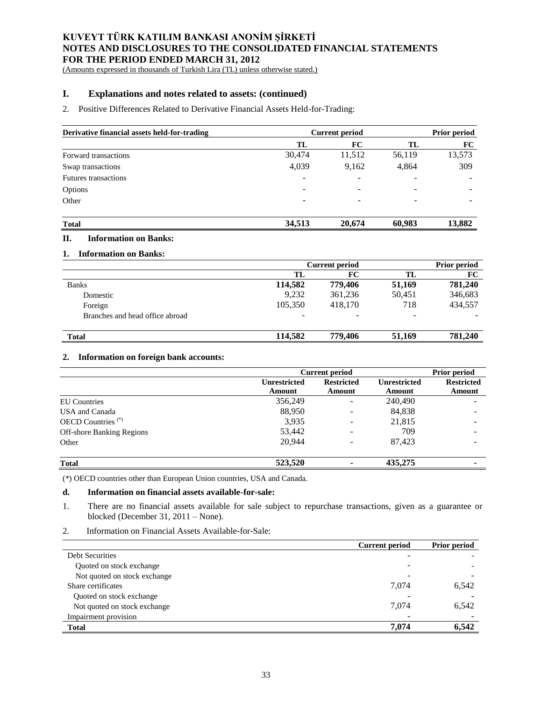(Amounts expressed in thousands of Turkish Lira (TL) unless otherwise stated.)

## **I. Explanations and notes related to assets: (continued)**

### 2. Positive Differences Related to Derivative Financial Assets Held-for-Trading:

| Derivative financial assets held-for-trading | <b>Current period</b> | Prior period             |                          |        |
|----------------------------------------------|-----------------------|--------------------------|--------------------------|--------|
|                                              | TL                    | FC                       | TL                       | FC     |
| Forward transactions                         | 30,474                | 11,512                   | 56,119                   | 13,573 |
| Swap transactions                            | 4,039                 | 9,162                    | 4,864                    | 309    |
| <b>Futures transactions</b>                  | -                     | $\qquad \qquad$          | ۰                        |        |
| Options                                      | -                     | $\overline{\phantom{0}}$ | $\overline{\phantom{0}}$ |        |
| Other                                        | -                     | $\overline{\phantom{0}}$ | $\overline{\phantom{0}}$ | -      |
|                                              |                       |                          |                          |        |
|                                              |                       |                          |                          |        |

# **Total 34,513 20,674 60,983 13,882**

# **II. Information on Banks:**

| <b>Information on Banks:</b>    |                       |                     |        |         |
|---------------------------------|-----------------------|---------------------|--------|---------|
|                                 | <b>Current period</b> | <b>Prior period</b> |        |         |
|                                 | TL                    | FC                  | TL     | FC      |
| <b>Banks</b>                    | 114,582               | 779,406             | 51,169 | 781,240 |
| Domestic                        | 9.232                 | 361,236             | 50,451 | 346,683 |
| Foreign                         | 105,350               | 418.170             | 718    | 434,557 |
| Branches and head office abroad |                       |                     |        |         |
| <b>Total</b>                    | 114,582               | 779,406             | 51,169 | 781,240 |

### **2. 2. Information on foreign bank accounts:**

|                                  | <b>Current period</b> | Prior period                             |         |                   |
|----------------------------------|-----------------------|------------------------------------------|---------|-------------------|
|                                  | Unrestricted          | <b>Restricted</b><br><b>Unrestricted</b> |         | <b>Restricted</b> |
|                                  | Amount                | Amount                                   | Amount  | Amount            |
| <b>EU</b> Countries              | 356,249               | ۰                                        | 240,490 |                   |
| USA and Canada                   | 88,950                |                                          | 84,838  |                   |
| OECD Countries <sup>(*)</sup>    | 3,935                 |                                          | 21,815  |                   |
| <b>Off-shore Banking Regions</b> | 53,442                |                                          | 709     |                   |
| Other                            | 20,944                |                                          | 87.423  |                   |
| <b>Total</b>                     | 523,520               |                                          | 435,275 |                   |

(\*) OECD countries other than European Union countries, USA and Canada.

### **d. Information on financial assets available-for-sale:**

1. There are no financial assets available for sale subject to repurchase transactions, given as a guarantee or blocked (December 31, 2011 – None).

2. Information on Financial Assets Available-for-Sale:

|                              | <b>Current period</b> | <b>Prior period</b> |
|------------------------------|-----------------------|---------------------|
| <b>Debt Securities</b>       |                       |                     |
| Quoted on stock exchange     |                       |                     |
| Not quoted on stock exchange |                       |                     |
| Share certificates           | 7,074                 | 6,542               |
| Quoted on stock exchange     |                       |                     |
| Not quoted on stock exchange | 7.074                 | 6,542               |
| Impairment provision         |                       |                     |
| <b>Total</b>                 | 7,074                 | 6,542               |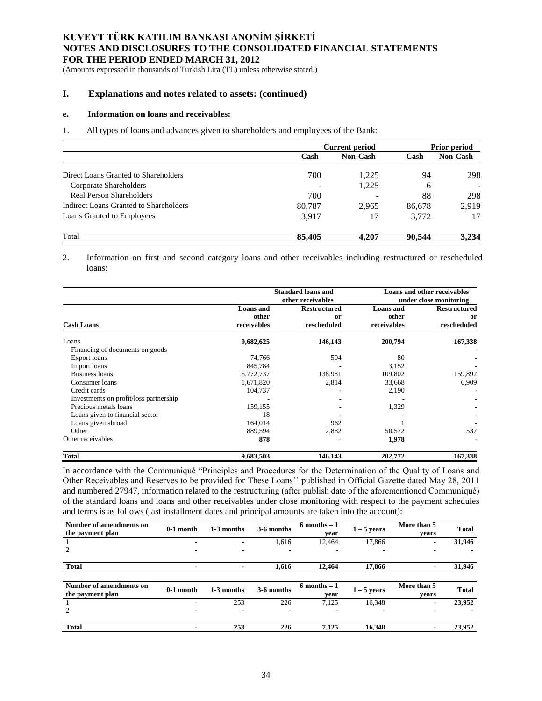(Amounts expressed in thousands of Turkish Lira (TL) unless otherwise stated.)

## **I. Explanations and notes related to assets: (continued)**

#### **e. Information on loans and receivables:**

1. All types of loans and advances given to shareholders and employees of the Bank:

|                                        | Current period |                 |        | <b>Prior period</b> |  |
|----------------------------------------|----------------|-----------------|--------|---------------------|--|
|                                        | Cash           | <b>Non-Cash</b> | Cash   | <b>Non-Cash</b>     |  |
| Direct Loans Granted to Shareholders   | 700            | 1.225           |        | 298                 |  |
| Corporate Shareholders                 |                | 1,225           | 6      |                     |  |
| Real Person Shareholders               | 700            |                 | 88     | 298                 |  |
| Indirect Loans Granted to Shareholders | 80,787         | 2.965           | 86,678 | 2.919               |  |
| Loans Granted to Employees             | 3.917          | 17              | 3.772  | 17                  |  |
| Total                                  | 85,405         | 4.207           | 90.544 | 3.234               |  |

2. Information on first and second category loans and other receivables including restructured or rescheduled loans:

|                                        |                  | <b>Standard loans and</b><br>other receivables | <b>Loans and other receivables</b><br>under close monitoring |                     |  |
|----------------------------------------|------------------|------------------------------------------------|--------------------------------------------------------------|---------------------|--|
|                                        | <b>Loans</b> and | <b>Restructured</b>                            | <b>Loans</b> and                                             | <b>Restructured</b> |  |
|                                        | other            | <sub>or</sub>                                  | other                                                        | or                  |  |
| <b>Cash Loans</b>                      | receivables      | rescheduled                                    | receivables                                                  | rescheduled         |  |
| Loans                                  | 9,682,625        | 146,143                                        | 200,794                                                      | 167,338             |  |
| Financing of documents on goods        |                  |                                                |                                                              |                     |  |
| Export loans                           | 74,766           | 504                                            | 80                                                           |                     |  |
| Import loans                           | 845,784          |                                                | 3,152                                                        |                     |  |
| <b>Business loans</b>                  | 5,772,737        | 138,981                                        | 109,802                                                      | 159,892             |  |
| Consumer loans                         | 1,671,820        | 2,814                                          | 33,668                                                       | 6,909               |  |
| Credit cards                           | 104,737          |                                                | 2,190                                                        |                     |  |
| Investments on profit/loss partnership |                  |                                                |                                                              |                     |  |
| Precious metals loans                  | 159,155          |                                                | 1,329                                                        |                     |  |
| Loans given to financial sector        | 18               |                                                |                                                              |                     |  |
| Loans given abroad                     | 164,014          | 962                                            |                                                              |                     |  |
| Other                                  | 889,594          | 2,882                                          | 50,572                                                       | 537                 |  |
| Other receivables                      | 878              |                                                | 1,978                                                        |                     |  |
| <b>Total</b>                           | 9,683,503        | 146,143                                        | 202,772                                                      | 167,338             |  |

In accordance with the Communiqué "Principles and Procedures for the Determination of the Quality of Loans and Other Receivables and Reserves to be provided for These Loans'' published in Official Gazette dated May 28, 2011 and numbered 27947, information related to the restructuring (after publish date of the aforementioned Communiqué) of the standard loans and loans and other receivables under close monitoring with respect to the payment schedules and terms is as follows (last installment dates and principal amounts are taken into the account):

| Number of amendments on<br>the payment plan | $0-1$ month | 1-3 months     | 3-6 months | $6$ months $-1$<br>year | $1-5$ years   | More than 5<br>vears | <b>Total</b> |
|---------------------------------------------|-------------|----------------|------------|-------------------------|---------------|----------------------|--------------|
|                                             | ۰           | ٠              | 1,616      | 12,464                  | 17,866        | ۰                    | 31,946       |
| 2                                           |             | ٠              | ۰          | ٠                       |               |                      |              |
| <b>Total</b>                                |             | $\blacksquare$ | 1,616      | 12,464                  | 17,866        |                      | 31,946       |
|                                             |             |                |            |                         |               |                      |              |
|                                             |             |                |            |                         |               |                      |              |
| Number of amendments on                     |             |                |            | $6$ months $-1$         |               | More than 5          |              |
| the payment plan                            | 0-1 month   | 1-3 months     | 3-6 months | year                    | $1 - 5$ years | vears                | <b>Total</b> |
|                                             | ۰           | 253            | 226        | 7,125                   | 16,348        | ۰                    | 23,952       |
| 2                                           | ۰           | ٠              | ۰.         | ٠                       |               | ۰                    |              |
|                                             |             |                |            |                         |               |                      |              |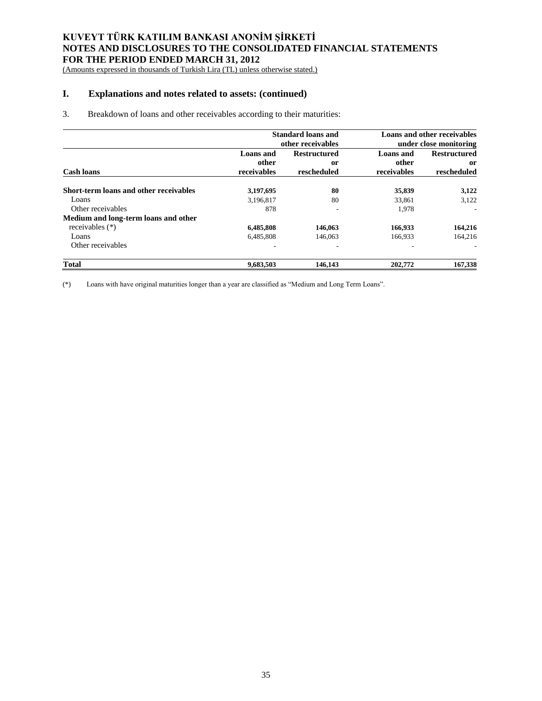(Amounts expressed in thousands of Turkish Lira (TL) unless otherwise stated.)

# **I. Explanations and notes related to assets: (continued)**

## 3. Breakdown of loans and other receivables according to their maturities:

|                                        |             | <b>Standard loans and</b><br>other receivables | <b>Loans and other receivables</b><br>under close monitoring |                     |  |
|----------------------------------------|-------------|------------------------------------------------|--------------------------------------------------------------|---------------------|--|
|                                        | Loans and   | <b>Restructured</b>                            | Loans and                                                    | <b>Restructured</b> |  |
|                                        | other       | or                                             | other                                                        | or                  |  |
| <b>Cash loans</b>                      | receivables | rescheduled                                    | receivables                                                  | rescheduled         |  |
| Short-term loans and other receivables | 3,197,695   | 80                                             | 35,839                                                       | 3,122               |  |
| Loans                                  | 3,196,817   | 80                                             | 33,861                                                       | 3,122               |  |
| Other receivables                      | 878         | ٠                                              | 1.978                                                        |                     |  |
| Medium and long-term loans and other   |             |                                                |                                                              |                     |  |
| receivables $(*)$                      | 6,485,808   | 146,063                                        | 166,933                                                      | 164,216             |  |
| Loans                                  | 6,485,808   | 146,063                                        | 166,933                                                      | 164.216             |  |
| Other receivables                      | ۰           | ۰                                              | ۰                                                            |                     |  |
| <b>Total</b>                           | 9,683,503   | 146,143                                        | 202,772                                                      | 167,338             |  |

(\*) Loans with have original maturities longer than a year are classified as "Medium and Long Term Loans".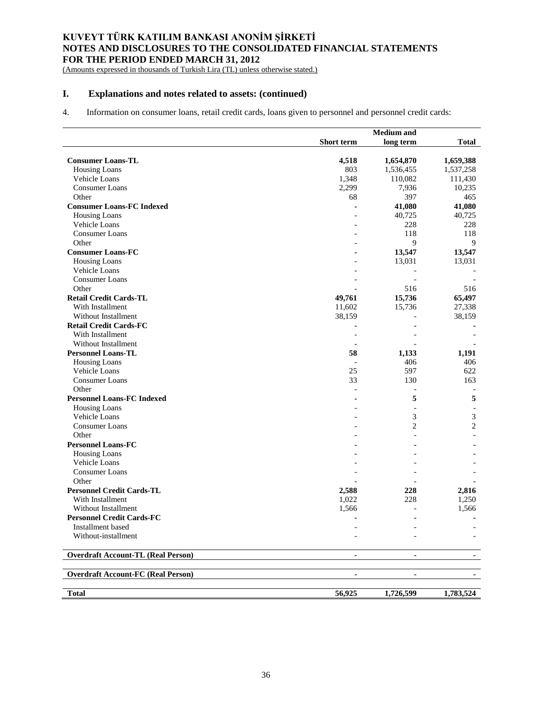(Amounts expressed in thousands of Turkish Lira (TL) unless otherwise stated.)

# **I. Explanations and notes related to assets: (continued)**

4. Information on consumer loans, retail credit cards, loans given to personnel and personnel credit cards:

|                                           |                | <b>Medium</b> and |                |
|-------------------------------------------|----------------|-------------------|----------------|
|                                           | Short term     | long term         | <b>Total</b>   |
|                                           |                |                   |                |
| <b>Consumer Loans-TL</b>                  | 4,518          | 1,654,870         | 1,659,388      |
| <b>Housing Loans</b>                      | 803            | 1,536,455         | 1,537,258      |
| Vehicle Loans                             | 1,348          | 110,082           | 111,430        |
| <b>Consumer Loans</b>                     | 2,299          | 7,936             | 10,235         |
| Other                                     | 68             | 397               | 465            |
| <b>Consumer Loans-FC Indexed</b>          |                | 41,080            | 41,080         |
| Housing Loans                             |                | 40,725            | 40,725         |
| Vehicle Loans                             |                | 228               | 228            |
| <b>Consumer Loans</b>                     |                | 118               | 118            |
| Other                                     |                | 9                 | 9              |
| <b>Consumer Loans-FC</b>                  |                | 13,547            | 13,547         |
| <b>Housing Loans</b>                      |                | 13,031            | 13,031         |
| Vehicle Loans                             |                |                   |                |
| <b>Consumer Loans</b>                     |                |                   |                |
| Other                                     |                | 516               | 516            |
| <b>Retail Credit Cards-TL</b>             | 49,761         | 15,736            | 65,497         |
| With Installment                          | 11,602         | 15,736            | 27,338         |
| Without Installment                       | 38,159         |                   | 38,159         |
| <b>Retail Credit Cards-FC</b>             |                |                   |                |
| With Installment                          |                |                   |                |
| Without Installment                       |                |                   |                |
| <b>Personnel Loans-TL</b>                 | 58             | 1,133             | 1,191          |
| Housing Loans                             |                | 406               | 406            |
| Vehicle Loans                             | 25             | 597               | 622            |
| <b>Consumer Loans</b>                     | 33             | 130               | 163            |
| Other                                     |                |                   |                |
| <b>Personnel Loans-FC Indexed</b>         |                | 5                 | 5              |
| <b>Housing Loans</b>                      |                |                   |                |
| Vehicle Loans                             |                | 3                 | 3              |
| <b>Consumer Loans</b>                     |                | $\overline{c}$    | $\overline{c}$ |
| Other                                     |                |                   |                |
| <b>Personnel Loans-FC</b>                 |                |                   |                |
|                                           |                |                   |                |
| <b>Housing Loans</b><br>Vehicle Loans     |                |                   |                |
| <b>Consumer Loans</b>                     |                |                   |                |
| Other                                     |                |                   |                |
|                                           |                |                   |                |
| <b>Personnel Credit Cards-TL</b>          | 2,588          | 228               | 2,816          |
| With Installment                          | 1,022          | 228               | 1,250          |
| Without Installment                       | 1,566          |                   | 1,566          |
| <b>Personnel Credit Cards-FC</b>          | $\blacksquare$ | $\blacksquare$    |                |
| Installment based                         |                |                   |                |
| Without-installment                       |                |                   |                |
| <b>Overdraft Account-TL (Real Person)</b> | $\blacksquare$ | ۰                 | $\sim$         |
| <b>Overdraft Account-FC (Real Person)</b> | $\blacksquare$ |                   |                |
| <b>Total</b>                              |                |                   |                |
|                                           | 56,925         | 1,726,599         | 1,783,524      |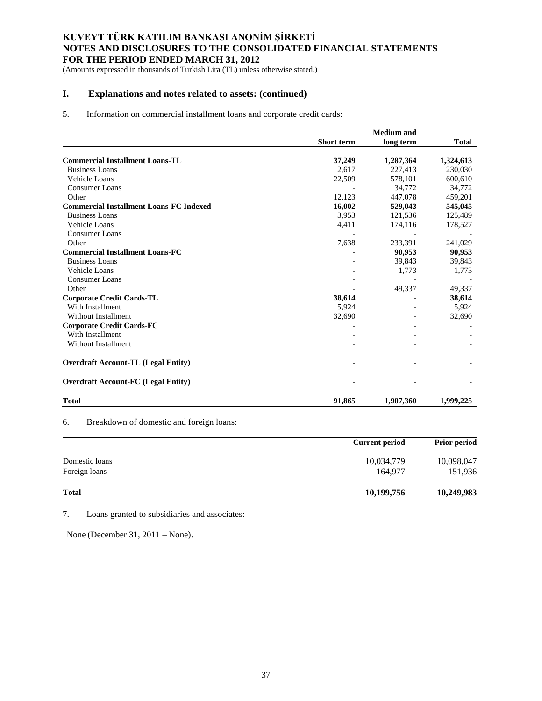(Amounts expressed in thousands of Turkish Lira (TL) unless otherwise stated.)

# **I. Explanations and notes related to assets: (continued)**

## 5. Information on commercial installment loans and corporate credit cards:

|                                                |                   | <b>Medium</b> and |              |  |
|------------------------------------------------|-------------------|-------------------|--------------|--|
|                                                | <b>Short term</b> | long term         | <b>Total</b> |  |
| <b>Commercial Installment Loans-TL</b>         | 37,249            | 1,287,364         | 1,324,613    |  |
| <b>Business Loans</b>                          | 2,617             | 227,413           | 230,030      |  |
| Vehicle Loans                                  | 22,509            | 578,101           | 600,610      |  |
| <b>Consumer Loans</b>                          |                   | 34,772            | 34,772       |  |
| Other                                          | 12,123            | 447,078           | 459,201      |  |
| <b>Commercial Installment Loans-FC Indexed</b> | 16,002            | 529,043           | 545,045      |  |
| <b>Business Loans</b>                          | 3,953             | 121,536           | 125,489      |  |
| Vehicle Loans                                  | 4,411             | 174,116           | 178,527      |  |
| <b>Consumer Loans</b>                          |                   |                   |              |  |
| Other                                          | 7,638             | 233,391           | 241,029      |  |
| <b>Commercial Installment Loans-FC</b>         |                   | 90,953            | 90,953       |  |
| <b>Business Loans</b>                          |                   | 39,843            | 39,843       |  |
| Vehicle Loans                                  |                   | 1,773             | 1,773        |  |
| Consumer Loans                                 |                   |                   |              |  |
| Other                                          |                   | 49,337            | 49,337       |  |
| <b>Corporate Credit Cards-TL</b>               | 38,614            |                   | 38,614       |  |
| With Installment                               | 5,924             |                   | 5,924        |  |
| Without Installment                            | 32,690            |                   | 32,690       |  |
| <b>Corporate Credit Cards-FC</b>               |                   |                   |              |  |
| With Installment                               |                   |                   |              |  |
| <b>Without Installment</b>                     |                   |                   |              |  |
| <b>Overdraft Account-TL (Legal Entity)</b>     | ۰                 | ٠                 |              |  |
| <b>Overdraft Account-FC (Legal Entity)</b>     | ۰                 | $\blacksquare$    |              |  |
| <b>Total</b>                                   | 91.865            | 1,907,360         | 1.999.225    |  |

6. Breakdown of domestic and foreign loans:

|                | <b>Current period</b> | <b>Prior period</b> |
|----------------|-----------------------|---------------------|
| Domestic loans | 10,034,779            | 10,098,047          |
| Foreign loans  | 164,977               | 151,936             |
| <b>Total</b>   | 10,199,756            | 10,249,983          |

7. Loans granted to subsidiaries and associates:

None (December 31, 2011 – None).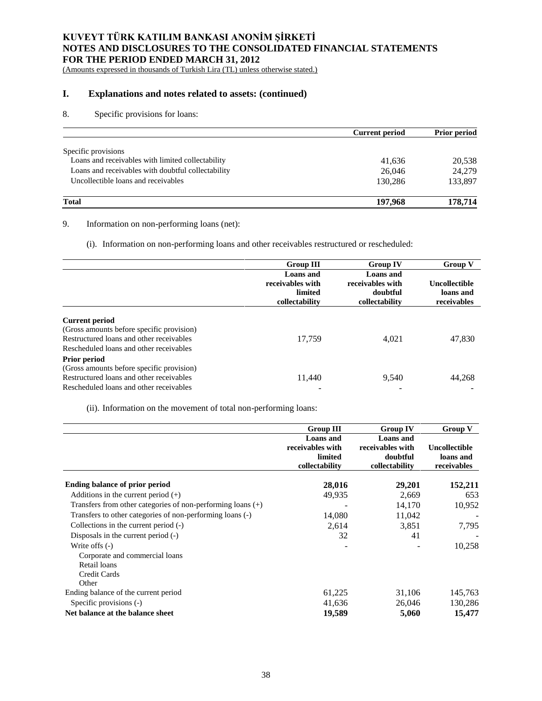(Amounts expressed in thousands of Turkish Lira (TL) unless otherwise stated.)

# **I. Explanations and notes related to assets: (continued)**

# 8. Specific provisions for loans:

|                                                    | <b>Current period</b> | <b>Prior period</b> |
|----------------------------------------------------|-----------------------|---------------------|
| Specific provisions                                |                       |                     |
| Loans and receivables with limited collectability  | 41,636                | 20,538              |
| Loans and receivables with doubtful collectability | 26,046                | 24.279              |
| Uncollectible loans and receivables                | 130.286               | 133,897             |
| <b>Total</b>                                       | 197.968               | 178,714             |

# 9. Information on non-performing loans (net):

(i). Information on non-performing loans and other receivables restructured or rescheduled:

|                                                                                                                | <b>Group III</b>                                           | <b>Group IV</b>                                             | <b>Group V</b>                            |
|----------------------------------------------------------------------------------------------------------------|------------------------------------------------------------|-------------------------------------------------------------|-------------------------------------------|
|                                                                                                                | Loans and<br>receivables with<br>limited<br>collectability | Loans and<br>receivables with<br>doubtful<br>collectability | Uncollectible<br>loans and<br>receivables |
| <b>Current period</b><br>(Gross amounts before specific provision)<br>Restructured loans and other receivables | 17,759                                                     | 4.021                                                       | 47,830                                    |
| Rescheduled loans and other receivables<br><b>Prior period</b><br>(Gross amounts before specific provision)    |                                                            |                                                             |                                           |
| Restructured loans and other receivables<br>Rescheduled loans and other receivables                            | 11,440                                                     | 9,540                                                       | 44,268                                    |

(ii). Information on the movement of total non-performing loans:

|                                                               | <b>Group III</b>                                                  | <b>Group IV</b>                                                    | <b>Group V</b>                                   |
|---------------------------------------------------------------|-------------------------------------------------------------------|--------------------------------------------------------------------|--------------------------------------------------|
|                                                               | <b>Loans</b> and<br>receivables with<br>limited<br>collectability | <b>Loans</b> and<br>receivables with<br>doubtful<br>collectability | <b>Uncollectible</b><br>loans and<br>receivables |
| Ending balance of prior period                                | 28,016                                                            | 29,201                                                             | 152,211                                          |
| Additions in the current period $(+)$                         | 49,935                                                            | 2,669                                                              | 653                                              |
| Transfers from other categories of non-performing loans $(+)$ |                                                                   | 14,170                                                             | 10,952                                           |
| Transfers to other categories of non-performing loans (-)     | 14,080                                                            | 11,042                                                             |                                                  |
| Collections in the current period (-)                         | 2,614                                                             | 3,851                                                              | 7,795                                            |
| Disposals in the current period $(-)$                         | 32                                                                | 41                                                                 |                                                  |
| Write offs $(-)$                                              |                                                                   |                                                                    | 10,258                                           |
| Corporate and commercial loans                                |                                                                   |                                                                    |                                                  |
| Retail loans                                                  |                                                                   |                                                                    |                                                  |
| Credit Cards                                                  |                                                                   |                                                                    |                                                  |
| Other                                                         |                                                                   |                                                                    |                                                  |
| Ending balance of the current period                          | 61,225                                                            | 31,106                                                             | 145,763                                          |
| Specific provisions (-)                                       | 41,636                                                            | 26,046                                                             | 130,286                                          |
| Net balance at the balance sheet                              | 19,589                                                            | 5,060                                                              | 15,477                                           |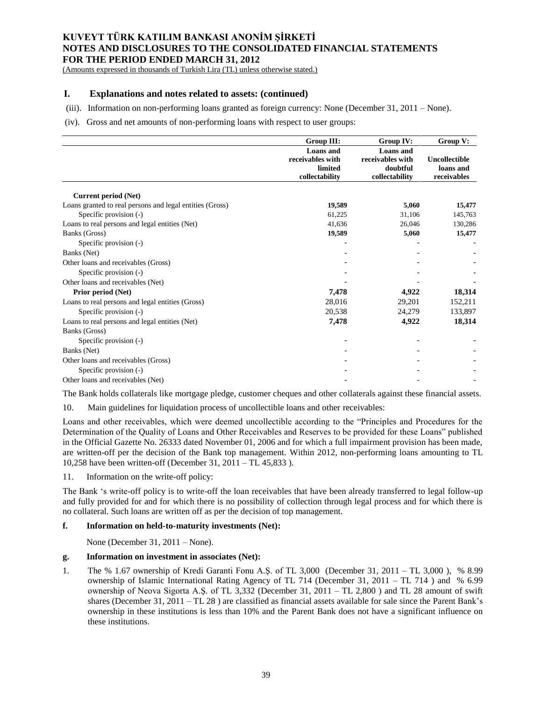(Amounts expressed in thousands of Turkish Lira (TL) unless otherwise stated.)

## **I. Explanations and notes related to assets: (continued)**

(iii). Information on non-performing loans granted as foreign currency: None (December 31, 2011 – None).

#### (iv). Gross and net amounts of non-performing loans with respect to user groups:

|                                                          | Group III:                                                 | Group IV:                                                          | Group V:                                         |
|----------------------------------------------------------|------------------------------------------------------------|--------------------------------------------------------------------|--------------------------------------------------|
|                                                          | Loans and<br>receivables with<br>limited<br>collectability | <b>Loans</b> and<br>receivables with<br>doubtful<br>collectability | <b>Uncollectible</b><br>loans and<br>receivables |
| Current period (Net)                                     |                                                            |                                                                    |                                                  |
| Loans granted to real persons and legal entities (Gross) | 19,589                                                     | 5,060                                                              | 15,477                                           |
| Specific provision (-)                                   | 61,225                                                     | 31,106                                                             | 145,763                                          |
| Loans to real persons and legal entities (Net)           | 41,636                                                     | 26,046                                                             | 130,286                                          |
| Banks (Gross)                                            | 19,589                                                     | 5,060                                                              | 15,477                                           |
| Specific provision (-)                                   |                                                            |                                                                    |                                                  |
| Banks (Net)                                              |                                                            |                                                                    |                                                  |
| Other loans and receivables (Gross)                      |                                                            |                                                                    |                                                  |
| Specific provision (-)                                   |                                                            |                                                                    |                                                  |
| Other loans and receivables (Net)                        |                                                            |                                                                    |                                                  |
| Prior period (Net)                                       | 7,478                                                      | 4,922                                                              | 18,314                                           |
| Loans to real persons and legal entities (Gross)         | 28,016                                                     | 29,201                                                             | 152,211                                          |
| Specific provision (-)                                   | 20,538                                                     | 24,279                                                             | 133,897                                          |
| Loans to real persons and legal entities (Net)           | 7,478                                                      | 4,922                                                              | 18,314                                           |
| Banks (Gross)                                            |                                                            |                                                                    |                                                  |
| Specific provision (-)                                   |                                                            |                                                                    |                                                  |
| Banks (Net)                                              |                                                            |                                                                    |                                                  |
| Other loans and receivables (Gross)                      |                                                            |                                                                    |                                                  |
| Specific provision (-)                                   |                                                            |                                                                    |                                                  |
| Other loans and receivables (Net)                        |                                                            |                                                                    |                                                  |

The Bank holds collaterals like mortgage pledge, customer cheques and other collaterals against these financial assets.

10. Main guidelines for liquidation process of uncollectible loans and other receivables:

Loans and other receivables, which were deemed uncollectible according to the "Principles and Procedures for the Determination of the Quality of Loans and Other Receivables and Reserves to be provided for these Loans" published in the Official Gazette No. 26333 dated November 01, 2006 and for which a full impairment provision has been made, are written-off per the decision of the Bank top management. Within 2012, non-performing loans amounting to TL 10,258 have been written-off (December 31, 2011 – TL 45,833 ).

11. Information on the write-off policy:

The Bank 's write-off policy is to write-off the loan receivables that have been already transferred to legal follow-up and fully provided for and for which there is no possibility of collection through legal process and for which there is no collateral. Such loans are written off as per the decision of top management.

## **f. Information on held-to-maturity investments (Net):**

None (December 31, 2011 – None).

### **g. Information on investment in associates (Net):**

1. The % 1.67 ownership of Kredi Garanti Fonu A.Ş. of TL 3,000 (December 31, 2011 – TL 3,000 ), % 8.99 ownership of Islamic International Rating Agency of TL 714 (December 31, 2011 – TL 714 ) and % 6.99 ownership of Neova Sigorta A.Ş. of TL 3,332 (December 31, 2011 – TL 2,800 ) and TL 28 amount of swift shares (December 31, 2011 – TL 28 ) are classified as financial assets available for sale since the Parent Bank's ownership in these institutions is less than 10% and the Parent Bank does not have a significant influence on these institutions.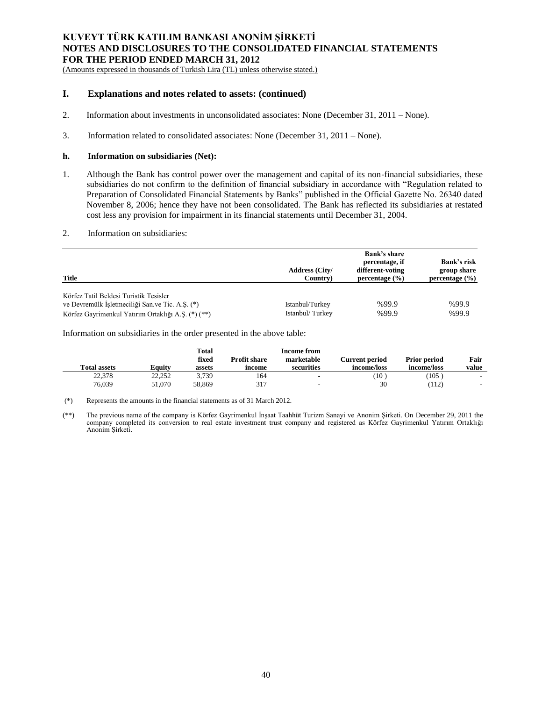(Amounts expressed in thousands of Turkish Lira (TL) unless otherwise stated.)

## **I. Explanations and notes related to assets: (continued)**

- 2. Information about investments in unconsolidated associates: None (December 31, 2011 None).
- 3. Information related to consolidated associates: None (December 31, 2011 None).

### **h. Information on subsidiaries (Net):**

1. Although the Bank has control power over the management and capital of its non-financial subsidiaries, these subsidiaries do not confirm to the definition of financial subsidiary in accordance with "Regulation related to Preparation of Consolidated Financial Statements by Banks" published in the Official Gazette No. 26340 dated November 8, 2006; hence they have not been consolidated. The Bank has reflected its subsidiaries at restated cost less any provision for impairment in its financial statements until December 31, 2004.

# 2. Information on subsidiaries:

| Title                                                                                     | <b>Address (City/</b><br>Country) | <b>Bank's share</b><br>percentage, if<br>different-voting<br>percentage $(\% )$ | <b>Bank's risk</b><br>group share<br>percentage $(\% )$ |
|-------------------------------------------------------------------------------------------|-----------------------------------|---------------------------------------------------------------------------------|---------------------------------------------------------|
| Körfez Tatil Beldesi Turistik Tesisler<br>ve Devremülk İşletmeciliği San.ve Tic. A.Ş. (*) | Istanbul/Turkey                   | %99.9                                                                           | %99.9                                                   |
| Körfez Gayrimenkul Yatırım Ortaklığı A.S. (*) (**)                                        | Istanbul/Turkey                   | %99.9                                                                           | %99.9                                                   |

Information on subsidiaries in the order presented in the above table:

| <b>Total assets</b> | <b>Equity</b> | Total<br>fixed<br>assets | <b>Profit share</b><br>income | <b>Income from</b><br>marketable<br>securities | Current period<br>income/loss | <b>Prior period</b><br>income/loss | Fair<br>value |
|---------------------|---------------|--------------------------|-------------------------------|------------------------------------------------|-------------------------------|------------------------------------|---------------|
| 22,378              | 22.252        | 3,739                    | 164                           | -                                              | $(10^{-1}$                    | $105^\circ$                        |               |
| 76,039              | 51.070        | 58.869                   | 317                           | $\sim$                                         | 30                            | (112)                              | $\sim$        |

(\*) Represents the amounts in the financial statements as of 31 March 2012.

(\*\*) The previous name of the company is Körfez Gayrimenkul İnşaat Taahhüt Turizm Sanayi ve Anonim Şirketi. On December 29, 2011 the company completed its conversion to real estate investment trust company and registered as Körfez Gayrimenkul Yatırım Ortaklığı Anonim Şirketi.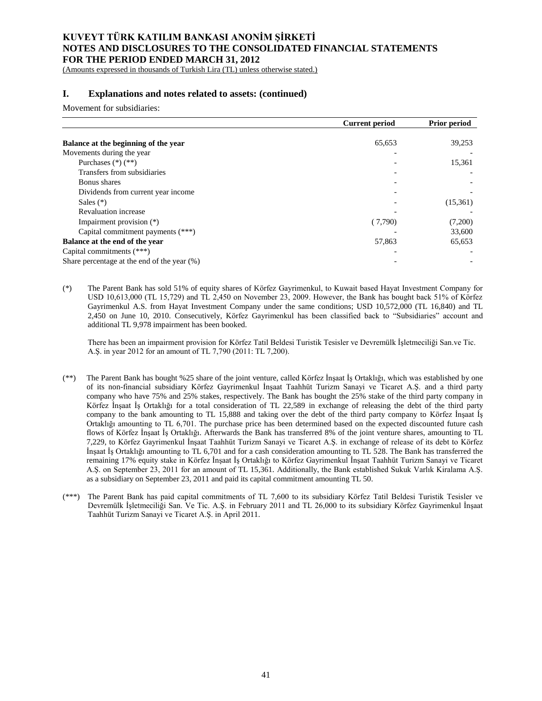(Amounts expressed in thousands of Turkish Lira (TL) unless otherwise stated.)

# **I. Explanations and notes related to assets: (continued)**

Movement for subsidiaries:

|                                             | <b>Current period</b> | <b>Prior period</b> |
|---------------------------------------------|-----------------------|---------------------|
|                                             |                       |                     |
| Balance at the beginning of the year        | 65,653                | 39,253              |
| Movements during the year                   |                       |                     |
| Purchases $(*)$ $(**)$                      |                       | 15,361              |
| Transfers from subsidiaries                 |                       |                     |
| Bonus shares                                |                       |                     |
| Dividends from current year income          |                       |                     |
| Sales $(*)$                                 |                       | (15,361)            |
| <b>Revaluation</b> increase                 |                       |                     |
| Impairment provision (*)                    | (7,790)               | (7,200)             |
| Capital commitment payments (***)           |                       | 33,600              |
| Balance at the end of the year              | 57,863                | 65,653              |
| Capital commitments (***)                   |                       |                     |
| Share percentage at the end of the year (%) |                       |                     |

(\*) The Parent Bank has sold 51% of equity shares of Körfez Gayrimenkul, to Kuwait based Hayat Investment Company for USD 10,613,000 (TL 15,729) and TL 2,450 on November 23, 2009. However, the Bank has bought back 51% of Körfez Gayrimenkul A.S. from Hayat Investment Company under the same conditions; USD 10,572,000 (TL 16,840) and TL 2,450 on June 10, 2010. Consecutively, Körfez Gayrimenkul has been classified back to "Subsidiaries" account and additional TL 9,978 impairment has been booked.

There has been an impairment provision for Körfez Tatil Beldesi Turistik Tesisler ve Devremülk İşletmeciliği San.ve Tic. A.Ş. in year 2012 for an amount of TL 7,790 (2011: TL 7,200).

- (\*\*) The Parent Bank has bought %25 share of the joint venture, called Körfez İnşaat İş Ortaklığı, which was established by one of its non-financial subsidiary Körfez Gayrimenkul İnşaat Taahhüt Turizm Sanayi ve Ticaret A.Ş. and a third party company who have 75% and 25% stakes, respectively. The Bank has bought the 25% stake of the third party company in Körfez İnşaat İş Ortaklığı for a total consideration of TL 22,589 in exchange of releasing the debt of the third party company to the bank amounting to TL 15,888 and taking over the debt of the third party company to Körfez İnşaat İş Ortaklığı amounting to TL 6,701. The purchase price has been determined based on the expected discounted future cash flows of Körfez İnşaat İş Ortaklığı. Afterwards the Bank has transferred 8% of the joint venture shares, amounting to TL 7,229, to Körfez Gayrimenkul İnşaat Taahhüt Turizm Sanayi ve Ticaret A.Ş. in exchange of release of its debt to Körfez İnşaat İş Ortaklığı amounting to TL 6,701 and for a cash consideration amounting to TL 528. The Bank has transferred the remaining 17% equity stake in Körfez İnşaat İş Ortaklığı to Körfez Gayrimenkul İnşaat Taahhüt Turizm Sanayi ve Ticaret A.Ş. on September 23, 2011 for an amount of TL 15,361. Additionally, the Bank established Sukuk Varlık Kiralama A.Ş. as a subsidiary on September 23, 2011 and paid its capital commitment amounting TL 50.
- (\*\*\*) The Parent Bank has paid capital commitments of TL 7,600 to its subsidiary Körfez Tatil Beldesi Turistik Tesisler ve Devremülk İşletmeciliği San. Ve Tic. A.Ş. in February 2011 and TL 26,000 to its subsidiary Körfez Gayrimenkul İnşaat Taahhüt Turizm Sanayi ve Ticaret A.Ş. in April 2011.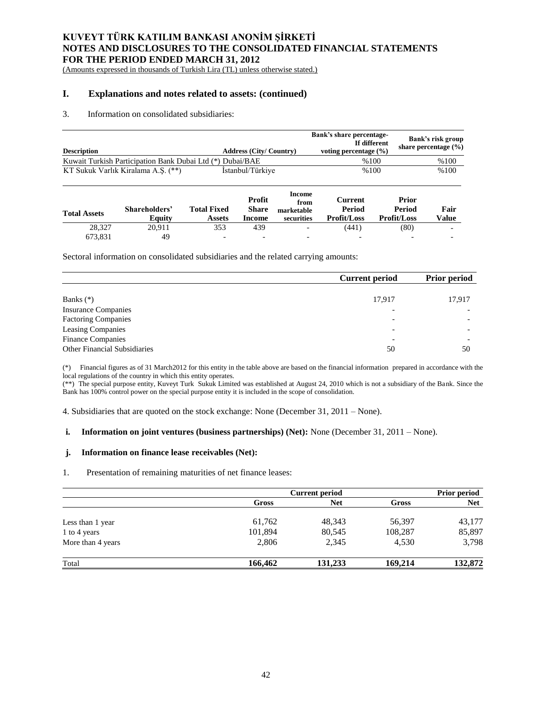(Amounts expressed in thousands of Turkish Lira (TL) unless otherwise stated.)

# **I. Explanations and notes related to assets: (continued)**

### 3. Information on consolidated subsidiaries:

| <b>Description</b>                                        | <b>Address (City/Country)</b> | Bank's share percentage-<br>If different<br>voting percentage $(\% )$ | <b>Bank's risk group</b><br>share percentage $(\% )$ |
|-----------------------------------------------------------|-------------------------------|-----------------------------------------------------------------------|------------------------------------------------------|
| Kuwait Turkish Participation Bank Dubai Ltd (*) Dubai/BAE |                               | %100                                                                  | %100                                                 |
| KT Sukuk Varlık Kiralama A.S. (**)                        | Istanbul/Türkiye              | %100                                                                  | %100                                                 |

| <b>Total Assets</b> | Shareholders'<br>Equity | <b>Total Fixed</b><br>Assets | Profit<br><b>Share</b><br>Income | Income<br>from<br>marketable<br>securities | Current<br>Period<br><b>Profit/Loss</b> | Prior<br>Period<br><b>Profit/Loss</b> | Fair<br>Value |
|---------------------|-------------------------|------------------------------|----------------------------------|--------------------------------------------|-----------------------------------------|---------------------------------------|---------------|
| 28.327              | 20.911                  | 353                          | 439                              | -                                          | (441)                                   | (80)                                  |               |
| 673.831             | 49                      | $\overline{\phantom{0}}$     | $\overline{\phantom{0}}$         | -                                          | $\overline{\phantom{0}}$                | $\overline{\phantom{0}}$              |               |

Sectoral information on consolidated subsidiaries and the related carrying amounts:

|                                     | <b>Current period</b>    | <b>Prior period</b> |
|-------------------------------------|--------------------------|---------------------|
|                                     |                          |                     |
| Banks $(*)$                         | 17,917                   | 17,917              |
| <b>Insurance Companies</b>          | ۰                        |                     |
| <b>Factoring Companies</b>          |                          |                     |
| Leasing Companies                   | $\overline{\phantom{0}}$ |                     |
| <b>Finance Companies</b>            | ٠                        |                     |
| <b>Other Financial Subsidiaries</b> | 50                       | 50                  |

(\*) Financial figures as of 31 March2012 for this entity in the table above are based on the financial information prepared in accordance with the local regulations of the country in which this entity operates.

(\*\*) The special purpose entity, Kuveyt Turk Sukuk Limited was established at August 24, 2010 which is not a subsidiary of the Bank. Since the Bank has 100% control power on the special purpose entity it is included in the scope of consolidation.

4. Subsidiaries that are quoted on the stock exchange: None (December 31, 2011 – None).

### **i. Information on joint ventures (business partnerships) (Net):** None (December 31, 2011 – None).

## **j. Information on finance lease receivables (Net):**

1. Presentation of remaining maturities of net finance leases:

|                   | <b>Current period</b> |            |         | <b>Prior period</b> |  |
|-------------------|-----------------------|------------|---------|---------------------|--|
|                   | Gross                 | <b>Net</b> | Gross   | <b>Net</b>          |  |
| Less than 1 year  | 61,762                | 48,343     | 56,397  | 43,177              |  |
| 1 to 4 years      | 101,894               | 80,545     | 108,287 | 85,897              |  |
| More than 4 years | 2,806                 | 2,345      | 4,530   | 3,798               |  |
| Total             | 166,462               | 131,233    | 169,214 | 132,872             |  |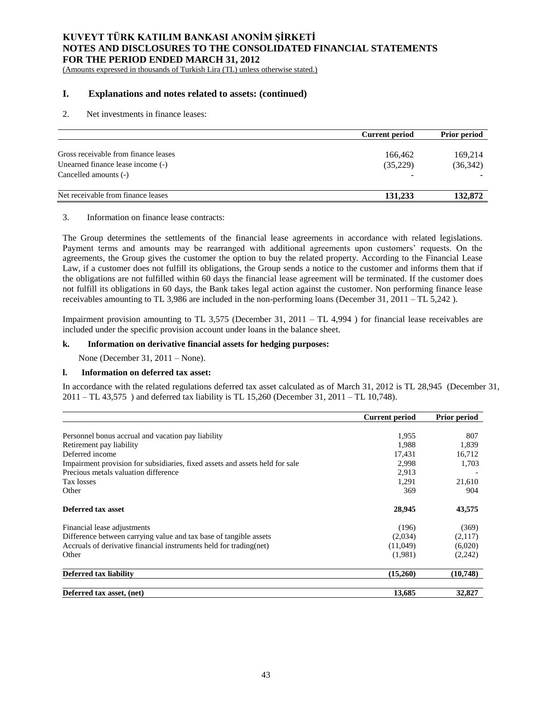(Amounts expressed in thousands of Turkish Lira (TL) unless otherwise stated.)

## **I. Explanations and notes related to assets: (continued)**

#### 2. Net investments in finance leases:

|                                      | <b>Current period</b> | <b>Prior period</b> |
|--------------------------------------|-----------------------|---------------------|
|                                      |                       |                     |
| Gross receivable from finance leases | 166.462               | 169,214             |
| Unearned finance lease income (-)    | (35,229)              | (36,342)            |
| Cancelled amounts (-)                |                       |                     |
| Net receivable from finance leases   | 131,233               | 132,872             |

### 3. Information on finance lease contracts:

The Group determines the settlements of the financial lease agreements in accordance with related legislations. Payment terms and amounts may be rearranged with additional agreements upon customers' requests. On the agreements, the Group gives the customer the option to buy the related property. According to the Financial Lease Law, if a customer does not fulfill its obligations, the Group sends a notice to the customer and informs them that if the obligations are not fulfilled within 60 days the financial lease agreement will be terminated. If the customer does not fulfill its obligations in 60 days, the Bank takes legal action against the customer. Non performing finance lease receivables amounting to TL 3,986 are included in the non-performing loans (December 31, 2011 – TL 5,242 ).

Impairment provision amounting to TL 3,575 (December 31, 2011 – TL 4,994 ) for financial lease receivables are included under the specific provision account under loans in the balance sheet.

## **k. Information on derivative financial assets for hedging purposes:**

None (December 31, 2011 – None).

### **l. Information on deferred tax asset:**

In accordance with the related regulations deferred tax asset calculated as of March 31, 2012 is TL 28,945 (December 31, 2011 – TL 43,575 ) and deferred tax liability is TL 15,260 (December 31, 2011 – TL 10,748).

|                                                                              | <b>Current period</b> | <b>Prior period</b> |
|------------------------------------------------------------------------------|-----------------------|---------------------|
|                                                                              |                       |                     |
| Personnel bonus accrual and vacation pay liability                           | 1,955                 | 807                 |
| Retirement pay liability                                                     | 1,988                 | 1,839               |
| Deferred income                                                              | 17,431                | 16,712              |
| Impairment provision for subsidiaries, fixed assets and assets held for sale | 2,998                 | 1,703               |
| Precious metals valuation difference                                         | 2,913                 |                     |
| Tax losses                                                                   | 1,291                 | 21,610              |
| Other                                                                        | 369                   | 904                 |
| Deferred tax asset                                                           | 28,945                | 43,575              |
| Financial lease adjustments                                                  | (196)                 | (369)               |
| Difference between carrying value and tax base of tangible assets            | (2,034)               | (2,117)             |
| Accruals of derivative financial instruments held for trading (net)          | (11,049)              | (6,020)             |
| Other                                                                        | (1,981)               | (2,242)             |
| Deferred tax liability                                                       | (15,260)              | (10,748)            |
| Deferred tax asset, (net)                                                    | 13,685                | 32,827              |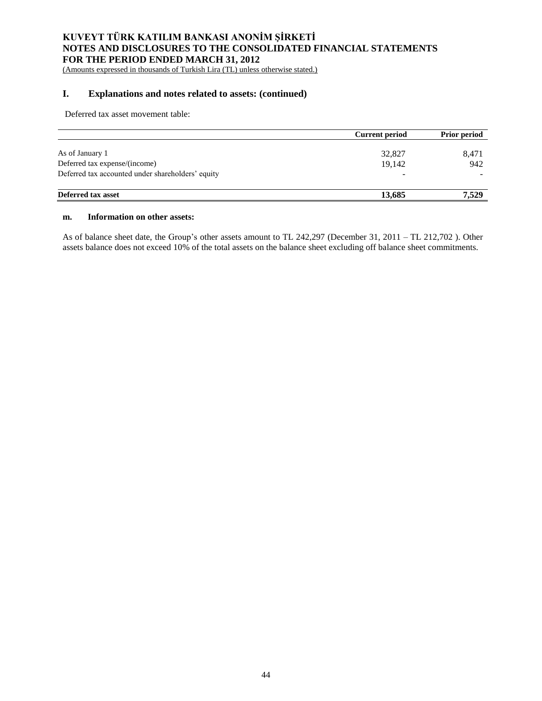(Amounts expressed in thousands of Turkish Lira (TL) unless otherwise stated.)

# **I. Explanations and notes related to assets: (continued)**

Deferred tax asset movement table:

|                                                   | Current period | <b>Prior period</b> |
|---------------------------------------------------|----------------|---------------------|
| As of January 1                                   | 32,827         | 8,471               |
| Deferred tax expense/(income)                     | 19.142         | 942                 |
| Deferred tax accounted under shareholders' equity | -              |                     |
| Deferred tax asset                                | 13,685         | 7.529               |

#### **m. Information on other assets:**

As of balance sheet date, the Group's other assets amount to TL 242,297 (December 31, 2011 – TL 212,702 ). Other assets balance does not exceed 10% of the total assets on the balance sheet excluding off balance sheet commitments.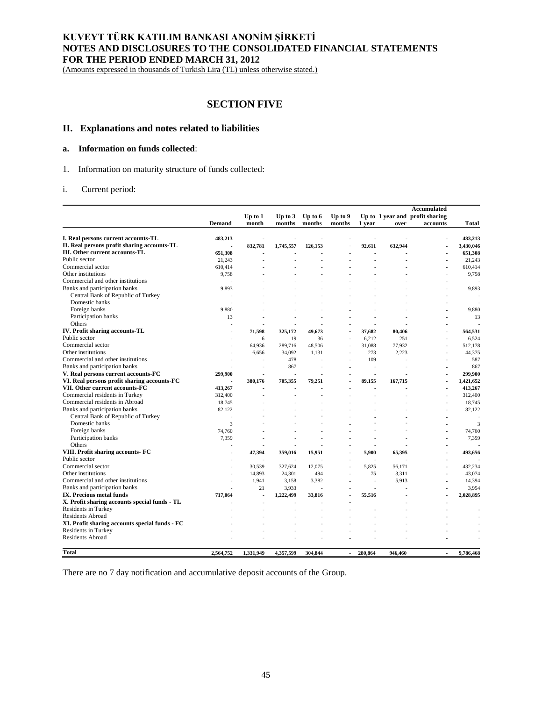(Amounts expressed in thousands of Turkish Lira (TL) unless otherwise stated.)

# **SECTION FIVE**

# **II. Explanations and notes related to liabilities**

## **a. Information on funds collected**:

1. Information on maturity structure of funds collected:

## i. Current period:

|                                                | Accumulated    |           |           |           |                |                |                                 |          |           |
|------------------------------------------------|----------------|-----------|-----------|-----------|----------------|----------------|---------------------------------|----------|-----------|
|                                                |                | Up to 1   | Up to $3$ | Up to $6$ | Up to 9        |                | Up to 1 year and profit sharing |          |           |
|                                                | <b>Demand</b>  | month     | months    | months    | months         | 1 year         | over                            | accounts | Total     |
| I. Real persons current accounts-TL            |                |           |           |           |                |                |                                 |          | 483,213   |
| II. Real persons profit sharing accounts-TL    | 483,213        | 832,781   | 1,745,557 | 126,153   |                | 92,611         | 632,944                         |          | 3,430,046 |
| III. Other current accounts-TL                 |                |           |           |           |                |                |                                 |          |           |
| Public sector                                  | 651,308        |           |           |           |                |                |                                 |          | 651,308   |
| Commercial sector                              | 21,243         |           |           |           |                |                |                                 |          | 21,243    |
| Other institutions                             | 610,414        |           |           |           |                |                |                                 |          | 610,414   |
| Commercial and other institutions              | 9,758          |           |           |           |                |                |                                 |          | 9,758     |
|                                                |                |           |           |           |                |                |                                 | ä,       |           |
| Banks and participation banks                  | 9,893          |           |           |           |                |                |                                 |          | 9,893     |
| Central Bank of Republic of Turkey             |                |           |           |           |                |                |                                 |          |           |
| Domestic banks                                 |                |           |           |           |                |                |                                 |          |           |
| Foreign banks                                  | 9,880          |           |           |           |                |                |                                 | ٠        | 9,880     |
| Participation banks                            | 13             |           |           |           |                |                |                                 |          | 13        |
| Others                                         |                |           |           |           |                |                |                                 |          |           |
| IV. Profit sharing accounts-TL                 |                | 71,598    | 325,172   | 49,673    |                | 37,682         | 80,406                          |          | 564,531   |
| Public sector                                  |                | 6         | 19        | 36        | $\blacksquare$ | 6,212          | 251                             | ٠        | 6.524     |
| Commercial sector                              |                | 64,936    | 289,716   | 48.506    |                | 31,088         | 77.932                          |          | 512.178   |
| Other institutions                             |                | 6.656     | 34.092    | 1.131     | $\blacksquare$ | 273            | 2,223                           | ä        | 44.375    |
| Commercial and other institutions              |                |           | 478       |           |                | 109            |                                 |          | 587       |
| Banks and participation banks                  |                | L,        | 867       |           |                | ÷.             |                                 |          | 867       |
| V. Real persons current accounts-FC            | 299,900        | ä,        | ÷.        |           |                | ÷              |                                 |          | 299,900   |
| VI. Real persons profit sharing accounts-FC    |                | 380,176   | 705,355   | 79,251    |                | 89,155         | 167,715                         | J.       | 1,421,652 |
| VII. Other current accounts-FC                 | 413,267        |           |           |           |                |                |                                 |          | 413,267   |
| Commercial residents in Turkey                 | 312,400        |           |           |           |                |                |                                 |          | 312,400   |
| Commercial residents in Abroad                 | 18.745         |           |           |           |                |                |                                 |          | 18,745    |
| Banks and participation banks                  | 82,122         |           |           |           |                |                |                                 |          | 82,122    |
| Central Bank of Republic of Turkey             | $\overline{a}$ |           |           |           |                |                |                                 |          |           |
| Domestic banks                                 | 3              |           |           |           |                |                |                                 |          | 3         |
| Foreign banks                                  | 74,760         |           |           |           |                |                |                                 |          | 74,760    |
| Participation banks                            | 7.359          |           |           |           |                |                |                                 |          | 7,359     |
| Others                                         |                |           |           |           |                |                |                                 |          |           |
| VIII. Profit sharing accounts- FC              |                | 47,394    | 359,016   | 15,951    |                | 5,900          | 65,395                          |          | 493,656   |
| Public sector                                  |                |           |           |           |                |                |                                 |          |           |
| Commercial sector                              |                | 30,539    | 327,624   | 12,075    |                | 5,825          | 56,171                          |          | 432,234   |
| Other institutions                             |                | 14,893    | 24,301    | 494       |                | 75             | 3,311                           | ٠        | 43,074    |
| Commercial and other institutions              |                | 1,941     | 3,158     | 3,382     |                | $\overline{a}$ | 5,913                           | J.       | 14,394    |
| Banks and participation banks                  |                | 21        | 3,933     |           |                | ÷              |                                 | ٠        | 3,954     |
| IX. Precious metal funds                       | 717,064        |           | 1,222,499 | 33.816    |                | 55,516         |                                 |          | 2,028,895 |
| X. Profit sharing accounts special funds - TL  |                | ÷,        |           |           |                |                |                                 |          |           |
| <b>Residents in Turkey</b>                     |                |           |           |           |                |                |                                 |          |           |
| Residents Abroad                               |                |           |           |           |                |                |                                 |          |           |
| XI. Profit sharing accounts special funds - FC |                |           |           |           |                |                |                                 |          |           |
| Residents in Turkey                            |                |           |           |           |                |                |                                 |          | ٠         |
| <b>Residents Abroad</b>                        |                |           |           |           |                |                |                                 |          |           |
|                                                |                |           |           |           |                |                |                                 |          |           |
| Total                                          | 2.564.752      | 1.331.949 | 4.357.599 | 304,844   | $\blacksquare$ | 280,864        | 946.460                         | ÷,       | 9.786.468 |

There are no 7 day notification and accumulative deposit accounts of the Group.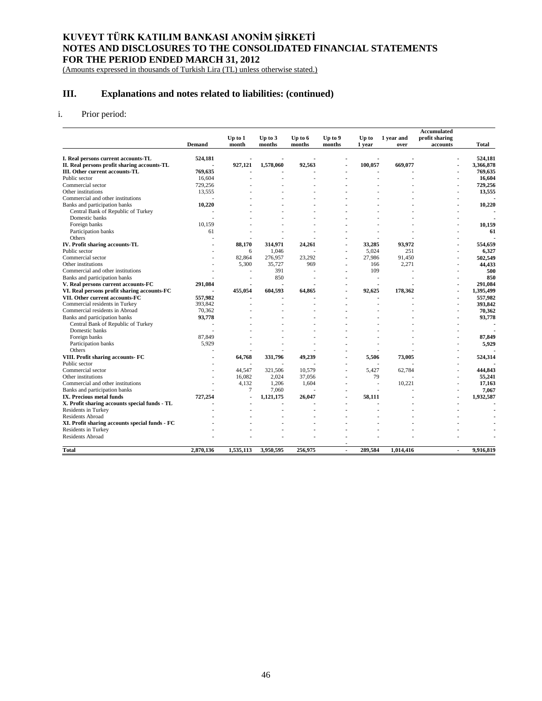(Amounts expressed in thousands of Turkish Lira (TL) unless otherwise stated.)

# **III. Explanations and notes related to liabilities: (continued)**

## i. Prior period:

|                                                |           |                  |                   |                     |                   |                 |                    | <b>Accumulated</b>         |           |
|------------------------------------------------|-----------|------------------|-------------------|---------------------|-------------------|-----------------|--------------------|----------------------------|-----------|
|                                                | Demand    | Up to 1<br>month | Up to 3<br>months | Up to $6$<br>months | Up to 9<br>months | Up to<br>1 year | 1 year and<br>over | profit sharing<br>accounts | Total     |
| I. Real persons current accounts-TL            | 524,181   |                  |                   |                     |                   |                 |                    |                            | 524,181   |
| II. Real persons profit sharing accounts-TL    |           | 927,121          | 1,578,060         | 92,563              |                   | 100,057         | 669,077            |                            | 3,366,878 |
| III. Other current accounts-TL                 | 769,635   |                  |                   |                     |                   |                 |                    |                            | 769,635   |
| Public sector                                  | 16,604    |                  |                   |                     |                   |                 |                    |                            | 16,604    |
| Commercial sector                              | 729,256   |                  |                   |                     |                   |                 |                    |                            | 729,256   |
| Other institutions                             | 13,555    |                  |                   |                     |                   |                 |                    |                            | 13,555    |
| Commercial and other institutions              |           |                  |                   |                     |                   |                 |                    |                            |           |
| Banks and participation banks                  | 10,220    |                  |                   |                     |                   |                 |                    |                            | 10,220    |
| Central Bank of Republic of Turkey             |           |                  |                   |                     |                   |                 |                    |                            |           |
| Domestic banks                                 |           |                  |                   |                     |                   |                 |                    |                            |           |
| Foreign banks                                  | 10,159    |                  |                   |                     |                   |                 |                    |                            | 10,159    |
| Participation banks                            | 61        |                  |                   |                     |                   |                 |                    |                            | 61        |
| Others                                         |           |                  |                   |                     |                   |                 |                    |                            |           |
| IV. Profit sharing accounts-TL                 |           | 88,170           | 314,971           | 24,261              |                   | 33,285          | 93,972             |                            | 554,659   |
| Public sector                                  |           | 6                | 1,046             |                     |                   | 5,024           | 251                |                            | 6,327     |
| Commercial sector                              |           | 82,864           | 276,957           | 23,292              | $\blacksquare$    | 27,986          | 91,450             |                            | 502,549   |
| Other institutions                             |           | 5,300            | 35,727            | 969                 | $\blacksquare$    | 166             | 2,271              |                            | 44,433    |
| Commercial and other institutions              |           |                  | 391               |                     |                   | 109             |                    |                            | 500       |
| Banks and participation banks                  |           |                  | 850               |                     |                   |                 |                    |                            | 850       |
| V. Real persons current accounts-FC            | 291,084   |                  |                   |                     |                   |                 |                    |                            | 291,084   |
| VI. Real persons profit sharing accounts-FC    |           | 455,054          | 604,593           | 64,865              |                   | 92,625          | 178,362            |                            | 1,395,499 |
| VII. Other current accounts-FC                 | 557,982   |                  |                   |                     |                   |                 |                    |                            | 557,982   |
| Commercial residents in Turkey                 | 393,842   |                  |                   |                     |                   |                 |                    |                            | 393,842   |
| Commercial residents in Abroad                 | 70,362    |                  |                   |                     |                   |                 |                    |                            | 70,362    |
| Banks and participation banks                  | 93,778    |                  |                   |                     |                   |                 |                    |                            | 93,778    |
| Central Bank of Republic of Turkey             |           |                  |                   |                     |                   |                 |                    |                            |           |
| Domestic banks                                 |           |                  |                   |                     |                   |                 |                    |                            |           |
| Foreign banks                                  | 87,849    |                  |                   |                     |                   |                 |                    |                            | 87,849    |
| Participation banks                            | 5,929     |                  |                   |                     |                   |                 |                    |                            | 5,929     |
| Others                                         |           |                  |                   |                     |                   |                 |                    |                            |           |
| VIII. Profit sharing accounts- FC              |           | 64,768           | 331,796           | 49,239              |                   | 5,506           | 73,005             |                            | 524,314   |
| Public sector                                  |           |                  |                   |                     |                   |                 |                    |                            |           |
| Commercial sector                              |           | 44.547           | 321.506           | 10.579              |                   | 5.427           | 62,784             |                            | 444.843   |
| Other institutions                             |           | 16.082           | 2.024             | 37,056              |                   | 79              |                    |                            | 55,241    |
| Commercial and other institutions              |           | 4.132            | 1.206             | 1,604               |                   | ÷               | 10,221             |                            | 17,163    |
| Banks and participation banks                  |           | 7                | 7.060             |                     |                   | i.              |                    |                            | 7.067     |
| IX. Precious metal funds                       | 727,254   | $\overline{a}$   | 1,121,175         | 26,047              |                   | 58.111          |                    |                            | 1,932,587 |
| X. Profit sharing accounts special funds - TL  |           |                  |                   |                     | $\blacksquare$    |                 |                    |                            |           |
| Residents in Turkey                            |           |                  |                   |                     |                   |                 |                    |                            |           |
| <b>Residents Abroad</b>                        |           |                  |                   |                     |                   |                 |                    |                            |           |
| XI. Profit sharing accounts special funds - FC |           |                  |                   |                     |                   |                 |                    |                            |           |
| Residents in Turkey                            |           |                  |                   |                     |                   |                 |                    |                            |           |
| Residents Abroad                               |           |                  |                   |                     |                   |                 |                    |                            |           |
| <b>Total</b>                                   | 2,870,136 | 1,535,113        | 3,950,595         | 256,975             | $\blacksquare$    | 289,584         | 1,014,416          | $\blacksquare$             | 9,916,819 |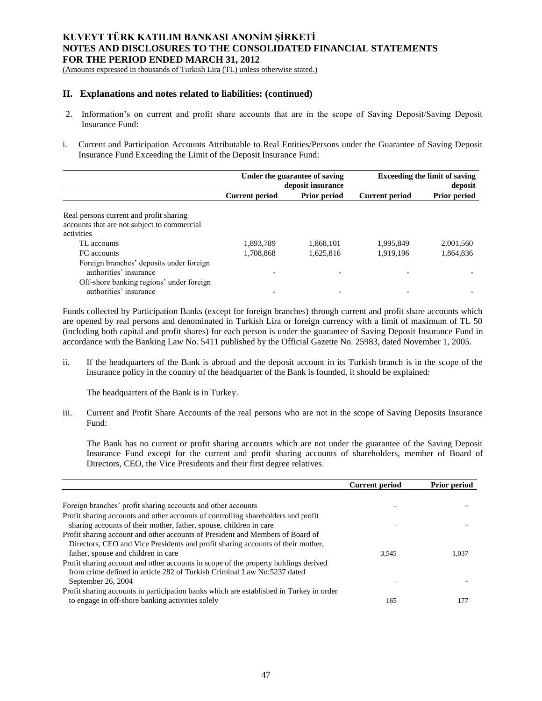(Amounts expressed in thousands of Turkish Lira (TL) unless otherwise stated.)

## **II. Explanations and notes related to liabilities: (continued)**

- 2. Information's on current and profit share accounts that are in the scope of Saving Deposit/Saving Deposit Insurance Fund:
- i. Current and Participation Accounts Attributable to Real Entities/Persons under the Guarantee of Saving Deposit Insurance Fund Exceeding the Limit of the Deposit Insurance Fund:

|                                                                                                                                          | Under the guarantee of saving<br>deposit insurance |                     | <b>Exceeding the limit of saving</b><br>deposit |                     |
|------------------------------------------------------------------------------------------------------------------------------------------|----------------------------------------------------|---------------------|-------------------------------------------------|---------------------|
|                                                                                                                                          | <b>Current period</b>                              | <b>Prior period</b> | <b>Current period</b>                           | <b>Prior period</b> |
| Real persons current and profit sharing<br>accounts that are not subject to commercial<br>activities                                     |                                                    |                     |                                                 |                     |
| TL accounts                                                                                                                              | 1,893,789                                          | 1,868,101           | 1.995.849                                       | 2,001,560           |
| FC accounts                                                                                                                              | 1,708,868                                          | 1,625,816           | 1,919,196                                       | 1,864,836           |
| Foreign branches' deposits under foreign<br>authorities' insurance<br>Off-shore banking regions' under foreign<br>authorities' insurance |                                                    |                     |                                                 |                     |

Funds collected by Participation Banks (except for foreign branches) through current and profit share accounts which are opened by real persons and denominated in Turkish Lira or foreign currency with a limit of maximum of TL 50 (including both capital and profit shares) for each person is under the guarantee of Saving Deposit Insurance Fund in accordance with the Banking Law No. 5411 published by the Official Gazette No. 25983, dated November 1, 2005.

ii. If the headquarters of the Bank is abroad and the deposit account in its Turkish branch is in the scope of the insurance policy in the country of the headquarter of the Bank is founded, it should be explained:

The headquarters of the Bank is in Turkey.

iii. Current and Profit Share Accounts of the real persons who are not in the scope of Saving Deposits Insurance Fund:

The Bank has no current or profit sharing accounts which are not under the guarantee of the Saving Deposit Insurance Fund except for the current and profit sharing accounts of shareholders, member of Board of Directors, CEO, the Vice Presidents and their first degree relatives.

|                                                                                         | <b>Current period</b> | <b>Prior period</b> |
|-----------------------------------------------------------------------------------------|-----------------------|---------------------|
|                                                                                         |                       |                     |
| Foreign branches' profit sharing accounts and other accounts                            |                       |                     |
| Profit sharing accounts and other accounts of controlling shareholders and profit       |                       |                     |
| sharing accounts of their mother, father, spouse, children in care                      |                       |                     |
| Profit sharing account and other accounts of President and Members of Board of          |                       |                     |
| Directors, CEO and Vice Presidents and profit sharing accounts of their mother,         |                       |                     |
| father, spouse and children in care                                                     | 3.545                 | 1.037               |
| Profit sharing account and other accounts in scope of the property holdings derived     |                       |                     |
| from crime defined in article 282 of Turkish Criminal Law No:5237 dated                 |                       |                     |
| September 26, 2004                                                                      |                       |                     |
| Profit sharing accounts in participation banks which are established in Turkey in order |                       |                     |
| to engage in off-shore banking activities solely                                        | 165                   | 177                 |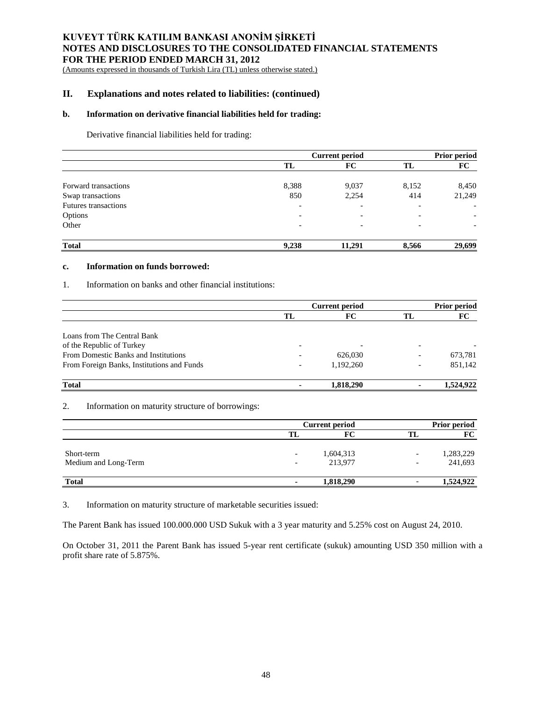(Amounts expressed in thousands of Turkish Lira (TL) unless otherwise stated.)

## **II. Explanations and notes related to liabilities: (continued)**

## **b. Information on derivative financial liabilities held for trading:**

Derivative financial liabilities held for trading:

|                             |                          | <b>Current period</b>    |                          |                          |
|-----------------------------|--------------------------|--------------------------|--------------------------|--------------------------|
|                             | TL                       | FC                       | TL                       | FC                       |
| Forward transactions        | 8,388                    | 9,037                    | 8,152                    | 8,450                    |
| Swap transactions           | 850                      | 2,254                    | 414                      | 21,249                   |
| <b>Futures transactions</b> | $\overline{\phantom{a}}$ |                          | $\overline{\phantom{a}}$ | $\overline{\phantom{a}}$ |
| Options                     | $\overline{\phantom{0}}$ | $\overline{\phantom{0}}$ | $\overline{\phantom{0}}$ |                          |
| Other                       |                          |                          | $\overline{\phantom{0}}$ | $\overline{\phantom{a}}$ |
| <b>Total</b>                | 9,238                    | 11,291                   | 8,566                    | 29,699                   |

#### **c. Information on funds borrowed:**

## 1. Information on banks and other financial institutions:

|                                            | <b>Current period</b>    |           |                          | <b>Prior period</b> |  |
|--------------------------------------------|--------------------------|-----------|--------------------------|---------------------|--|
|                                            | TL                       | FC.       | TL                       | FC                  |  |
|                                            |                          |           |                          |                     |  |
| Loans from The Central Bank                |                          |           |                          |                     |  |
| of the Republic of Turkey                  | $\overline{\phantom{0}}$ |           |                          |                     |  |
| From Domestic Banks and Institutions       |                          | 626,030   |                          | 673,781             |  |
| From Foreign Banks, Institutions and Funds |                          | 1.192.260 | $\overline{\phantom{0}}$ | 851,142             |  |
| <b>Total</b>                               |                          | 1,818,290 | ۰                        | 1,524,922           |  |

### 2. Information on maturity structure of borrowings:

|                      |                          | <b>Current period</b> |                          |           |
|----------------------|--------------------------|-----------------------|--------------------------|-----------|
|                      | TL                       | FС                    |                          | FC        |
| Short-term           | $\overline{\phantom{a}}$ | 1,604,313             |                          | 1,283,229 |
| Medium and Long-Term | $\overline{\phantom{0}}$ | 213,977               | $\overline{\phantom{0}}$ | 241,693   |
| <b>Total</b>         | $\blacksquare$           | 1,818,290             |                          | 1,524,922 |

3. Information on maturity structure of marketable securities issued:

The Parent Bank has issued 100.000.000 USD Sukuk with a 3 year maturity and 5.25% cost on August 24, 2010.

On October 31, 2011 the Parent Bank has issued 5-year rent certificate (sukuk) amounting USD 350 million with a profit share rate of 5.875%.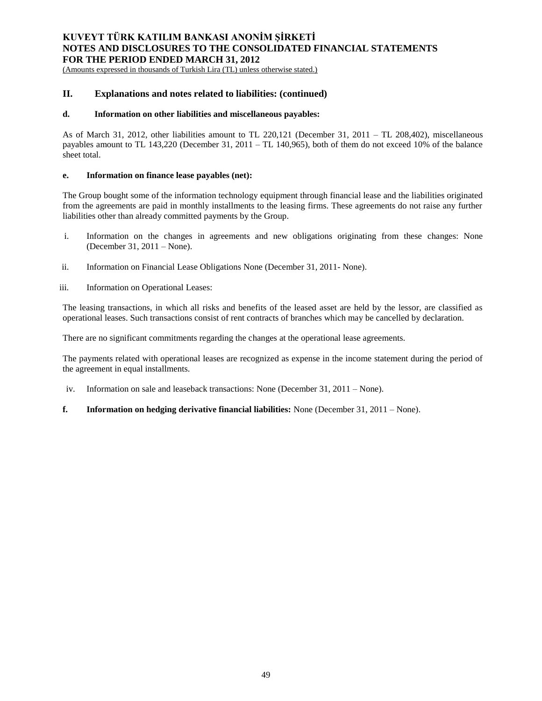(Amounts expressed in thousands of Turkish Lira (TL) unless otherwise stated.)

## **II. Explanations and notes related to liabilities: (continued)**

### **d. Information on other liabilities and miscellaneous payables:**

As of March 31, 2012, other liabilities amount to TL 220,121 (December 31, 2011 – TL 208,402), miscellaneous payables amount to TL 143,220 (December 31, 2011 – TL 140,965), both of them do not exceed 10% of the balance sheet total.

## **e. Information on finance lease payables (net):**

The Group bought some of the information technology equipment through financial lease and the liabilities originated from the agreements are paid in monthly installments to the leasing firms. These agreements do not raise any further liabilities other than already committed payments by the Group.

- i. Information on the changes in agreements and new obligations originating from these changes: None (December 31, 2011 – None).
- ii. Information on Financial Lease Obligations None (December 31, 2011- None).
- iii. Information on Operational Leases:

The leasing transactions, in which all risks and benefits of the leased asset are held by the lessor, are classified as operational leases. Such transactions consist of rent contracts of branches which may be cancelled by declaration.

There are no significant commitments regarding the changes at the operational lease agreements.

The payments related with operational leases are recognized as expense in the income statement during the period of the agreement in equal installments.

- iv. Information on sale and leaseback transactions: None (December 31, 2011 None).
- **f. Information on hedging derivative financial liabilities:** None (December 31, 2011 None).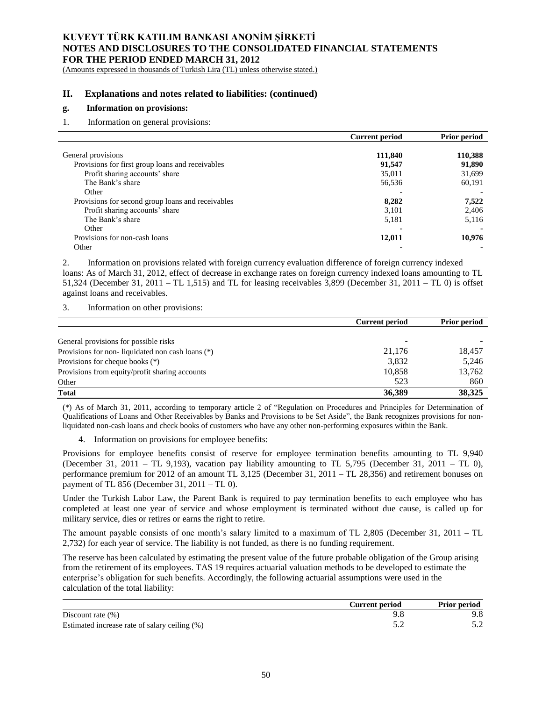(Amounts expressed in thousands of Turkish Lira (TL) unless otherwise stated.)

## **II. Explanations and notes related to liabilities: (continued)**

## **g. Information on provisions:**

1. Information on general provisions:

|                                                   | <b>Current period</b> | Prior period |
|---------------------------------------------------|-----------------------|--------------|
|                                                   |                       |              |
| General provisions                                | 111,840               | 110,388      |
| Provisions for first group loans and receivables  | 91,547                | 91,890       |
| Profit sharing accounts' share                    | 35,011                | 31,699       |
| The Bank's share                                  | 56,536                | 60,191       |
| Other                                             |                       |              |
| Provisions for second group loans and receivables | 8,282                 | 7,522        |
| Profit sharing accounts' share                    | 3,101                 | 2,406        |
| The Bank's share                                  | 5,181                 | 5,116        |
| Other                                             |                       |              |
| Provisions for non-cash loans                     | 12,011                | 10,976       |
| Other                                             |                       |              |

2. Information on provisions related with foreign currency evaluation difference of foreign currency indexed loans: As of March 31, 2012, effect of decrease in exchange rates on foreign currency indexed loans amounting to TL 51,324 (December 31, 2011 – TL 1,515) and TL for leasing receivables 3,899 (December 31, 2011 – TL 0) is offset against loans and receivables.

3. Information on other provisions:

|                                                  | <b>Current period</b> | <b>Prior period</b> |
|--------------------------------------------------|-----------------------|---------------------|
|                                                  |                       |                     |
| General provisions for possible risks            |                       |                     |
| Provisions for non-liquidated non cash loans (*) | 21,176                | 18,457              |
| Provisions for cheque books $(*)$                | 3,832                 | 5,246               |
| Provisions from equity/profit sharing accounts   | 10.858                | 13,762              |
| Other                                            | 523                   | 860                 |
| <b>Total</b>                                     | 36,389                | 38,325              |

(\*) As of March 31, 2011, according to temporary article 2 of "Regulation on Procedures and Principles for Determination of Qualifications of Loans and Other Receivables by Banks and Provisions to be Set Aside", the Bank recognizes provisions for nonliquidated non-cash loans and check books of customers who have any other non-performing exposures within the Bank.

4. Information on provisions for employee benefits:

Provisions for employee benefits consist of reserve for employee termination benefits amounting to TL 9,940 (December 31, 2011 – TL 9,193), vacation pay liability amounting to TL 5,795 (December 31, 2011 – TL 0), performance premium for 2012 of an amount TL 3,125 (December 31, 2011 – TL 28,356) and retirement bonuses on payment of TL 856 (December 31, 2011 – TL 0).

Under the Turkish Labor Law, the Parent Bank is required to pay termination benefits to each employee who has completed at least one year of service and whose employment is terminated without due cause, is called up for military service, dies or retires or earns the right to retire.

The amount payable consists of one month's salary limited to a maximum of TL 2,805 (December 31, 2011 – TL 2,732) for each year of service. The liability is not funded, as there is no funding requirement.

The reserve has been calculated by estimating the present value of the future probable obligation of the Group arising from the retirement of its employees. TAS 19 requires actuarial valuation methods to be developed to estimate the enterprise's obligation for such benefits. Accordingly, the following actuarial assumptions were used in the calculation of the total liability:

|                                               | Current period | <b>Prior period</b> |
|-----------------------------------------------|----------------|---------------------|
| Discount rate $(\%)$                          |                | ).8                 |
| Estimated increase rate of salary ceiling (%) |                |                     |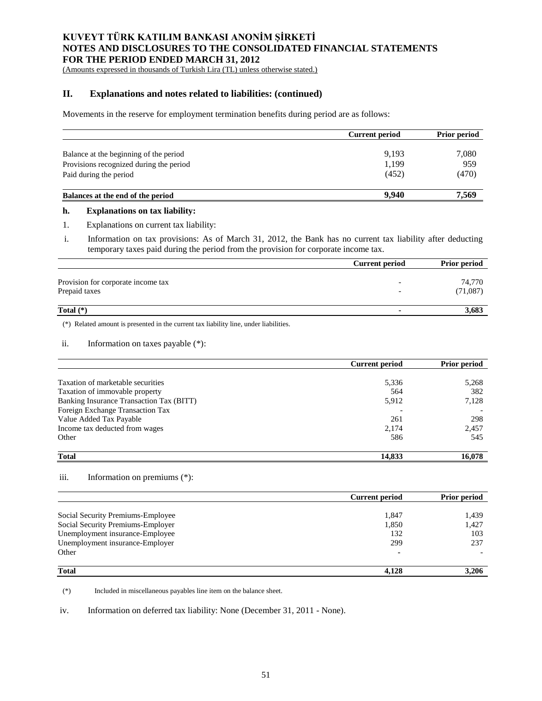(Amounts expressed in thousands of Turkish Lira (TL) unless otherwise stated.)

# **II. Explanations and notes related to liabilities: (continued)**

Movements in the reserve for employment termination benefits during period are as follows:

|                                         | <b>Current period</b> | <b>Prior period</b> |
|-----------------------------------------|-----------------------|---------------------|
| Balance at the beginning of the period  | 9,193                 | 7,080               |
| Provisions recognized during the period | 1,199                 | 959                 |
| Paid during the period                  | (452)                 | (470)               |
| Balances at the end of the period       | 9.940                 | 7,569               |

#### **h. Explanations on tax liability:**

1. Explanations on current tax liability:

i. Information on tax provisions: As of March 31, 2012, the Bank has no current tax liability after deducting temporary taxes paid during the period from the provision for corporate income tax.

|                                    | <b>Current period</b> | <b>Prior period</b> |
|------------------------------------|-----------------------|---------------------|
|                                    |                       |                     |
| Provision for corporate income tax |                       | 74,770              |
| Prepaid taxes                      |                       | (71,087)            |
| Total $(*)$                        | $\blacksquare$        | 3,683               |

(\*) Related amount is presented in the current tax liability line, under liabilities.

#### ii. Information on taxes payable (\*):

|                                          | Current period | <b>Prior period</b> |
|------------------------------------------|----------------|---------------------|
|                                          |                |                     |
| Taxation of marketable securities        | 5,336          | 5,268               |
| Taxation of immovable property           | 564            | 382                 |
| Banking Insurance Transaction Tax (BITT) | 5,912          | 7,128               |
| Foreign Exchange Transaction Tax         |                |                     |
| Value Added Tax Payable                  | 261            | 298                 |
| Income tax deducted from wages           | 2,174          | 2,457               |
| Other                                    | 586            | 545                 |
| <b>Total</b>                             | 14,833         | 16.078              |

### iii. Information on premiums (\*):

|                                   | <b>Current period</b> | <b>Prior period</b> |
|-----------------------------------|-----------------------|---------------------|
|                                   |                       |                     |
| Social Security Premiums-Employee | 1,847                 | 1.439               |
| Social Security Premiums-Employer | 1,850                 | 1.427               |
| Unemployment insurance-Employee   | 132                   | 103                 |
| Unemployment insurance-Employer   | 299                   | 237                 |
| Other                             |                       |                     |
| <b>Total</b>                      | 4.128                 | 3,206               |

(\*) Included in miscellaneous payables line item on the balance sheet.

iv. Information on deferred tax liability: None (December 31, 2011 - None).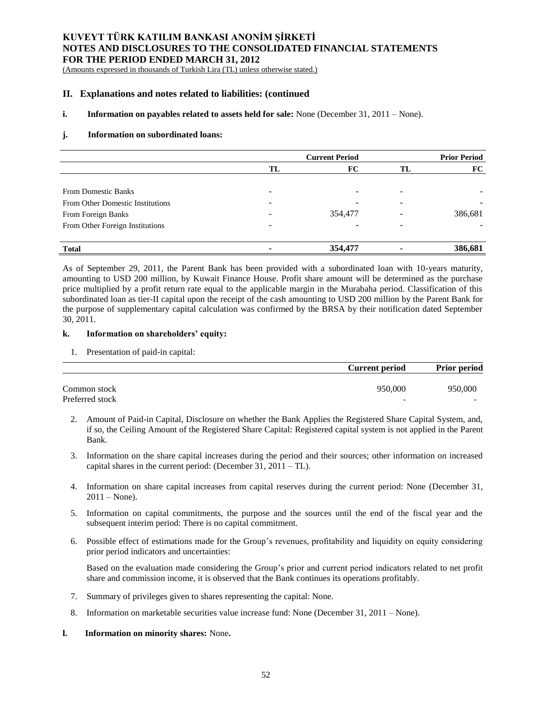(Amounts expressed in thousands of Turkish Lira (TL) unless otherwise stated.)

## **II. Explanations and notes related to liabilities: (continued**

## **i. Information on payables related to assets held for sale:** None (December 31, 2011 – None).

## **j. Information on subordinated loans:**

|                                         | <b>Current Period</b> |         |    | <b>Prior Period</b> |
|-----------------------------------------|-----------------------|---------|----|---------------------|
|                                         | TL                    | FC      | TL | FC                  |
|                                         |                       |         |    |                     |
| <b>From Domestic Banks</b>              | -                     |         |    |                     |
| <b>From Other Domestic Institutions</b> | -                     |         |    |                     |
| From Foreign Banks                      |                       | 354,477 |    | 386,681             |
| From Other Foreign Institutions         |                       |         |    |                     |
|                                         |                       |         |    |                     |
| <b>Total</b>                            |                       | 354,477 |    | 386,681             |

As of September 29, 2011, the Parent Bank has been provided with a subordinated loan with 10-years maturity, amounting to USD 200 million, by Kuwait Finance House. Profit share amount will be determined as the purchase price multiplied by a profit return rate equal to the applicable margin in the Murabaha period. Classification of this subordinated loan as tier-II capital upon the receipt of the cash amounting to USD 200 million by the Parent Bank for the purpose of supplementary capital calculation was confirmed by the BRSA by their notification dated September 30, 2011.

## **k. Information on shareholders' equity:**

1. Presentation of paid-in capital:

|                 | <b>Current period</b>    | <b>Prior period</b> |
|-----------------|--------------------------|---------------------|
| Common stock    | 950,000                  | 950,000             |
| Preferred stock | $\overline{\phantom{0}}$ | -                   |

- 2. Amount of Paid-in Capital, Disclosure on whether the Bank Applies the Registered Share Capital System, and, if so, the Ceiling Amount of the Registered Share Capital: Registered capital system is not applied in the Parent Bank.
- 3. Information on the share capital increases during the period and their sources; other information on increased capital shares in the current period: (December 31, 2011 – TL).
- 4. Information on share capital increases from capital reserves during the current period: None (December 31,  $2011 - None$ ).
- 5. Information on capital commitments, the purpose and the sources until the end of the fiscal year and the subsequent interim period: There is no capital commitment.
- 6. Possible effect of estimations made for the Group's revenues, profitability and liquidity on equity considering prior period indicators and uncertainties:

Based on the evaluation made considering the Group's prior and current period indicators related to net profit share and commission income, it is observed that the Bank continues its operations profitably.

- 7. Summary of privileges given to shares representing the capital: None.
- 8. Information on marketable securities value increase fund: None (December 31, 2011 None).

# **l. Information on minority shares:** None**.**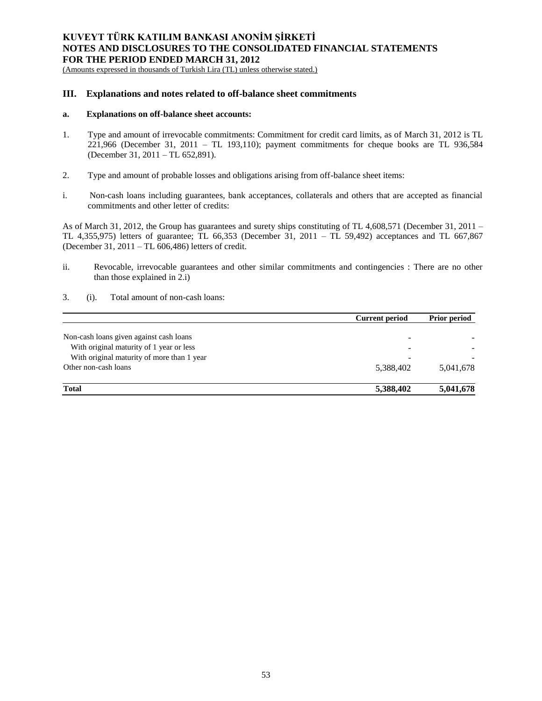(Amounts expressed in thousands of Turkish Lira (TL) unless otherwise stated.)

## **III. Explanations and notes related to off-balance sheet commitments**

### **a. Explanations on off-balance sheet accounts:**

- 1. Type and amount of irrevocable commitments: Commitment for credit card limits, as of March 31, 2012 is TL 221,966 (December 31, 2011 – TL 193,110); payment commitments for cheque books are TL 936,584 (December 31, 2011 – TL 652,891).
- 2. Type and amount of probable losses and obligations arising from off-balance sheet items:
- i. Non-cash loans including guarantees, bank acceptances, collaterals and others that are accepted as financial commitments and other letter of credits:

As of March 31, 2012, the Group has guarantees and surety ships constituting of TL 4,608,571 (December 31, 2011 – TL 4,355,975) letters of guarantee; TL 66,353 (December 31, 2011 – TL 59,492) acceptances and TL 667,867 (December 31, 2011 – TL 606,486) letters of credit.

- ii. Revocable, irrevocable guarantees and other similar commitments and contingencies : There are no other than those explained in 2.i)
- 3. (i). Total amount of non-cash loans:

|                                            | <b>Current period</b>    | <b>Prior period</b> |
|--------------------------------------------|--------------------------|---------------------|
|                                            |                          |                     |
| Non-cash loans given against cash loans    | -                        |                     |
| With original maturity of 1 year or less   | $\overline{\phantom{a}}$ |                     |
| With original maturity of more than 1 year | -                        |                     |
| Other non-cash loans                       | 5,388,402                | 5,041,678           |
| <b>Total</b>                               | 5,388,402                | 5,041,678           |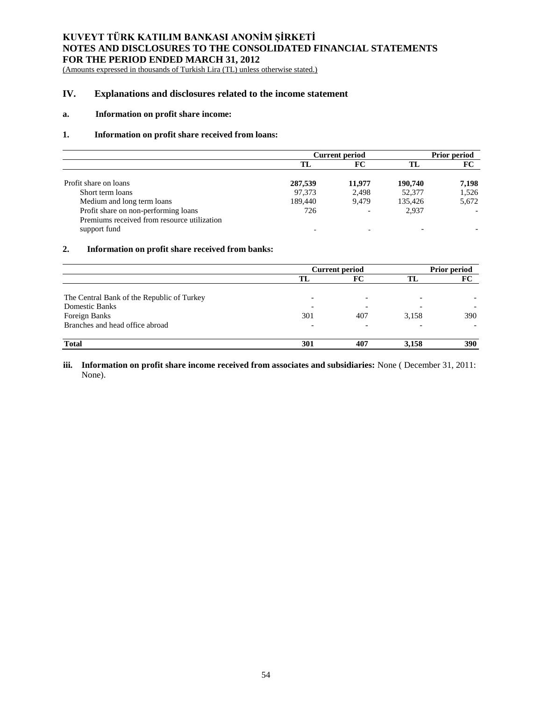(Amounts expressed in thousands of Turkish Lira (TL) unless otherwise stated.)

# **IV. Explanations and disclosures related to the income statement**

## **a. Information on profit share income:**

## **1. Information on profit share received from loans:**

|                                                                                                     | <b>Current period</b> |        |         | <b>Prior period</b> |  |
|-----------------------------------------------------------------------------------------------------|-----------------------|--------|---------|---------------------|--|
|                                                                                                     | TL.                   | FC     |         | FC                  |  |
| Profit share on loans                                                                               | 287,539               | 11.977 | 190,740 | 7,198               |  |
| Short term loans                                                                                    | 97,373                | 2,498  | 52,377  | 1,526               |  |
| Medium and long term loans                                                                          | 189.440               | 9.479  | 135,426 | 5,672               |  |
| Profit share on non-performing loans<br>Premiums received from resource utilization<br>support fund | 726                   |        | 2.937   |                     |  |

## **2. Information on profit share received from banks:**

|                                            | <b>Current period</b> |                          | <b>Prior period</b> |     |
|--------------------------------------------|-----------------------|--------------------------|---------------------|-----|
|                                            | TL                    | FC                       | TL                  | FC  |
| The Central Bank of the Republic of Turkey |                       | $\overline{\phantom{0}}$ |                     |     |
| <b>Domestic Banks</b>                      |                       | $\overline{\phantom{0}}$ |                     |     |
| Foreign Banks                              | 301                   | 407                      | 3,158               | 390 |
| Branches and head office abroad            |                       | $\overline{\phantom{0}}$ |                     |     |
| <b>Total</b>                               | 301                   | 407                      | 3,158               | 390 |

## **iii. Information on profit share income received from associates and subsidiaries:** None ( December 31, 2011: None).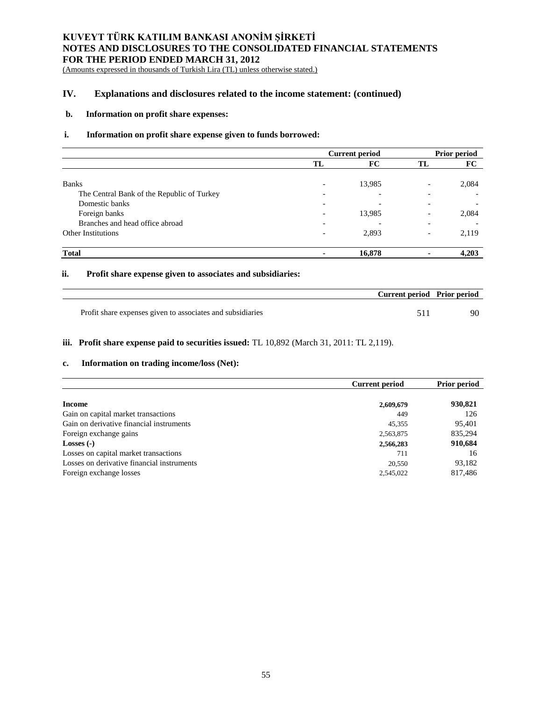(Amounts expressed in thousands of Turkish Lira (TL) unless otherwise stated.)

# **IV. Explanations and disclosures related to the income statement: (continued)**

## **b. Information on profit share expenses:**

### **i. Information on profit share expense given to funds borrowed:**

|                                            | <b>Current period</b>    |                          |                          | <b>Prior period</b> |  |
|--------------------------------------------|--------------------------|--------------------------|--------------------------|---------------------|--|
|                                            | TL                       | FC                       | TL                       | FC                  |  |
|                                            |                          |                          |                          |                     |  |
| <b>Banks</b>                               | $\overline{\phantom{0}}$ | 13,985                   | $\overline{\phantom{0}}$ | 2,084               |  |
| The Central Bank of the Republic of Turkey | $\overline{\phantom{0}}$ | $\overline{\phantom{0}}$ |                          |                     |  |
| Domestic banks                             | $\overline{\phantom{0}}$ | $\overline{\phantom{0}}$ |                          |                     |  |
| Foreign banks                              | $\overline{\phantom{0}}$ | 13,985                   |                          | 2,084               |  |
| Branches and head office abroad            |                          |                          |                          |                     |  |
| <b>Other Institutions</b>                  | $\overline{\phantom{0}}$ | 2,893                    |                          | 2,119               |  |
| <b>Total</b>                               | ٠                        | 16,878                   |                          | 4,203               |  |

## **ii. Profit share expense given to associates and subsidiaries:**

| Current period Prior period                                |  |
|------------------------------------------------------------|--|
| Profit share expenses given to associates and subsidiaries |  |

## **iii. Profit share expense paid to securities issued:** TL 10,892 (March 31, 2011: TL 2,119).

#### **c. Information on trading income/loss (Net):**

|                                            | <b>Current period</b> | <b>Prior period</b> |
|--------------------------------------------|-----------------------|---------------------|
| Income                                     | 2,609,679             | 930,821             |
| Gain on capital market transactions        | 449                   | 126                 |
| Gain on derivative financial instruments   | 45,355                | 95,401              |
| Foreign exchange gains                     | 2,563,875             | 835,294             |
| Losses $(-)$                               | 2,566,283             | 910,684             |
| Losses on capital market transactions      | 711                   | 16                  |
| Losses on derivative financial instruments | 20,550                | 93,182              |
| Foreign exchange losses                    | 2,545,022             | 817,486             |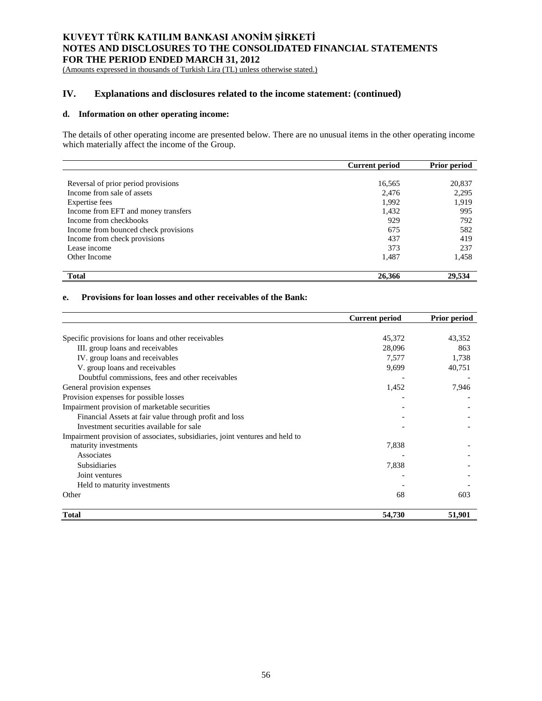(Amounts expressed in thousands of Turkish Lira (TL) unless otherwise stated.)

# **IV. Explanations and disclosures related to the income statement: (continued)**

## **d. Information on other operating income:**

The details of other operating income are presented below. There are no unusual items in the other operating income which materially affect the income of the Group.

|                                      | <b>Current period</b> | <b>Prior period</b> |
|--------------------------------------|-----------------------|---------------------|
|                                      |                       |                     |
| Reversal of prior period provisions  | 16,565                | 20,837              |
| Income from sale of assets           | 2,476                 | 2,295               |
| <b>Expertise</b> fees                | 1,992                 | 1,919               |
| Income from EFT and money transfers  | 1,432                 | 995                 |
| Income from checkbooks               | 929                   | 792                 |
| Income from bounced check provisions | 675                   | 582                 |
| Income from check provisions         | 437                   | 419                 |
| Lease income                         | 373                   | 237                 |
| Other Income                         | 1,487                 | 1,458               |
| <b>Total</b>                         | 26,366                | 29,534              |

## **e. Provisions for loan losses and other receivables of the Bank:**

|                                                                              | <b>Current period</b> | <b>Prior period</b> |
|------------------------------------------------------------------------------|-----------------------|---------------------|
|                                                                              |                       |                     |
| Specific provisions for loans and other receivables                          | 45,372                | 43,352              |
| III. group loans and receivables                                             | 28,096                | 863                 |
| IV. group loans and receivables                                              | 7,577                 | 1,738               |
| V. group loans and receivables                                               | 9,699                 | 40,751              |
| Doubtful commissions, fees and other receivables                             |                       |                     |
| General provision expenses                                                   | 1,452                 | 7,946               |
| Provision expenses for possible losses                                       |                       |                     |
| Impairment provision of marketable securities                                |                       |                     |
| Financial Assets at fair value through profit and loss                       |                       |                     |
| Investment securities available for sale                                     |                       |                     |
| Impairment provision of associates, subsidiaries, joint ventures and held to |                       |                     |
| maturity investments                                                         | 7,838                 |                     |
| Associates                                                                   |                       |                     |
| Subsidiaries                                                                 | 7,838                 |                     |
| Joint ventures                                                               |                       |                     |
| Held to maturity investments                                                 |                       |                     |
| Other                                                                        | 68                    | 603                 |
| <b>Total</b>                                                                 | 54,730                | 51,901              |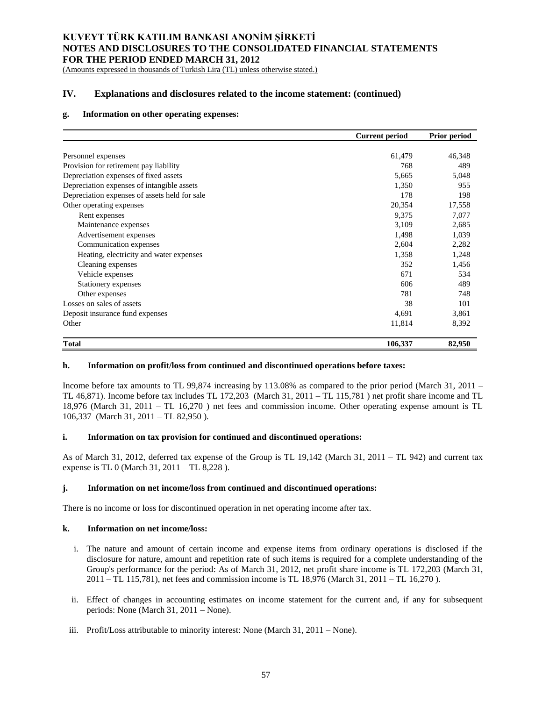(Amounts expressed in thousands of Turkish Lira (TL) unless otherwise stated.)

# **IV. Explanations and disclosures related to the income statement: (continued)**

## **g. Information on other operating expenses:**

|                                               | <b>Current period</b> | <b>Prior period</b> |
|-----------------------------------------------|-----------------------|---------------------|
|                                               |                       |                     |
| Personnel expenses                            | 61,479                | 46,348              |
| Provision for retirement pay liability        | 768                   | 489                 |
| Depreciation expenses of fixed assets         | 5,665                 | 5,048               |
| Depreciation expenses of intangible assets    | 1,350                 | 955                 |
| Depreciation expenses of assets held for sale | 178                   | 198                 |
| Other operating expenses                      | 20,354                | 17,558              |
| Rent expenses                                 | 9,375                 | 7,077               |
| Maintenance expenses                          | 3,109                 | 2,685               |
| Advertisement expenses                        | 1,498                 | 1,039               |
| Communication expenses                        | 2,604                 | 2,282               |
| Heating, electricity and water expenses       | 1,358                 | 1,248               |
| Cleaning expenses                             | 352                   | 1,456               |
| Vehicle expenses                              | 671                   | 534                 |
| Stationery expenses                           | 606                   | 489                 |
| Other expenses                                | 781                   | 748                 |
| Losses on sales of assets                     | 38                    | 101                 |
| Deposit insurance fund expenses               | 4,691                 | 3,861               |
| Other                                         | 11,814                | 8,392               |
| <b>Total</b>                                  | 106,337               | 82,950              |

### **h. Information on profit/loss from continued and discontinued operations before taxes:**

Income before tax amounts to TL 99,874 increasing by 113.08% as compared to the prior period (March 31, 2011 – TL 46,871). Income before tax includes TL 172,203 (March 31, 2011 – TL 115,781 ) net profit share income and TL 18,976 (March 31, 2011 – TL 16,270 ) net fees and commission income. Other operating expense amount is TL 106,337 (March 31, 2011 – TL 82,950 ).

## **i. Information on tax provision for continued and discontinued operations:**

As of March 31, 2012, deferred tax expense of the Group is TL 19,142 (March 31, 2011 – TL 942) and current tax expense is TL 0 (March 31, 2011 – TL 8,228 ).

### **j. Information on net income/loss from continued and discontinued operations:**

There is no income or loss for discontinued operation in net operating income after tax.

### **k. Information on net income/loss:**

- i. The nature and amount of certain income and expense items from ordinary operations is disclosed if the disclosure for nature, amount and repetition rate of such items is required for a complete understanding of the Group's performance for the period: As of March 31, 2012, net profit share income is TL 172,203 (March 31, 2011 – TL 115,781), net fees and commission income is TL 18,976 (March 31, 2011 – TL 16,270 ).
- ii. Effect of changes in accounting estimates on income statement for the current and, if any for subsequent periods: None (March 31, 2011 – None).
- iii. Profit/Loss attributable to minority interest: None (March 31, 2011 None).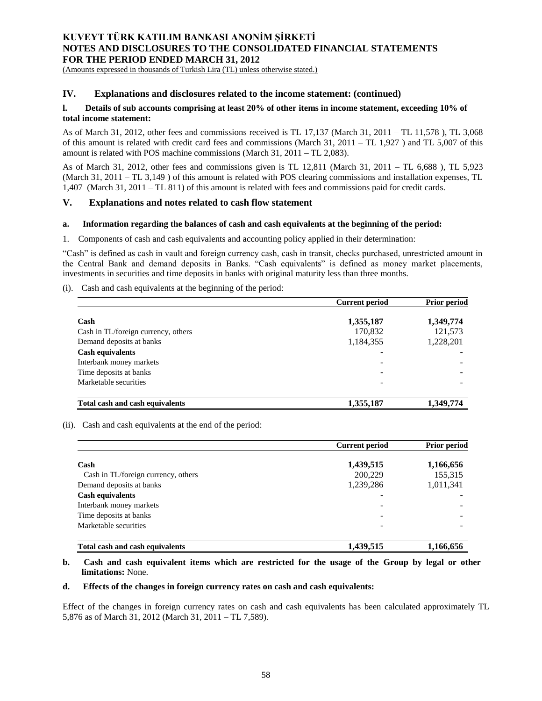(Amounts expressed in thousands of Turkish Lira (TL) unless otherwise stated.)

## **IV. Explanations and disclosures related to the income statement: (continued)**

## **l. Details of sub accounts comprising at least 20% of other items in income statement, exceeding 10% of total income statement:**

As of March 31, 2012, other fees and commissions received is TL 17,137 (March 31, 2011 – TL 11,578 ), TL 3,068 of this amount is related with credit card fees and commissions (March  $31$ ,  $2011 - TL 1,927$ ) and  $TL 5,007$  of this amount is related with POS machine commissions (March 31, 2011 – TL 2,083).

As of March 31, 2012, other fees and commissions given is TL 12,811 (March 31, 2011 – TL 6,688 ), TL 5,923 (March 31, 2011 – TL 3,149 ) of this amount is related with POS clearing commissions and installation expenses, TL 1,407 (March 31, 2011 – TL 811) of this amount is related with fees and commissions paid for credit cards.

## **V. Explanations and notes related to cash flow statement**

### **a. Information regarding the balances of cash and cash equivalents at the beginning of the period:**

1. Components of cash and cash equivalents and accounting policy applied in their determination:

"Cash" is defined as cash in vault and foreign currency cash, cash in transit, checks purchased, unrestricted amount in the Central Bank and demand deposits in Banks. "Cash equivalents" is defined as money market placements, investments in securities and time deposits in banks with original maturity less than three months.

(i). Cash and cash equivalents at the beginning of the period:

|                                     | <b>Current period</b> | <b>Prior period</b> |
|-------------------------------------|-----------------------|---------------------|
| Cash                                | 1,355,187             | 1,349,774           |
| Cash in TL/foreign currency, others | 170,832               | 121,573             |
| Demand deposits at banks            | 1,184,355             | 1,228,201           |
| <b>Cash equivalents</b>             |                       |                     |
| Interbank money markets             |                       |                     |
| Time deposits at banks              |                       |                     |
| Marketable securities               |                       |                     |
| Total cash and cash equivalents     | 1,355,187             | 1,349,774           |

(ii). Cash and cash equivalents at the end of the period:

|                                        | <b>Current period</b> | <b>Prior period</b> |
|----------------------------------------|-----------------------|---------------------|
| Cash                                   | 1,439,515             | 1,166,656           |
| Cash in TL/foreign currency, others    | 200,229               | 155,315             |
| Demand deposits at banks               | 1,239,286             | 1,011,341           |
| <b>Cash equivalents</b>                |                       |                     |
| Interbank money markets                | -                     |                     |
| Time deposits at banks                 |                       |                     |
| Marketable securities                  |                       |                     |
| <b>Total cash and cash equivalents</b> | 1.439.515             | 1.166.656           |

## **b. Cash and cash equivalent items which are restricted for the usage of the Group by legal or other limitations:** None.

### **d. Effects of the changes in foreign currency rates on cash and cash equivalents:**

Effect of the changes in foreign currency rates on cash and cash equivalents has been calculated approximately TL 5,876 as of March 31, 2012 (March 31, 2011 – TL 7,589).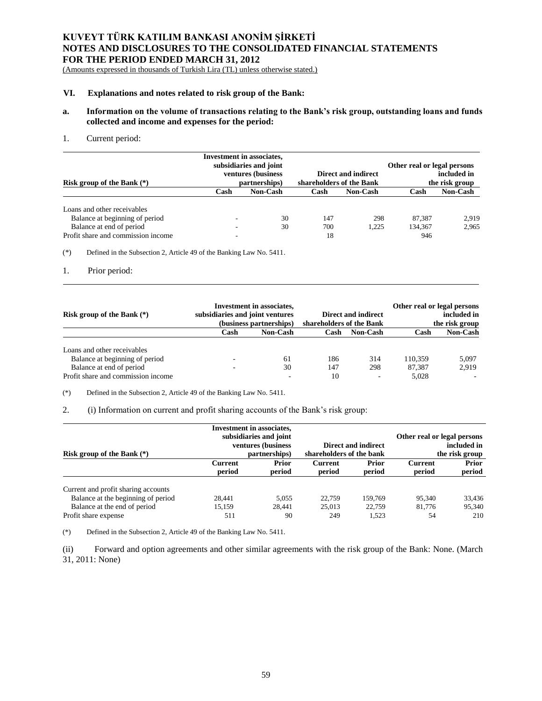(Amounts expressed in thousands of Turkish Lira (TL) unless otherwise stated.)

#### **VI. Explanations and notes related to risk group of the Bank:**

## **a. Information on the volume of transactions relating to the Bank's risk group, outstanding loans and funds collected and income and expenses for the period:**

#### 1. Current period:

| Risk group of the Bank $(*)$       |      | <b>Investment</b> in associates,<br>subsidiaries and joint<br>ventures (business<br>partnerships) | shareholders of the Bank | Direct and indirect | Other real or legal persons | included in<br>the risk group |
|------------------------------------|------|---------------------------------------------------------------------------------------------------|--------------------------|---------------------|-----------------------------|-------------------------------|
|                                    | Cash | <b>Non-Cash</b>                                                                                   | Cash                     | <b>Non-Cash</b>     | Cash                        | <b>Non-Cash</b>               |
| Loans and other receivables        |      |                                                                                                   |                          |                     |                             |                               |
| Balance at beginning of period     |      | 30                                                                                                | 147                      | 298                 | 87.387                      | 2.919                         |
| Balance at end of period           |      | 30                                                                                                | 700                      | 1.225               | 134.367                     | 2.965                         |
| Profit share and commission income |      |                                                                                                   | 18                       |                     | 946                         |                               |

(\*) Defined in the Subsection 2, Article 49 of the Banking Law No. 5411.

### 1. Prior period:

| Risk group of the Bank $(*)$       | <b>Investment in associates,</b><br>subsidiaries and joint ventures<br><b>Direct and indirect</b><br>(business partnerships)<br>shareholders of the Bank |          |      |                 |         |                 | Other real or legal persons | included in<br>the risk group |
|------------------------------------|----------------------------------------------------------------------------------------------------------------------------------------------------------|----------|------|-----------------|---------|-----------------|-----------------------------|-------------------------------|
|                                    | Cash                                                                                                                                                     | Non-Cash | Cash | <b>Non-Cash</b> | Cash    | <b>Non-Cash</b> |                             |                               |
| Loans and other receivables        |                                                                                                                                                          |          |      |                 |         |                 |                             |                               |
| Balance at beginning of period     | $\overline{\phantom{0}}$                                                                                                                                 | 61       | 186  | 314             | 110.359 | 5,097           |                             |                               |
| Balance at end of period           |                                                                                                                                                          | 30       | 147  | 298             | 87.387  | 2.919           |                             |                               |
| Profit share and commission income |                                                                                                                                                          |          | 10   | $\overline{a}$  | 5,028   |                 |                             |                               |

(\*) Defined in the Subsection 2, Article 49 of the Banking Law No. 5411.

2. (i) Information on current and profit sharing accounts of the Bank's risk group:

|                                     |                                               | <b>Investment</b> in associates, |                          |                        |                                            |                 |
|-------------------------------------|-----------------------------------------------|----------------------------------|--------------------------|------------------------|--------------------------------------------|-----------------|
|                                     | subsidiaries and joint<br>ventures (business) |                                  | Direct and indirect      |                        | Other real or legal persons<br>included in |                 |
| Risk group of the Bank $(*)$        |                                               | partnerships)                    | shareholders of the bank |                        |                                            | the risk group  |
|                                     | <b>Current</b><br>period                      | <b>Prior</b><br>period           | <b>Current</b><br>period | <b>Prior</b><br>period | <b>Current</b><br>period                   | Prior<br>period |
| Current and profit sharing accounts |                                               |                                  |                          |                        |                                            |                 |
| Balance at the beginning of period  | 28.441                                        | 5.055                            | 22,759                   | 159,769                | 95.340                                     | 33,436          |
| Balance at the end of period        | 15.159                                        | 28.441                           | 25,013                   | 22,759                 | 81.776                                     | 95.340          |
| Profit share expense                | 511                                           | 90                               | 249                      | 1.523                  | 54                                         | 210             |

(\*) Defined in the Subsection 2, Article 49 of the Banking Law No. 5411.

(ii) Forward and option agreements and other similar agreements with the risk group of the Bank: None. (March 31, 2011: None)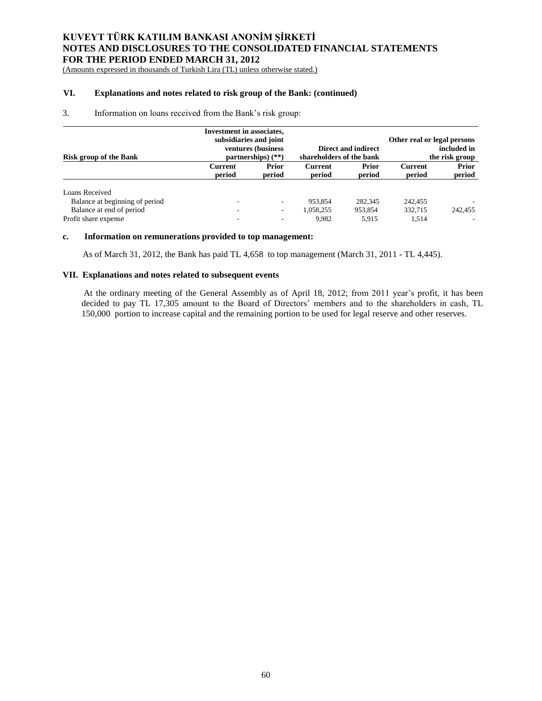(Amounts expressed in thousands of Turkish Lira (TL) unless otherwise stated.)

# **VI. Explanations and notes related to risk group of the Bank: (continued)**

### 3. Information on loans received from the Bank's risk group:

| <b>Risk group of the Bank</b>  | <b>Investment in associates,</b><br>subsidiaries and joint | ventures (business<br>partnerships) $(**)$ | shareholders of the bank | Direct and indirect    | Other real or legal persons | included in<br>the risk group |
|--------------------------------|------------------------------------------------------------|--------------------------------------------|--------------------------|------------------------|-----------------------------|-------------------------------|
|                                | Current<br>period                                          | <b>Prior</b><br>period                     | <b>Current</b><br>period | <b>Prior</b><br>period | <b>Current</b><br>period    | Prior<br>period               |
| Loans Received                 |                                                            |                                            |                          |                        |                             |                               |
| Balance at beginning of period | -                                                          | $\overline{\phantom{a}}$                   | 953.854                  | 282,345                | 242,455                     |                               |
| Balance at end of period       |                                                            | $\overline{\phantom{a}}$                   | 1,058,255                | 953,854                | 332,715                     | 242,455                       |
| Profit share expense           | -                                                          | ٠                                          | 9.982                    | 5.915                  | 1.514                       |                               |

### **c. Information on remunerations provided to top management:**

As of March 31, 2012, the Bank has paid TL 4,658 to top management (March 31, 2011 - TL 4,445).

## **VII. Explanations and notes related to subsequent events**

At the ordinary meeting of the General Assembly as of April 18, 2012; from 2011 year's profit, it has been decided to pay TL 17,305 amount to the Board of Directors' members and to the shareholders in cash, TL 150,000 portion to increase capital and the remaining portion to be used for legal reserve and other reserves.